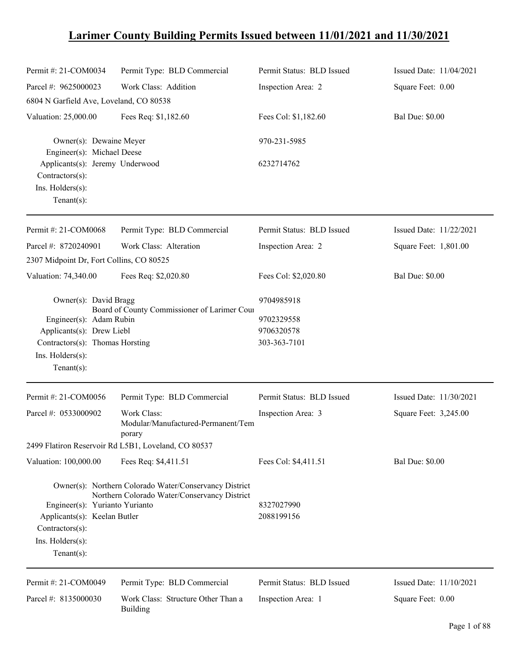## **Larimer County Building Permits Issued between 11/01/2021 and 11/30/2021**

| Permit #: 21-COM0034                                  | Permit Type: BLD Commercial                                                                            | Permit Status: BLD Issued | Issued Date: 11/04/2021 |
|-------------------------------------------------------|--------------------------------------------------------------------------------------------------------|---------------------------|-------------------------|
| Parcel #: 9625000023                                  | Work Class: Addition                                                                                   | Inspection Area: 2        | Square Feet: 0.00       |
| 6804 N Garfield Ave, Loveland, CO 80538               |                                                                                                        |                           |                         |
| Valuation: 25,000.00                                  | Fees Req: \$1,182.60                                                                                   | Fees Col: \$1,182.60      | <b>Bal Due: \$0.00</b>  |
| Owner(s): Dewaine Meyer<br>Engineer(s): Michael Deese |                                                                                                        | 970-231-5985              |                         |
| Applicants(s): Jeremy Underwood<br>Contractors(s):    |                                                                                                        | 6232714762                |                         |
| Ins. Holders(s):<br>Tenant $(s)$ :                    |                                                                                                        |                           |                         |
| Permit #: 21-COM0068                                  | Permit Type: BLD Commercial                                                                            | Permit Status: BLD Issued | Issued Date: 11/22/2021 |
| Parcel #: 8720240901                                  | Work Class: Alteration                                                                                 | Inspection Area: 2        | Square Feet: 1,801.00   |
| 2307 Midpoint Dr, Fort Collins, CO 80525              |                                                                                                        |                           |                         |
| Valuation: 74,340.00                                  | Fees Req: \$2,020.80                                                                                   | Fees Col: \$2,020.80      | <b>Bal Due: \$0.00</b>  |
| Owner(s): David Bragg                                 | Board of County Commissioner of Larimer Cour                                                           | 9704985918                |                         |
| Engineer(s): Adam Rubin                               |                                                                                                        | 9702329558                |                         |
| Applicants(s): Drew Liebl                             |                                                                                                        | 9706320578                |                         |
| Contractors(s): Thomas Horsting                       |                                                                                                        | 303-363-7101              |                         |
| Ins. Holders(s):                                      |                                                                                                        |                           |                         |
| Tenant $(s)$ :                                        |                                                                                                        |                           |                         |
| Permit #: 21-COM0056                                  | Permit Type: BLD Commercial                                                                            | Permit Status: BLD Issued | Issued Date: 11/30/2021 |
| Parcel #: 0533000902                                  | Work Class:<br>Modular/Manufactured-Permanent/Tem<br>porary                                            | Inspection Area: 3        | Square Feet: 3,245.00   |
|                                                       | 2499 Flatiron Reservoir Rd L5B1, Loveland, CO 80537                                                    |                           |                         |
| Valuation: 100,000.00                                 | Fees Req: \$4,411.51                                                                                   | Fees Col: \$4,411.51      | <b>Bal Due: \$0.00</b>  |
|                                                       | Owner(s): Northern Colorado Water/Conservancy District<br>Northern Colorado Water/Conservancy District |                           |                         |
| Engineer(s): Yurianto Yurianto                        |                                                                                                        | 8327027990                |                         |
| Applicants(s): Keelan Butler                          |                                                                                                        | 2088199156                |                         |
| Contractors(s):                                       |                                                                                                        |                           |                         |
| Ins. Holders(s):                                      |                                                                                                        |                           |                         |
| Tenant $(s)$ :                                        |                                                                                                        |                           |                         |
| Permit #: 21-COM0049                                  | Permit Type: BLD Commercial                                                                            | Permit Status: BLD Issued | Issued Date: 11/10/2021 |
| Parcel #: 8135000030                                  | Work Class: Structure Other Than a<br><b>Building</b>                                                  | Inspection Area: 1        | Square Feet: 0.00       |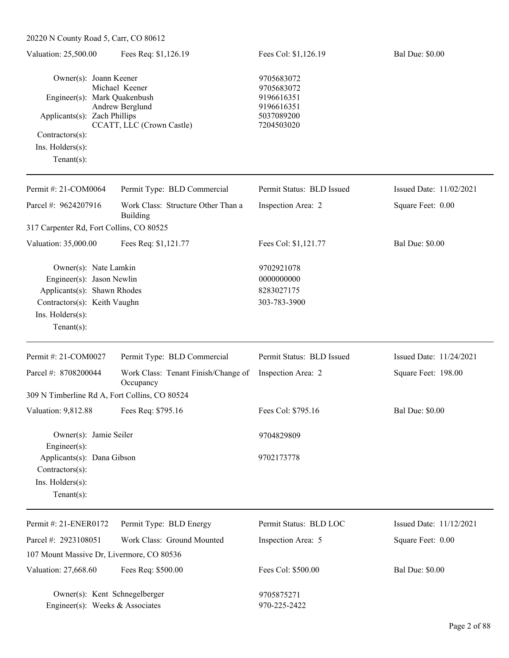| 20220 N County Road 5, Carr, CO 80612                            |                                                  |                                        |                         |  |  |
|------------------------------------------------------------------|--------------------------------------------------|----------------------------------------|-------------------------|--|--|
| Valuation: 25,500.00                                             | Fees Req: \$1,126.19                             | Fees Col: \$1,126.19                   | <b>Bal Due: \$0.00</b>  |  |  |
| Owner(s): Joann Keener<br>Engineer(s): Mark Quakenbush           | Michael Keener                                   | 9705683072<br>9705683072<br>9196616351 |                         |  |  |
|                                                                  | Andrew Berglund                                  | 9196616351                             |                         |  |  |
| Applicants(s): Zach Phillips                                     | CCATT, LLC (Crown Castle)                        | 5037089200<br>7204503020               |                         |  |  |
| Contractors(s):                                                  |                                                  |                                        |                         |  |  |
| $Ins.$ Holders $(s)$ :                                           |                                                  |                                        |                         |  |  |
| Tenant $(s)$ :                                                   |                                                  |                                        |                         |  |  |
| Permit #: 21-COM0064                                             | Permit Type: BLD Commercial                      | Permit Status: BLD Issued              | Issued Date: 11/02/2021 |  |  |
| Parcel #: 9624207916                                             | Work Class: Structure Other Than a<br>Building   | Inspection Area: 2                     | Square Feet: 0.00       |  |  |
| 317 Carpenter Rd, Fort Collins, CO 80525                         |                                                  |                                        |                         |  |  |
| Valuation: 35,000.00                                             | Fees Req: \$1,121.77                             | Fees Col: \$1,121.77                   | <b>Bal Due: \$0.00</b>  |  |  |
| Owner(s): Nate Lamkin                                            |                                                  | 9702921078                             |                         |  |  |
| Engineer(s): Jason Newlin                                        |                                                  | 0000000000                             |                         |  |  |
| Applicants(s): Shawn Rhodes                                      |                                                  | 8283027175                             |                         |  |  |
| Contractors(s): Keith Vaughn                                     |                                                  | 303-783-3900                           |                         |  |  |
| Ins. Holders(s):                                                 |                                                  |                                        |                         |  |  |
| Tenant $(s)$ :                                                   |                                                  |                                        |                         |  |  |
| Permit #: 21-COM0027                                             | Permit Type: BLD Commercial                      | Permit Status: BLD Issued              | Issued Date: 11/24/2021 |  |  |
| Parcel #: 8708200044                                             | Work Class: Tenant Finish/Change of<br>Occupancy | Inspection Area: 2                     | Square Feet: 198.00     |  |  |
| 309 N Timberline Rd A, Fort Collins, CO 80524                    |                                                  |                                        |                         |  |  |
| Valuation: 9,812.88                                              | Fees Req: \$795.16                               | Fees Col: \$795.16                     | <b>Bal Due: \$0.00</b>  |  |  |
| Owner(s): Jamie Seiler<br>Engineer(s):                           |                                                  | 9704829809                             |                         |  |  |
| Applicants(s): Dana Gibson                                       |                                                  | 9702173778                             |                         |  |  |
| Contractors(s):                                                  |                                                  |                                        |                         |  |  |
| Ins. Holders(s):                                                 |                                                  |                                        |                         |  |  |
| $Tenant(s)$ :                                                    |                                                  |                                        |                         |  |  |
| Permit #: 21-ENER0172                                            | Permit Type: BLD Energy                          | Permit Status: BLD LOC                 | Issued Date: 11/12/2021 |  |  |
| Parcel #: 2923108051                                             | Work Class: Ground Mounted                       | Inspection Area: 5                     | Square Feet: 0.00       |  |  |
| 107 Mount Massive Dr, Livermore, CO 80536                        |                                                  |                                        |                         |  |  |
| Valuation: 27,668.60                                             | Fees Req: \$500.00                               | Fees Col: \$500.00                     | <b>Bal Due: \$0.00</b>  |  |  |
| Owner(s): Kent Schnegelberger<br>Engineer(s): Weeks & Associates |                                                  | 9705875271<br>970-225-2422             |                         |  |  |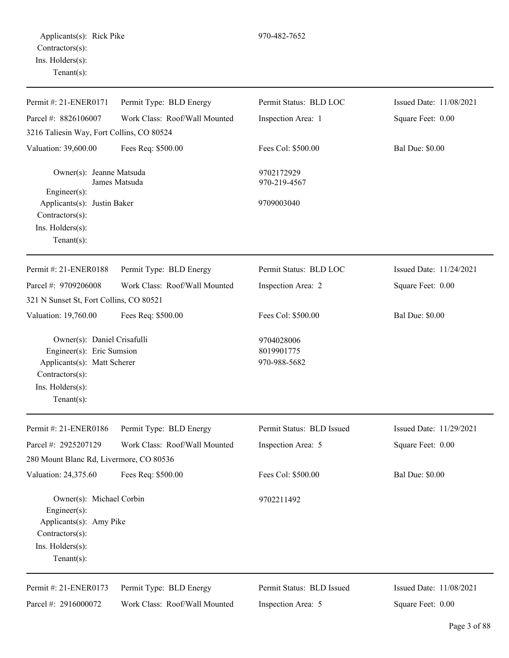| Permit #: 21-ENER0171                                                                                                                            | Permit Type: BLD Energy       | Permit Status: BLD LOC                   | Issued Date: 11/08/2021 |
|--------------------------------------------------------------------------------------------------------------------------------------------------|-------------------------------|------------------------------------------|-------------------------|
| Parcel #: 8826106007                                                                                                                             | Work Class: Roof/Wall Mounted | Inspection Area: 1                       | Square Feet: 0.00       |
| 3216 Taliesin Way, Fort Collins, CO 80524                                                                                                        |                               |                                          |                         |
| Valuation: 39,600.00                                                                                                                             | Fees Req: \$500.00            | Fees Col: \$500.00                       | <b>Bal Due: \$0.00</b>  |
| Owner(s): Jeanne Matsuda<br>James Matsuda<br>$Engineering(s)$ :                                                                                  |                               | 9702172929<br>970-219-4567               |                         |
| Applicants(s): Justin Baker<br>Contractors(s):<br>Ins. Holders(s):<br>Tenant $(s)$ :                                                             |                               | 9709003040                               |                         |
| Permit #: 21-ENER0188                                                                                                                            | Permit Type: BLD Energy       | Permit Status: BLD LOC                   | Issued Date: 11/24/2021 |
| Parcel #: 9709206008<br>321 N Sunset St, Fort Collins, CO 80521                                                                                  | Work Class: Roof/Wall Mounted | Inspection Area: 2                       | Square Feet: 0.00       |
| Valuation: 19,760.00                                                                                                                             | Fees Req: \$500.00            | Fees Col: \$500.00                       | <b>Bal Due: \$0.00</b>  |
| Owner(s): Daniel Crisafulli<br>Engineer(s): Eric Sumsion<br>Applicants(s): Matt Scherer<br>Contractors(s):<br>Ins. Holders(s):<br>Tenant $(s)$ : |                               | 9704028006<br>8019901775<br>970-988-5682 |                         |
| Permit #: 21-ENER0186                                                                                                                            | Permit Type: BLD Energy       | Permit Status: BLD Issued                | Issued Date: 11/29/2021 |
| Parcel #: 2925207129<br>280 Mount Blanc Rd, Livermore, CO 80536                                                                                  | Work Class: Roof/Wall Mounted | Inspection Area: 5                       | Square Feet: 0.00       |
| Valuation: 24,375.60                                                                                                                             | Fees Req: \$500.00            | Fees Col: \$500.00                       | <b>Bal Due: \$0.00</b>  |
| Owner(s): Michael Corbin<br>Engineer(s):<br>Applicants(s): Amy Pike<br>Contractors(s):<br>Ins. Holders(s):<br>Tenant $(s)$ :                     |                               | 9702211492                               |                         |
| Permit #: 21-ENER0173                                                                                                                            | Permit Type: BLD Energy       | Permit Status: BLD Issued                | Issued Date: 11/08/2021 |
| Parcel #: 2916000072                                                                                                                             | Work Class: Roof/Wall Mounted | Inspection Area: 5                       | Square Feet: 0.00       |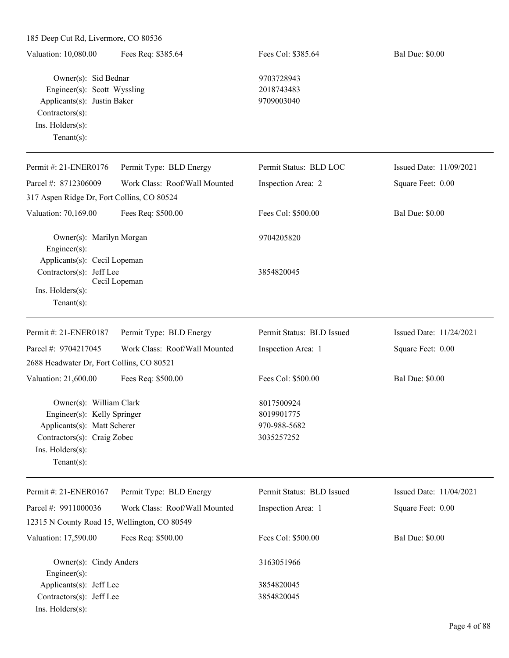| Valuation: 10,080.00                                                                                                                                       | Fees Req: \$385.64            | Fees Col: \$385.64                                     | <b>Bal Due: \$0.00</b>  |
|------------------------------------------------------------------------------------------------------------------------------------------------------------|-------------------------------|--------------------------------------------------------|-------------------------|
| Owner(s): Sid Bednar<br>Engineer(s): Scott Wyssling<br>Applicants(s): Justin Baker<br>$Contractors(s)$ :<br>Ins. Holders(s):<br>Tenant $(s)$ :             |                               | 9703728943<br>2018743483<br>9709003040                 |                         |
| Permit #: 21-ENER0176                                                                                                                                      | Permit Type: BLD Energy       | Permit Status: BLD LOC                                 | Issued Date: 11/09/2021 |
| Parcel #: 8712306009                                                                                                                                       | Work Class: Roof/Wall Mounted | Inspection Area: 2                                     | Square Feet: 0.00       |
| 317 Aspen Ridge Dr, Fort Collins, CO 80524                                                                                                                 |                               |                                                        |                         |
| Valuation: 70,169.00                                                                                                                                       | Fees Req: \$500.00            | Fees Col: \$500.00                                     | <b>Bal Due: \$0.00</b>  |
| Owner(s): Marilyn Morgan<br>Engineer(s):                                                                                                                   |                               | 9704205820                                             |                         |
| Applicants(s): Cecil Lopeman<br>Contractors(s): Jeff Lee<br>Ins. Holders(s):<br>Tenant $(s)$ :                                                             | Cecil Lopeman                 | 3854820045                                             |                         |
| Permit #: 21-ENER0187                                                                                                                                      | Permit Type: BLD Energy       | Permit Status: BLD Issued                              | Issued Date: 11/24/2021 |
| Parcel #: 9704217045                                                                                                                                       | Work Class: Roof/Wall Mounted | Inspection Area: 1                                     | Square Feet: 0.00       |
| 2688 Headwater Dr, Fort Collins, CO 80521                                                                                                                  |                               |                                                        |                         |
| Valuation: 21,600.00                                                                                                                                       | Fees Req: \$500.00            | Fees Col: \$500.00                                     | <b>Bal Due: \$0.00</b>  |
| Owner(s): William Clark<br>Engineer(s): Kelly Springer<br>Applicants(s): Matt Scherer<br>Contractors(s): Craig Zobec<br>Ins. Holders(s):<br>Tenant $(s)$ : |                               | 8017500924<br>8019901775<br>970-988-5682<br>3035257252 |                         |
| Permit #: 21-ENER0167                                                                                                                                      | Permit Type: BLD Energy       | Permit Status: BLD Issued                              | Issued Date: 11/04/2021 |
| Parcel #: 9911000036<br>12315 N County Road 15, Wellington, CO 80549                                                                                       | Work Class: Roof/Wall Mounted | Inspection Area: 1                                     | Square Feet: 0.00       |
| Valuation: 17,590.00                                                                                                                                       | Fees Req: \$500.00            | Fees Col: \$500.00                                     | <b>Bal Due: \$0.00</b>  |
| Owner(s): Cindy Anders<br>Engineer(s):                                                                                                                     |                               | 3163051966                                             |                         |
| Applicants(s): Jeff Lee                                                                                                                                    |                               | 3854820045                                             |                         |
| Contractors(s): Jeff Lee<br>Ins. Holders(s):                                                                                                               |                               | 3854820045                                             |                         |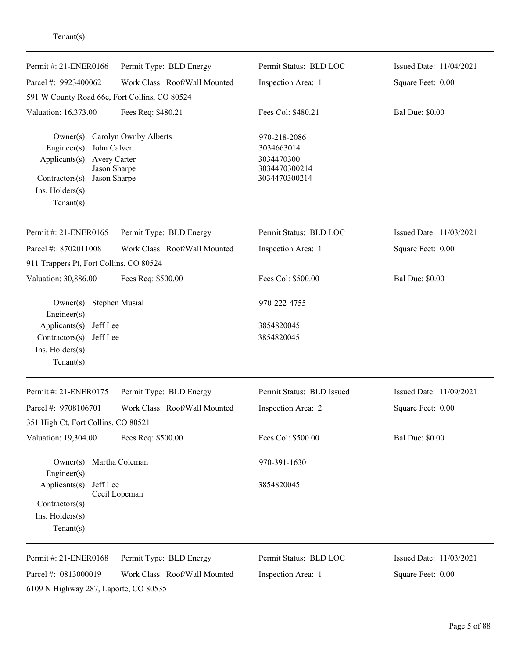| Permit #: 21-ENER0166                                                                                                                                             | Permit Type: BLD Energy       | Permit Status: BLD LOC                                                     | Issued Date: 11/04/2021 |
|-------------------------------------------------------------------------------------------------------------------------------------------------------------------|-------------------------------|----------------------------------------------------------------------------|-------------------------|
| Parcel #: 9923400062                                                                                                                                              | Work Class: Roof/Wall Mounted | Inspection Area: 1                                                         | Square Feet: 0.00       |
| 591 W County Road 66e, Fort Collins, CO 80524                                                                                                                     |                               |                                                                            |                         |
| Valuation: 16,373.00                                                                                                                                              | Fees Req: \$480.21            | Fees Col: \$480.21                                                         | <b>Bal Due: \$0.00</b>  |
| Owner(s): Carolyn Ownby Alberts<br>Engineer(s): John Calvert<br>Applicants(s): Avery Carter<br>Contractors(s): Jason Sharpe<br>Ins. Holders(s):<br>Tenant $(s)$ : | Jason Sharpe                  | 970-218-2086<br>3034663014<br>3034470300<br>3034470300214<br>3034470300214 |                         |
| Permit #: 21-ENER0165                                                                                                                                             | Permit Type: BLD Energy       | Permit Status: BLD LOC                                                     | Issued Date: 11/03/2021 |
| Parcel #: 8702011008                                                                                                                                              | Work Class: Roof/Wall Mounted | Inspection Area: 1                                                         | Square Feet: 0.00       |
| 911 Trappers Pt, Fort Collins, CO 80524                                                                                                                           |                               |                                                                            |                         |
| Valuation: 30,886.00                                                                                                                                              | Fees Req: \$500.00            | Fees Col: \$500.00                                                         | <b>Bal Due: \$0.00</b>  |
| Owner(s): Stephen Musial<br>Engineer(s):<br>Applicants(s): Jeff Lee<br>Contractors(s): Jeff Lee<br>Ins. Holders(s):                                               |                               | 970-222-4755<br>3854820045<br>3854820045                                   |                         |
| Tenant $(s)$ :                                                                                                                                                    |                               |                                                                            |                         |
| Permit #: 21-ENER0175                                                                                                                                             | Permit Type: BLD Energy       | Permit Status: BLD Issued                                                  | Issued Date: 11/09/2021 |
| Parcel #: 9708106701                                                                                                                                              | Work Class: Roof/Wall Mounted | Inspection Area: 2                                                         | Square Feet: 0.00       |
| 351 High Ct, Fort Collins, CO 80521                                                                                                                               |                               |                                                                            |                         |
| Valuation: 19,304.00                                                                                                                                              | Fees Req: \$500.00            | Fees Col: \$500.00                                                         | <b>Bal Due: \$0.00</b>  |
| Owner(s): Martha Coleman<br>$Engineering(s)$ :                                                                                                                    |                               | 970-391-1630                                                               |                         |
| Applicants(s): Jeff Lee<br>Contractors(s):<br>Ins. Holders(s):<br>Tenant $(s)$ :                                                                                  | Cecil Lopeman                 | 3854820045                                                                 |                         |
| Permit #: 21-ENER0168                                                                                                                                             | Permit Type: BLD Energy       | Permit Status: BLD LOC                                                     | Issued Date: 11/03/2021 |
| Parcel #: 0813000019<br>6109 N Highway 287, Laporte, CO 80535                                                                                                     | Work Class: Roof/Wall Mounted | Inspection Area: 1                                                         | Square Feet: 0.00       |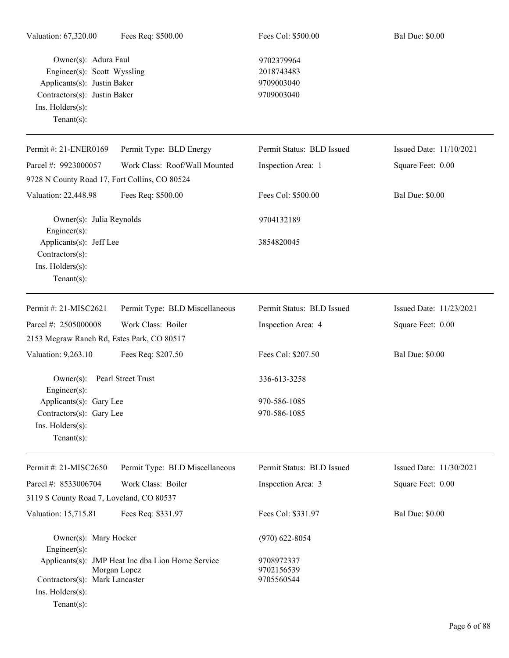Owner(s): Adura Faul 9702379964 Engineer(s): Scott Wyssling 2018743483 Applicants(s): Justin Baker 9709003040 Contractors(s): Justin Baker 9709003040 Ins. Holders(s): Tenant(s):

Permit #: 21-ENER0169 Parcel #: 9923000057 Permit Type: BLD Energy Work Class: Roof/Wall Mounted Permit Status: BLD Issued Inspection Area: 1 Issued Date: 11/10/2021 Square Feet: 0.00 9728 N County Road 17, Fort Collins, CO 80524 Valuation: 22,448.98 Fees Req: \$500.00 Fees Col: \$500.00 Bal Due: \$0.00 Owner(s): Julia Reynolds 9704132189 Engineer(s): Applicants(s): Jeff Lee 3854820045 Contractors(s): Ins. Holders(s): Tenant(s): Permit #: 21-MISC2621 Permit Type: BLD Miscellaneous Permit Status: BLD Issued Issued Date: 11/23/2021

Parcel #: 2505000008 Work Class: Boiler Inspection Area: 4 Square Feet: 0.00 2153 Mcgraw Ranch Rd, Estes Park, CO 80517 Valuation: 9,263.10 Fees Req: \$207.50 Fees Col: \$207.50 Bal Due: \$0.00 Owner(s): Pearl Street Trust 336-613-3258 Engineer(s): Applicants(s): Gary Lee 970-586-1085 Contractors(s): Gary Lee 970-586-1085 Ins. Holders(s): Tenant(s):

| Permit #: 21-MISC2650                    | Permit Type: BLD Miscellaneous                    | Permit Status: BLD Issued | Issued Date: $11/30/2021$ |
|------------------------------------------|---------------------------------------------------|---------------------------|---------------------------|
| Parcel #: 8533006704                     | Work Class: Boiler                                | Inspection Area: 3        | Square Feet: 0.00         |
| 3119 S County Road 7, Loveland, CO 80537 |                                                   |                           |                           |
| Valuation: 15,715.81                     | Fees Req: \$331.97                                | Fees Col: \$331.97        | <b>Bal Due: \$0.00</b>    |
| Owner(s): Mary Hocker                    |                                                   | $(970)$ 622-8054          |                           |
| Engineer $(s)$ :                         |                                                   |                           |                           |
|                                          | Applicants(s): JMP Heat Inc dba Lion Home Service | 9708972337                |                           |
|                                          | Morgan Lopez                                      | 9702156539                |                           |
| Contractors(s): Mark Lancaster           |                                                   | 9705560544                |                           |
| $Ins.$ Holders $(s)$ :                   |                                                   |                           |                           |
| $Tenant(s)$ :                            |                                                   |                           |                           |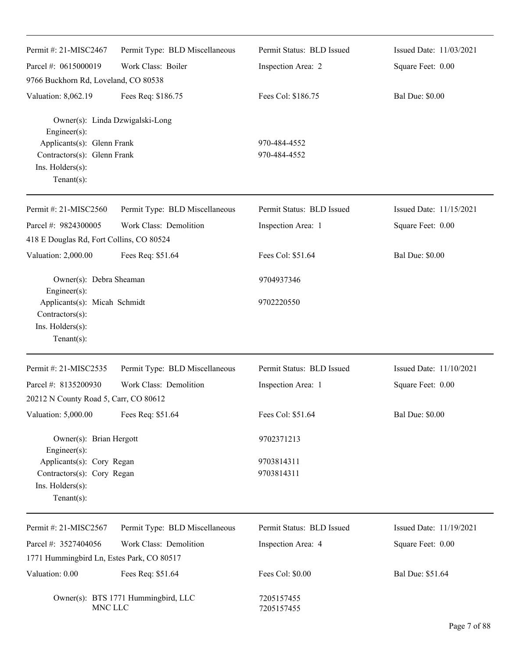| Permit #: 21-MISC2467                                                                           | Permit Type: BLD Miscellaneous      | Permit Status: BLD Issued    | Issued Date: 11/03/2021 |
|-------------------------------------------------------------------------------------------------|-------------------------------------|------------------------------|-------------------------|
| Parcel #: 0615000019                                                                            | Work Class: Boiler                  | Inspection Area: 2           | Square Feet: 0.00       |
| 9766 Buckhorn Rd, Loveland, CO 80538                                                            |                                     |                              |                         |
| Valuation: 8,062.19                                                                             | Fees Req: \$186.75                  | Fees Col: \$186.75           | <b>Bal Due: \$0.00</b>  |
| Owner(s): Linda Dzwigalski-Long<br>Engineer(s):                                                 |                                     |                              |                         |
| Applicants(s): Glenn Frank<br>Contractors(s): Glenn Frank<br>Ins. Holders(s):<br>Tenant $(s)$ : |                                     | 970-484-4552<br>970-484-4552 |                         |
| Permit #: 21-MISC2560                                                                           | Permit Type: BLD Miscellaneous      | Permit Status: BLD Issued    | Issued Date: 11/15/2021 |
| Parcel #: 9824300005<br>418 E Douglas Rd, Fort Collins, CO 80524                                | Work Class: Demolition              | Inspection Area: 1           | Square Feet: 0.00       |
| Valuation: 2,000.00                                                                             | Fees Req: \$51.64                   | Fees Col: \$51.64            | <b>Bal Due: \$0.00</b>  |
| Owner(s): Debra Sheaman<br>Engineer(s):                                                         |                                     | 9704937346                   |                         |
| Applicants(s): Micah Schmidt<br>Contractors(s):<br>Ins. Holders(s):<br>Tenant(s):               |                                     | 9702220550                   |                         |
| Permit #: 21-MISC2535                                                                           | Permit Type: BLD Miscellaneous      | Permit Status: BLD Issued    | Issued Date: 11/10/2021 |
| Parcel #: 8135200930                                                                            | Work Class: Demolition              | Inspection Area: 1           | Square Feet: 0.00       |
| 20212 N County Road 5, Carr, CO 80612                                                           |                                     |                              |                         |
| Valuation: 5,000.00                                                                             | Fees Req: \$51.64                   | Fees Col: \$51.64            | <b>Bal Due: \$0.00</b>  |
| Owner(s): Brian Hergott<br>Engineer $(s)$ :                                                     |                                     | 9702371213                   |                         |
| Applicants(s): Cory Regan<br>Contractors(s): Cory Regan<br>Ins. Holders(s):<br>Tenant $(s)$ :   |                                     | 9703814311<br>9703814311     |                         |
|                                                                                                 |                                     |                              |                         |
| Permit #: 21-MISC2567                                                                           | Permit Type: BLD Miscellaneous      | Permit Status: BLD Issued    | Issued Date: 11/19/2021 |
| Parcel #: 3527404056                                                                            | Work Class: Demolition              | Inspection Area: 4           | Square Feet: 0.00       |
| 1771 Hummingbird Ln, Estes Park, CO 80517                                                       |                                     |                              |                         |
| Valuation: 0.00                                                                                 | Fees Req: \$51.64                   | Fees Col: \$0.00             | Bal Due: \$51.64        |
| MNC LLC                                                                                         | Owner(s): BTS 1771 Hummingbird, LLC | 7205157455<br>7205157455     |                         |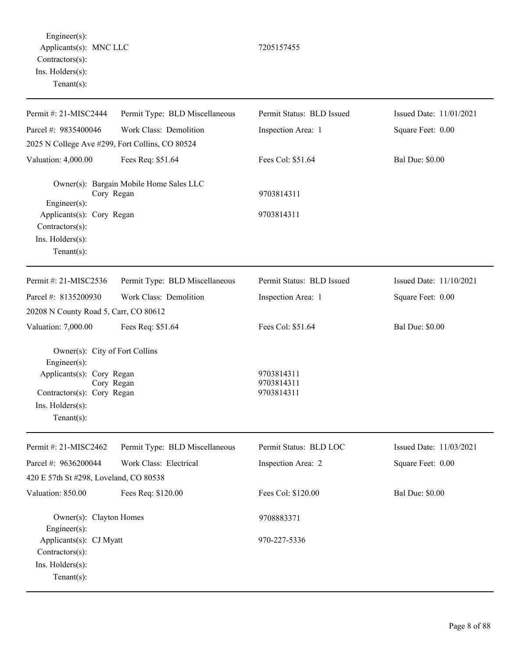Engineer(s): Applicants(s): MNC LLC 7205157455 Contractors(s): Ins. Holders(s): Tenant(s):

Permit #: 21-MISC2444 Parcel #: 9835400046 Permit Type: BLD Miscellaneous Work Class: Demolition Permit Status: BLD Issued Inspection Area: 1 Issued Date: 11/01/2021 Square Feet: 0.00 2025 N College Ave #299, Fort Collins, CO 80524 Valuation: 4,000.00 Fees Req: \$51.64 Fees Col: \$51.64 Bal Due: \$0.00 Owner(s): Bargain Mobile Home Sales LLC Cory Regan 9703814311 Engineer(s): Applicants(s): Cory Regan 9703814311 Contractors(s): Ins. Holders(s): Tenant(s): Permit #: 21-MISC2536 Parcel #: 8135200930 Permit Type: BLD Miscellaneous Work Class: Demolition Permit Status: BLD Issued Inspection Area: 1 Issued Date: 11/10/2021 Square Feet: 0.00 20208 N County Road 5, Carr, CO 80612 Valuation: 7,000.00 Fees Req: \$51.64 Fees Col: \$51.64 Bal Due: \$0.00 Owner(s): City of Fort Collins Engineer(s): Applicants(s): Cory Regan 9703814311 Cory Regan 9703814311 Contractors(s): Cory Regan 9703814311 Ins. Holders(s): Tenant(s): Permit #: 21-MISC2462 Parcel #: 9636200044 Permit Type: BLD Miscellaneous Work Class: Electrical Permit Status: BLD LOC Inspection Area: 2 Issued Date: 11/03/2021 Square Feet: 0.00 420 E 57th St #298, Loveland, CO 80538 Valuation: 850.00 Fees Req: \$120.00 Fees Col: \$120.00 Bal Due: \$0.00 Owner(s): Clayton Homes 9708883371 Engineer(s): Applicants(s): CJ Myatt  $970-227-5336$ Contractors(s): Ins. Holders(s): Tenant(s):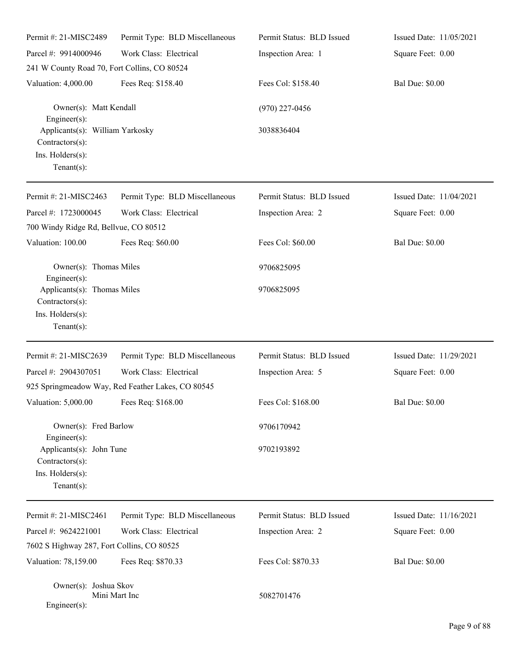| Permit #: 21-MISC2489                                                                                   | Permit Type: BLD Miscellaneous                    | Permit Status: BLD Issued | Issued Date: 11/05/2021 |
|---------------------------------------------------------------------------------------------------------|---------------------------------------------------|---------------------------|-------------------------|
| Parcel #: 9914000946                                                                                    | Work Class: Electrical                            | Inspection Area: 1        | Square Feet: 0.00       |
| 241 W County Road 70, Fort Collins, CO 80524                                                            |                                                   |                           |                         |
| Valuation: 4,000.00                                                                                     | Fees Req: \$158.40                                | Fees Col: \$158.40        | <b>Bal Due: \$0.00</b>  |
| Owner(s): Matt Kendall<br>Engineer(s):                                                                  |                                                   | $(970)$ 227-0456          |                         |
| Applicants(s): William Yarkosky<br>Contractors(s):<br>Ins. Holders(s):<br>Tenant $(s)$ :                |                                                   | 3038836404                |                         |
| Permit #: 21-MISC2463                                                                                   | Permit Type: BLD Miscellaneous                    | Permit Status: BLD Issued | Issued Date: 11/04/2021 |
| Parcel #: 1723000045                                                                                    | Work Class: Electrical                            | Inspection Area: 2        | Square Feet: 0.00       |
| 700 Windy Ridge Rd, Bellvue, CO 80512                                                                   |                                                   |                           |                         |
| Valuation: 100.00                                                                                       | Fees Req: \$60.00                                 | Fees Col: \$60.00         | <b>Bal Due: \$0.00</b>  |
| Owner(s): Thomas Miles<br>Engineer(s):                                                                  |                                                   | 9706825095                |                         |
| Applicants(s): Thomas Miles<br>Contractors(s):<br>Ins. Holders(s):<br>Tenant $(s)$ :                    |                                                   | 9706825095                |                         |
| Permit #: 21-MISC2639                                                                                   | Permit Type: BLD Miscellaneous                    | Permit Status: BLD Issued | Issued Date: 11/29/2021 |
| Parcel #: 2904307051                                                                                    | Work Class: Electrical                            | Inspection Area: 5        | Square Feet: 0.00       |
|                                                                                                         | 925 Springmeadow Way, Red Feather Lakes, CO 80545 |                           |                         |
| Valuation: 5,000.00 Fees Req: \$168.00                                                                  |                                                   | Fees Col: \$168.00        | <b>Bal Due: \$0.00</b>  |
| Owner(s): Fred Barlow                                                                                   |                                                   | 9706170942                |                         |
| $Engineering(s)$ :<br>Applicants(s): John Tune<br>Contractors(s):<br>Ins. Holders(s):<br>Tenant $(s)$ : |                                                   | 9702193892                |                         |
| Permit #: 21-MISC2461                                                                                   | Permit Type: BLD Miscellaneous                    | Permit Status: BLD Issued | Issued Date: 11/16/2021 |
| Parcel #: 9624221001                                                                                    | Work Class: Electrical                            | Inspection Area: 2        | Square Feet: 0.00       |
| 7602 S Highway 287, Fort Collins, CO 80525                                                              |                                                   |                           |                         |
| Valuation: 78,159.00                                                                                    | Fees Req: \$870.33                                | Fees Col: \$870.33        | <b>Bal Due: \$0.00</b>  |
| Owner(s): Joshua Skov<br>Engineer(s):                                                                   | Mini Mart Inc                                     | 5082701476                |                         |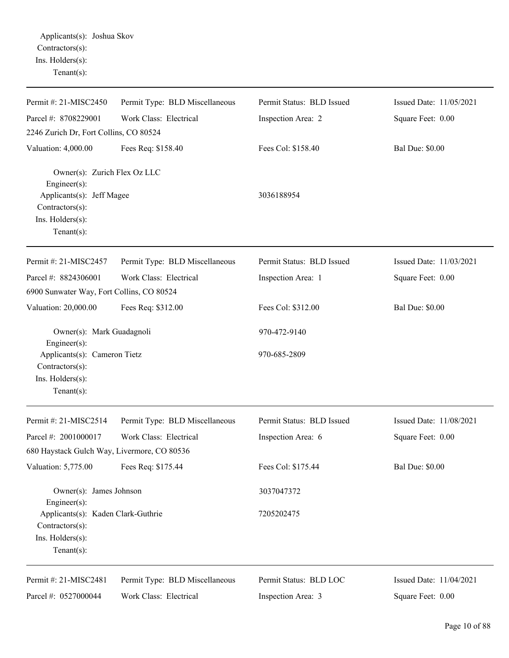| Permit #: 21-MISC2450                                            | Permit Type: BLD Miscellaneous | Permit Status: BLD Issued | Issued Date: 11/05/2021 |
|------------------------------------------------------------------|--------------------------------|---------------------------|-------------------------|
| Parcel #: 8708229001                                             | Work Class: Electrical         | Inspection Area: 2        | Square Feet: 0.00       |
| 2246 Zurich Dr, Fort Collins, CO 80524                           |                                |                           |                         |
| Valuation: 4,000.00                                              | Fees Req: \$158.40             | Fees Col: \$158.40        | <b>Bal Due: \$0.00</b>  |
| Owner(s): Zurich Flex Oz LLC<br>Engineer(s):                     |                                |                           |                         |
| Applicants(s): Jeff Magee<br>Contractors(s):<br>Ins. Holders(s): |                                | 3036188954                |                         |
| Tenant $(s)$ :                                                   |                                |                           |                         |
| Permit #: 21-MISC2457                                            | Permit Type: BLD Miscellaneous | Permit Status: BLD Issued | Issued Date: 11/03/2021 |
| Parcel #: 8824306001                                             | Work Class: Electrical         | Inspection Area: 1        | Square Feet: 0.00       |
| 6900 Sunwater Way, Fort Collins, CO 80524                        |                                |                           |                         |
| Valuation: 20,000.00                                             | Fees Req: \$312.00             | Fees Col: \$312.00        | <b>Bal Due: \$0.00</b>  |
| Owner(s): Mark Guadagnoli<br>Engineer(s):                        |                                | 970-472-9140              |                         |
| Applicants(s): Cameron Tietz<br>Contractors(s):                  |                                | 970-685-2809              |                         |
| Ins. Holders(s):<br>Tenant $(s)$ :                               |                                |                           |                         |
| Permit #: 21-MISC2514                                            | Permit Type: BLD Miscellaneous | Permit Status: BLD Issued | Issued Date: 11/08/2021 |
| Parcel #: 2001000017                                             | Work Class: Electrical         | Inspection Area: 6        | Square Feet: 0.00       |
| 680 Haystack Gulch Way, Livermore, CO 80536                      |                                |                           |                         |
| Valuation: 5,775.00                                              | Fees Req: \$175.44             | Fees Col: \$175.44        | <b>Bal Due: \$0.00</b>  |
| Owner(s): James Johnson<br>Engineer(s):                          |                                | 3037047372                |                         |
| Applicants(s): Kaden Clark-Guthrie<br>Contractors(s):            |                                | 7205202475                |                         |
| Ins. Holders(s):<br>Tenant $(s)$ :                               |                                |                           |                         |
| Permit #: 21-MISC2481                                            | Permit Type: BLD Miscellaneous | Permit Status: BLD LOC    | Issued Date: 11/04/2021 |
| Parcel #: 0527000044                                             | Work Class: Electrical         | Inspection Area: 3        | Square Feet: 0.00       |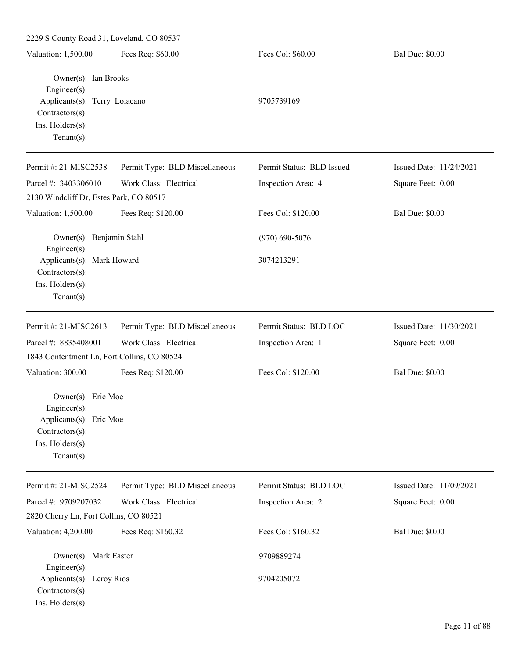| 2229 S County Road 31, Loveland, CO 80537                                                                                                     |                                |                           |                         |
|-----------------------------------------------------------------------------------------------------------------------------------------------|--------------------------------|---------------------------|-------------------------|
| Valuation: 1,500.00                                                                                                                           | Fees Req: \$60.00              | Fees Col: \$60.00         | <b>Bal Due: \$0.00</b>  |
| Owner(s): Ian Brooks<br>$Engineering(s)$ :<br>Applicants(s): Terry Loiacano<br>$Contractors(s)$ :<br>Ins. Holders(s):<br>Tenant $(s)$ :       |                                | 9705739169                |                         |
| Permit #: 21-MISC2538                                                                                                                         | Permit Type: BLD Miscellaneous | Permit Status: BLD Issued | Issued Date: 11/24/2021 |
| Parcel #: 3403306010                                                                                                                          | Work Class: Electrical         | Inspection Area: 4        | Square Feet: 0.00       |
| 2130 Windcliff Dr, Estes Park, CO 80517                                                                                                       |                                |                           |                         |
| Valuation: 1,500.00                                                                                                                           | Fees Req: \$120.00             | Fees Col: \$120.00        | <b>Bal Due: \$0.00</b>  |
| Owner(s): Benjamin Stahl<br>$Engineer(s)$ :                                                                                                   |                                | $(970)$ 690-5076          |                         |
| Applicants(s): Mark Howard<br>$Contractors(s)$ :<br>Ins. Holders(s):<br>Tenant $(s)$ :                                                        |                                | 3074213291                |                         |
| Permit #: 21-MISC2613                                                                                                                         | Permit Type: BLD Miscellaneous | Permit Status: BLD LOC    | Issued Date: 11/30/2021 |
| Parcel #: 8835408001                                                                                                                          | Work Class: Electrical         | Inspection Area: 1        | Square Feet: 0.00       |
| 1843 Contentment Ln, Fort Collins, CO 80524                                                                                                   |                                |                           |                         |
| Valuation: 300.00<br>Owner(s): Eric Moe<br>Engineer(s):<br>Applicants(s): Eric Moe<br>$Contractors(s)$ :<br>Ins. Holders(s):<br>$Tenant(s)$ : | Fees Req: \$120.00             | Fees Col: \$120.00        | <b>Bal Due: \$0.00</b>  |
| Permit #: 21-MISC2524                                                                                                                         | Permit Type: BLD Miscellaneous | Permit Status: BLD LOC    | Issued Date: 11/09/2021 |
| Parcel #: 9709207032<br>2820 Cherry Ln, Fort Collins, CO 80521                                                                                | Work Class: Electrical         | Inspection Area: 2        | Square Feet: 0.00       |
| Valuation: 4,200.00                                                                                                                           | Fees Req: \$160.32             | Fees Col: \$160.32        | <b>Bal Due: \$0.00</b>  |
| Owner(s): Mark Easter                                                                                                                         |                                | 9709889274                |                         |
| Engineer(s):<br>Applicants(s): Leroy Rios<br>$Contractors(s)$ :<br>Ins. Holders(s):                                                           |                                | 9704205072                |                         |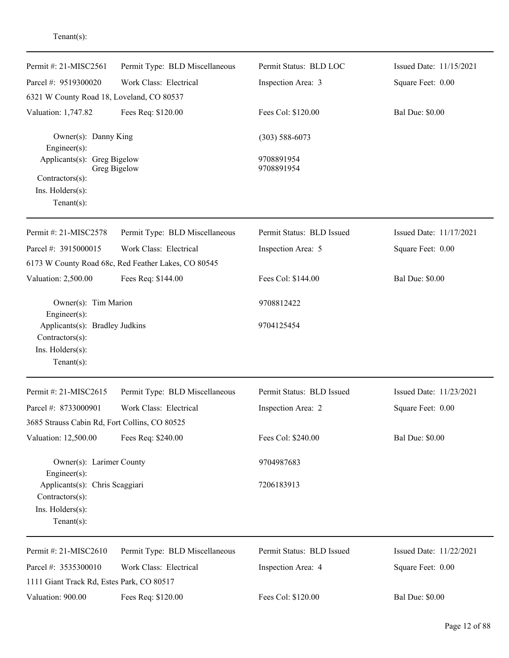| Permit #: 21-MISC2561                             | Permit Type: BLD Miscellaneous                      | Permit Status: BLD LOC    | Issued Date: 11/15/2021 |
|---------------------------------------------------|-----------------------------------------------------|---------------------------|-------------------------|
| Parcel #: 9519300020                              | Work Class: Electrical                              | Inspection Area: 3        | Square Feet: 0.00       |
| 6321 W County Road 18, Loveland, CO 80537         |                                                     |                           |                         |
| Valuation: 1,747.82                               | Fees Req: \$120.00                                  | Fees Col: \$120.00        | <b>Bal Due: \$0.00</b>  |
| Owner(s): Danny King<br>Engineer(s):              |                                                     | $(303) 588 - 6073$        |                         |
| Applicants(s): Greg Bigelow                       |                                                     | 9708891954                |                         |
| Greg Bigelow<br>Contractors(s):                   |                                                     | 9708891954                |                         |
| Ins. Holders(s):                                  |                                                     |                           |                         |
| $Tenant(s)$ :                                     |                                                     |                           |                         |
| Permit #: 21-MISC2578                             | Permit Type: BLD Miscellaneous                      | Permit Status: BLD Issued | Issued Date: 11/17/2021 |
| Parcel #: 3915000015                              | Work Class: Electrical                              | Inspection Area: 5        | Square Feet: 0.00       |
|                                                   | 6173 W County Road 68c, Red Feather Lakes, CO 80545 |                           |                         |
| Valuation: 2,500.00                               | Fees Req: \$144.00                                  | Fees Col: \$144.00        | <b>Bal Due: \$0.00</b>  |
| Owner(s): Tim Marion<br>Engineer(s):              |                                                     | 9708812422                |                         |
| Applicants(s): Bradley Judkins                    |                                                     | 9704125454                |                         |
| Contractors(s):                                   |                                                     |                           |                         |
| Ins. Holders(s):                                  |                                                     |                           |                         |
| $Tenant(s)$ :                                     |                                                     |                           |                         |
| Permit #: 21-MISC2615                             | Permit Type: BLD Miscellaneous                      | Permit Status: BLD Issued | Issued Date: 11/23/2021 |
| Parcel #: 8733000901                              | Work Class: Electrical                              | Inspection Area: 2        | Square Feet: 0.00       |
| 3685 Strauss Cabin Rd, Fort Collins, CO 80525     |                                                     |                           |                         |
| Valuation: 12,500.00                              | Fees Req: \$240.00                                  | Fees Col: \$240.00        | <b>Bal Due: \$0.00</b>  |
| Owner(s): Larimer County<br>Engineer $(s)$ :      |                                                     | 9704987683                |                         |
| Applicants(s): Chris Scaggiari<br>Contractors(s): |                                                     | 7206183913                |                         |
| Ins. Holders(s):                                  |                                                     |                           |                         |
| Tenant $(s)$ :                                    |                                                     |                           |                         |
| Permit #: 21-MISC2610                             | Permit Type: BLD Miscellaneous                      | Permit Status: BLD Issued | Issued Date: 11/22/2021 |
| Parcel #: 3535300010                              | Work Class: Electrical                              | Inspection Area: 4        | Square Feet: 0.00       |
| 1111 Giant Track Rd, Estes Park, CO 80517         |                                                     |                           |                         |
| Valuation: 900.00                                 | Fees Req: \$120.00                                  | Fees Col: \$120.00        | <b>Bal Due: \$0.00</b>  |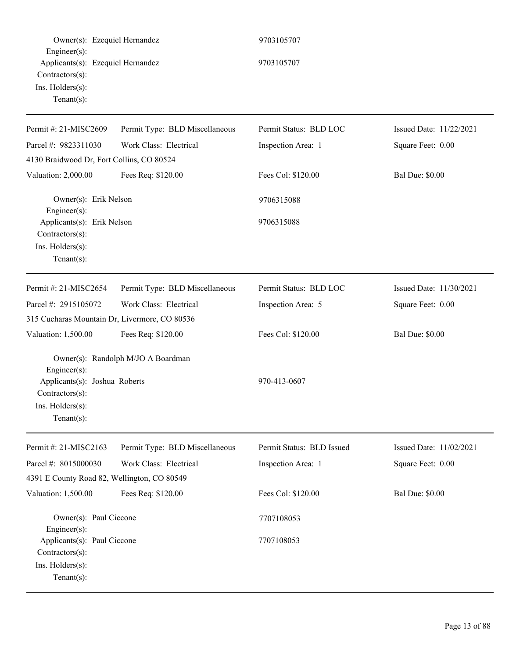| Owner(s): Ezequiel Hernandez                                                                                   |                                    | 9703105707                |                         |
|----------------------------------------------------------------------------------------------------------------|------------------------------------|---------------------------|-------------------------|
| Engineer $(s)$ :<br>Applicants(s): Ezequiel Hernandez<br>Contractors(s):<br>Ins. Holders(s):<br>Tenant $(s)$ : |                                    | 9703105707                |                         |
| Permit #: 21-MISC2609                                                                                          | Permit Type: BLD Miscellaneous     | Permit Status: BLD LOC    | Issued Date: 11/22/2021 |
| Parcel #: 9823311030                                                                                           | Work Class: Electrical             | Inspection Area: 1        | Square Feet: 0.00       |
| 4130 Braidwood Dr, Fort Collins, CO 80524                                                                      |                                    |                           |                         |
| Valuation: 2,000.00                                                                                            | Fees Req: \$120.00                 | Fees Col: \$120.00        | <b>Bal Due: \$0.00</b>  |
| Owner(s): Erik Nelson<br>Engineer $(s)$ :                                                                      |                                    | 9706315088                |                         |
| Applicants(s): Erik Nelson<br>Contractors(s):<br>Ins. Holders(s):<br>Tenant $(s)$ :                            |                                    | 9706315088                |                         |
| Permit #: 21-MISC2654                                                                                          | Permit Type: BLD Miscellaneous     | Permit Status: BLD LOC    | Issued Date: 11/30/2021 |
| Parcel #: 2915105072                                                                                           | Work Class: Electrical             | Inspection Area: 5        | Square Feet: 0.00       |
| 315 Cucharas Mountain Dr, Livermore, CO 80536                                                                  |                                    |                           |                         |
| Valuation: 1,500.00                                                                                            | Fees Req: \$120.00                 | Fees Col: \$120.00        | <b>Bal Due: \$0.00</b>  |
| $Engineering(s)$ :                                                                                             | Owner(s): Randolph M/JO A Boardman |                           |                         |
| Applicants(s): Joshua Roberts<br>Contractors(s):<br>Ins. Holders(s):<br>Tenant $(s)$ :                         |                                    | 970-413-0607              |                         |
| Permit #: 21-MISC2163                                                                                          | Permit Type: BLD Miscellaneous     | Permit Status: BLD Issued | Issued Date: 11/02/2021 |
| Parcel #: 8015000030                                                                                           | Work Class: Electrical             | Inspection Area: 1        | Square Feet: 0.00       |
| 4391 E County Road 82, Wellington, CO 80549                                                                    |                                    |                           |                         |
| Valuation: 1,500.00                                                                                            | Fees Req: \$120.00                 | Fees Col: \$120.00        | <b>Bal Due: \$0.00</b>  |
| Owner(s): Paul Ciccone<br>Engineer $(s)$ :                                                                     |                                    | 7707108053                |                         |
| Applicants(s): Paul Ciccone<br>Contractors(s):<br>Ins. Holders(s):<br>Tenant $(s)$ :                           |                                    | 7707108053                |                         |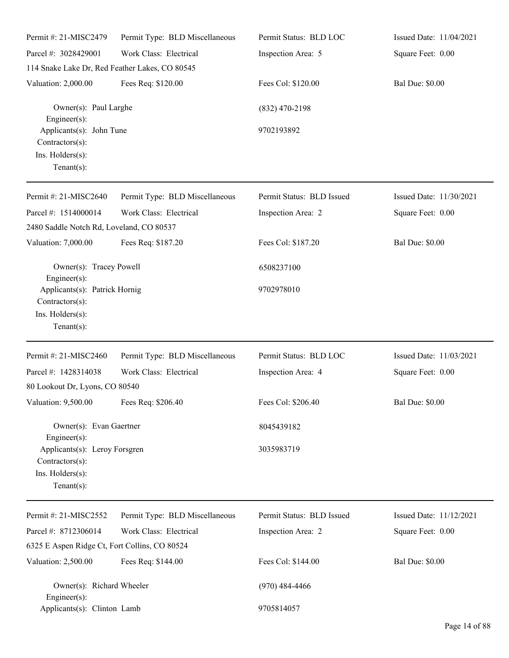| Permit #: 21-MISC2479                                                                                         | Permit Type: BLD Miscellaneous | Permit Status: BLD LOC    | Issued Date: 11/04/2021 |
|---------------------------------------------------------------------------------------------------------------|--------------------------------|---------------------------|-------------------------|
| Parcel #: 3028429001                                                                                          | Work Class: Electrical         | Inspection Area: 5        | Square Feet: 0.00       |
| 114 Snake Lake Dr, Red Feather Lakes, CO 80545                                                                |                                |                           |                         |
| Valuation: 2,000.00                                                                                           | Fees Req: \$120.00             | Fees Col: \$120.00        | <b>Bal Due: \$0.00</b>  |
| Owner(s): Paul Larghe<br>Engineer $(s)$ :                                                                     |                                | $(832)$ 470-2198          |                         |
| Applicants(s): John Tune<br>Contractors(s):<br>Ins. Holders(s):<br>Tenant $(s)$ :                             |                                | 9702193892                |                         |
| Permit #: 21-MISC2640                                                                                         | Permit Type: BLD Miscellaneous | Permit Status: BLD Issued | Issued Date: 11/30/2021 |
| Parcel #: 1514000014                                                                                          | Work Class: Electrical         | Inspection Area: 2        | Square Feet: 0.00       |
| 2480 Saddle Notch Rd, Loveland, CO 80537                                                                      |                                |                           |                         |
| Valuation: 7,000.00                                                                                           | Fees Req: \$187.20             | Fees Col: \$187.20        | <b>Bal Due: \$0.00</b>  |
| Owner(s): Tracey Powell<br>Engineer $(s)$ :                                                                   |                                | 6508237100                |                         |
| Applicants(s): Patrick Hornig<br>Contractors(s):<br>Ins. Holders(s):<br>Tenant $(s)$ :                        |                                | 9702978010                |                         |
| Permit #: 21-MISC2460                                                                                         | Permit Type: BLD Miscellaneous | Permit Status: BLD LOC    | Issued Date: 11/03/2021 |
| Parcel #: 1428314038                                                                                          | Work Class: Electrical         | Inspection Area: 4        | Square Feet: 0.00       |
| 80 Lookout Dr, Lyons, CO 80540                                                                                |                                |                           |                         |
| Valuation: 9,500.00                                                                                           | Fees Req: \$206.40             | Fees Col: \$206.40        | <b>Bal Due: \$0.00</b>  |
| Owner(s): Evan Gaertner                                                                                       |                                | 8045439182                |                         |
| Engineer $(s)$ :<br>Applicants(s): Leroy Forsgren<br>$Contractors(s)$ :<br>Ins. Holders(s):<br>Tenant $(s)$ : |                                | 3035983719                |                         |
| Permit #: 21-MISC2552                                                                                         | Permit Type: BLD Miscellaneous | Permit Status: BLD Issued | Issued Date: 11/12/2021 |
| Parcel #: 8712306014                                                                                          | Work Class: Electrical         | Inspection Area: 2        | Square Feet: 0.00       |
| 6325 E Aspen Ridge Ct, Fort Collins, CO 80524                                                                 |                                |                           |                         |
| Valuation: 2,500.00                                                                                           | Fees Req: \$144.00             | Fees Col: \$144.00        | <b>Bal Due: \$0.00</b>  |
| Owner(s): Richard Wheeler<br>Engineer $(s)$ :                                                                 |                                | $(970)$ 484-4466          |                         |
| Applicants(s): Clinton Lamb                                                                                   |                                | 9705814057                |                         |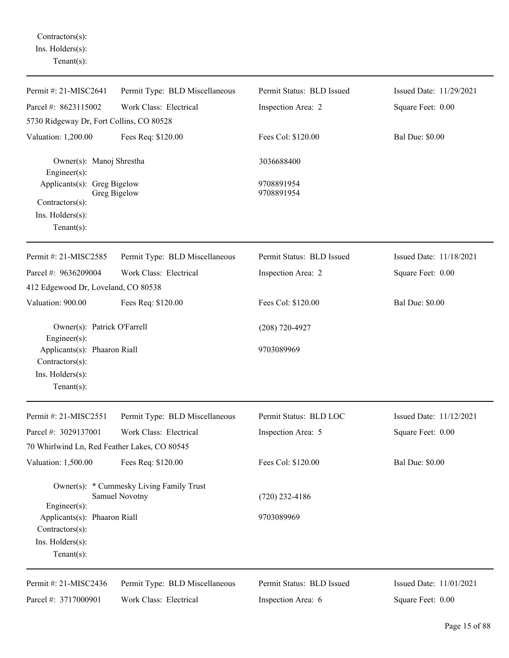Contractors(s): Ins. Holders(s): Tenant(s):

| Permit #: 21-MISC2641                                                                      | Permit Type: BLD Miscellaneous                             | Permit Status: BLD Issued | Issued Date: 11/29/2021 |
|--------------------------------------------------------------------------------------------|------------------------------------------------------------|---------------------------|-------------------------|
| Parcel #: 8623115002                                                                       | Work Class: Electrical                                     | Inspection Area: 2        | Square Feet: 0.00       |
| 5730 Ridgeway Dr, Fort Collins, CO 80528                                                   |                                                            |                           |                         |
| Valuation: 1,200.00                                                                        | Fees Req: \$120.00                                         | Fees Col: \$120.00        | <b>Bal Due: \$0.00</b>  |
| Owner(s): Manoj Shrestha<br>Engineer $(s)$ :                                               |                                                            | 3036688400                |                         |
| Applicants(s): Greg Bigelow<br>Contractors(s):<br>$Ins.$ Holders $(s)$ :<br>Tenant $(s)$ : | Greg Bigelow                                               | 9708891954<br>9708891954  |                         |
| Permit #: 21-MISC2585                                                                      | Permit Type: BLD Miscellaneous                             | Permit Status: BLD Issued | Issued Date: 11/18/2021 |
| Parcel #: 9636209004                                                                       | Work Class: Electrical                                     | Inspection Area: 2        | Square Feet: 0.00       |
| 412 Edgewood Dr, Loveland, CO 80538                                                        |                                                            |                           |                         |
| Valuation: 900.00                                                                          | Fees Req: \$120.00                                         | Fees Col: \$120.00        | <b>Bal Due: \$0.00</b>  |
| Owner(s): Patrick O'Farrell<br>$Engineering(s)$ :                                          |                                                            | $(208) 720 - 4927$        |                         |
| Applicants(s): Phaaron Riall<br>Contractors(s):<br>Ins. Holders(s):<br>Tenant $(s)$ :      |                                                            | 9703089969                |                         |
| Permit #: 21-MISC2551                                                                      | Permit Type: BLD Miscellaneous                             | Permit Status: BLD LOC    | Issued Date: 11/12/2021 |
| Parcel #: 3029137001                                                                       | Work Class: Electrical                                     | Inspection Area: 5        | Square Feet: 0.00       |
| 70 Whirlwind Ln, Red Feather Lakes, CO 80545                                               |                                                            |                           |                         |
| Valuation: 1,500.00                                                                        | Fees Req: \$120.00                                         | Fees Col: \$120.00        | <b>Bal Due: \$0.00</b>  |
| Engineer $(s)$ :                                                                           | Owner(s): * Cummesky Living Family Trust<br>Samuel Novotny | $(720)$ 232-4186          |                         |
| Applicants(s): Phaaron Riall<br>Contractors(s):<br>Ins. Holders(s):<br>Tenant $(s)$ :      |                                                            | 9703089969                |                         |
| Permit #: 21-MISC2436                                                                      | Permit Type: BLD Miscellaneous                             | Permit Status: BLD Issued | Issued Date: 11/01/2021 |
| Parcel #: 3717000901                                                                       | Work Class: Electrical                                     | Inspection Area: 6        | Square Feet: 0.00       |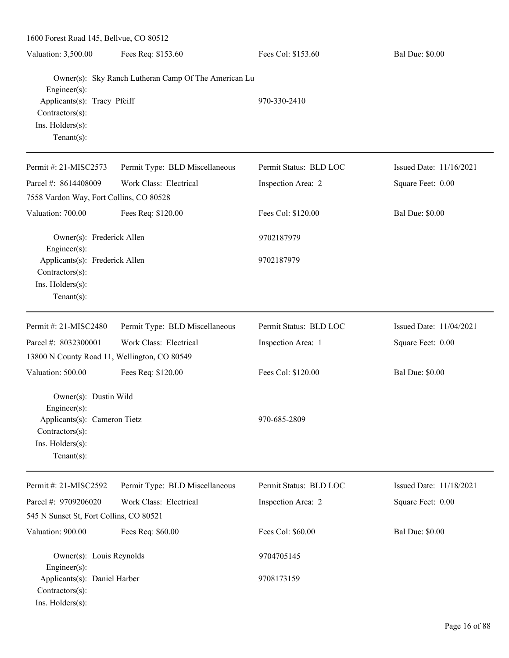1600 Forest Road 145, Bellvue, CO 80512 Valuation: 3,500.00 Fees Req: \$153.60 Fees Col: \$153.60 Bal Due: \$0.00 Owner(s): Sky Ranch Lutheran Camp Of The American Lu Engineer(s): Applicants(s): Tracy Pfeiff  $970-330-2410$ Contractors(s): Ins. Holders(s): Tenant(s): Permit #: 21-MISC2573 Parcel #: 8614408009 Permit Type: BLD Miscellaneous Work Class: Electrical Permit Status: BLD LOC Inspection Area: 2 Issued Date: 11/16/2021 Square Feet: 0.00 7558 Vardon Way, Fort Collins, CO 80528 Valuation: 700.00 Fees Req: \$120.00 Fees Col: \$120.00 Bal Due: \$0.00 Owner(s): Frederick Allen 9702187979 Engineer(s): Applicants(s): Frederick Allen 9702187979 Contractors(s): Ins. Holders(s): Tenant(s): Permit #: 21-MISC2480 Parcel #: 8032300001 Permit Type: BLD Miscellaneous Work Class: Electrical Permit Status: BLD LOC Inspection Area: 1 Issued Date: 11/04/2021 Square Feet: 0.00 13800 N County Road 11, Wellington, CO 80549 Valuation: 500.00 Fees Req: \$120.00 Fees Col: \$120.00 Bal Due: \$0.00 Owner(s): Dustin Wild Engineer(s): Applicants(s): Cameron Tietz 970-685-2809 Contractors(s): Ins. Holders(s): Tenant(s): Permit #: 21-MISC2592 Parcel #: 9709206020 Permit Type: BLD Miscellaneous Work Class: Electrical Permit Status: BLD LOC Inspection Area: 2 Issued Date: 11/18/2021 Square Feet: 0.00 545 N Sunset St, Fort Collins, CO 80521 Valuation: 900.00 Fees Req: \$60.00 Fees Col: \$60.00 Bal Due: \$0.00 Owner(s): Louis Reynolds 9704705145 Engineer(s): Applicants(s): Daniel Harber 9708173159 Contractors(s): Ins. Holders(s):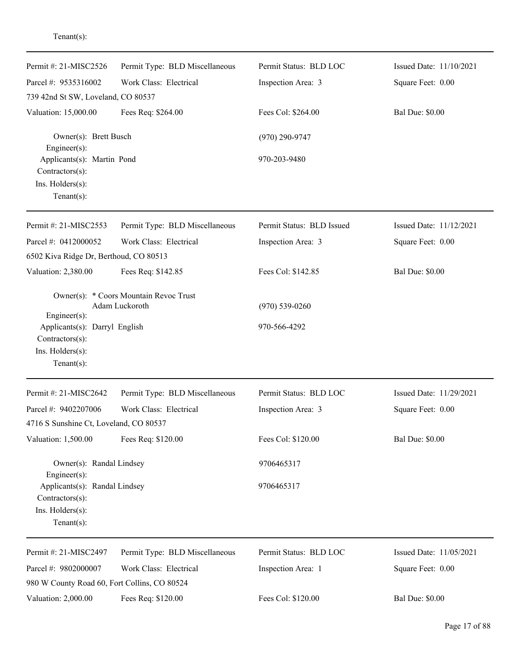| Permit #: 21-MISC2526<br>Parcel #: 9535316002                                                             | Permit Type: BLD Miscellaneous<br>Work Class: Electrical | Permit Status: BLD LOC<br>Inspection Area: 3 | Issued Date: 11/10/2021<br>Square Feet: 0.00 |
|-----------------------------------------------------------------------------------------------------------|----------------------------------------------------------|----------------------------------------------|----------------------------------------------|
| 739 42nd St SW, Loveland, CO 80537<br>Valuation: 15,000.00                                                | Fees Req: \$264.00                                       | Fees Col: \$264.00                           | <b>Bal Due: \$0.00</b>                       |
| Owner(s): Brett Busch<br>Engineer $(s)$ :<br>Applicants(s): Martin Pond                                   |                                                          | $(970)$ 290-9747<br>970-203-9480             |                                              |
| Contractors(s):<br>Ins. Holders(s):<br>$Tenant(s)$ :                                                      |                                                          |                                              |                                              |
| Permit #: 21-MISC2553                                                                                     | Permit Type: BLD Miscellaneous                           | Permit Status: BLD Issued                    | Issued Date: 11/12/2021                      |
| Parcel #: 0412000052<br>6502 Kiva Ridge Dr, Berthoud, CO 80513                                            | Work Class: Electrical                                   | Inspection Area: 3                           | Square Feet: 0.00                            |
| Valuation: 2,380.00                                                                                       | Fees Req: \$142.85                                       | Fees Col: \$142.85                           | <b>Bal Due: \$0.00</b>                       |
| Engineer(s):<br>Applicants(s): Darryl English<br>Contractors(s):<br>Ins. Holders(s):<br>$Tenant(s)$ :     | Owner(s): * Coors Mountain Revoc Trust<br>Adam Luckoroth | $(970) 539 - 0260$<br>970-566-4292           |                                              |
| Permit #: 21-MISC2642                                                                                     | Permit Type: BLD Miscellaneous                           | Permit Status: BLD LOC                       | Issued Date: 11/29/2021                      |
| Parcel #: 9402207006<br>4716 S Sunshine Ct, Loveland, CO 80537                                            | Work Class: Electrical                                   | Inspection Area: 3                           | Square Feet: 0.00                            |
| Valuation: 1,500.00                                                                                       | Fees Req: \$120.00                                       | Fees Col: \$120.00                           | <b>Bal Due: \$0.00</b>                       |
| Owner(s): Randal Lindsey                                                                                  |                                                          | 9706465317                                   |                                              |
| Engineer $(s)$ :<br>Applicants(s): Randal Lindsey<br>Contractors(s):<br>Ins. Holders(s):<br>$Tenant(s)$ : |                                                          | 9706465317                                   |                                              |
| Permit #: 21-MISC2497                                                                                     | Permit Type: BLD Miscellaneous                           | Permit Status: BLD LOC                       | Issued Date: 11/05/2021                      |
| Parcel #: 9802000007<br>980 W County Road 60, Fort Collins, CO 80524                                      | Work Class: Electrical                                   | Inspection Area: 1                           | Square Feet: 0.00                            |
| Valuation: 2,000.00                                                                                       | Fees Req: \$120.00                                       | Fees Col: \$120.00                           | <b>Bal Due: \$0.00</b>                       |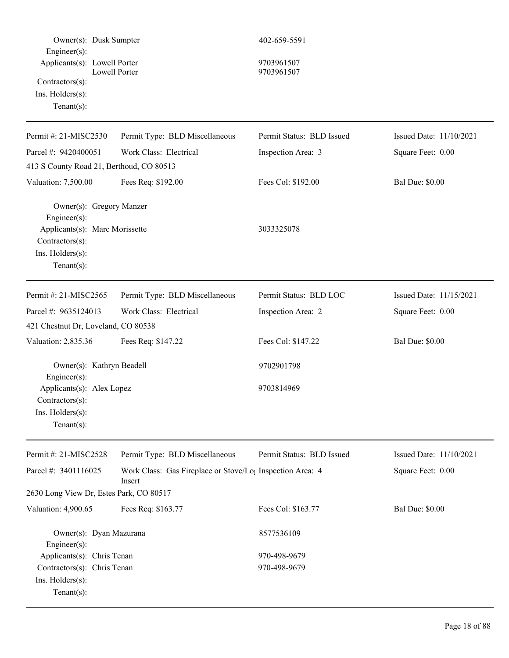| Owner(s): Dusk Sumpter<br>Engineer(s):<br>Applicants(s): Lowell Porter<br>Contractors(s):<br>Ins. Holders(s):<br>Tenant $(s)$ :         | <b>Lowell Porter</b>                                                            | 402-659-5591<br>9703961507<br>9703961507 |                         |
|-----------------------------------------------------------------------------------------------------------------------------------------|---------------------------------------------------------------------------------|------------------------------------------|-------------------------|
| Permit #: 21-MISC2530                                                                                                                   | Permit Type: BLD Miscellaneous                                                  | Permit Status: BLD Issued                | Issued Date: 11/10/2021 |
| Parcel #: 9420400051                                                                                                                    | Work Class: Electrical                                                          | Inspection Area: 3                       | Square Feet: 0.00       |
| 413 S County Road 21, Berthoud, CO 80513                                                                                                |                                                                                 |                                          |                         |
| Valuation: 7,500.00                                                                                                                     | Fees Req: \$192.00                                                              | Fees Col: \$192.00                       | <b>Bal Due: \$0.00</b>  |
| Owner(s): Gregory Manzer<br>Engineer $(s)$ :<br>Applicants(s): Marc Morissette<br>Contractors(s):<br>Ins. Holders(s):<br>Tenant $(s)$ : |                                                                                 | 3033325078                               |                         |
| Permit #: 21-MISC2565                                                                                                                   | Permit Type: BLD Miscellaneous                                                  | Permit Status: BLD LOC                   | Issued Date: 11/15/2021 |
| Parcel #: 9635124013                                                                                                                    | Work Class: Electrical                                                          | Inspection Area: 2                       | Square Feet: 0.00       |
| 421 Chestnut Dr, Loveland, CO 80538                                                                                                     |                                                                                 |                                          |                         |
| Valuation: 2,835.36                                                                                                                     | Fees Req: \$147.22                                                              | Fees Col: \$147.22                       | <b>Bal Due: \$0.00</b>  |
| Owner(s): Kathryn Beadell<br>Engineer(s):<br>Applicants(s): Alex Lopez<br>$Contractors(s)$ :<br>Ins. Holders(s):<br>Tenant $(s)$ :      |                                                                                 | 9702901798<br>9703814969                 |                         |
| Permit #: 21-MISC2528                                                                                                                   | Permit Type: BLD Miscellaneous                                                  | Permit Status: BLD Issued                | Issued Date: 11/10/2021 |
| Parcel #: 3401116025                                                                                                                    | Work Class: Gas Fireplace or Stove/Lo <sub>1</sub> Inspection Area: 4<br>Insert |                                          | Square Feet: 0.00       |
| 2630 Long View Dr, Estes Park, CO 80517                                                                                                 |                                                                                 |                                          |                         |
| Valuation: 4,900.65                                                                                                                     | Fees Req: \$163.77                                                              | Fees Col: \$163.77                       | <b>Bal Due: \$0.00</b>  |
| Owner(s): Dyan Mazurana<br>Engineer(s):                                                                                                 |                                                                                 | 8577536109                               |                         |
| Applicants(s): Chris Tenan<br>Contractors(s): Chris Tenan<br>Ins. Holders(s):<br>Tenant $(s)$ :                                         |                                                                                 | 970-498-9679<br>970-498-9679             |                         |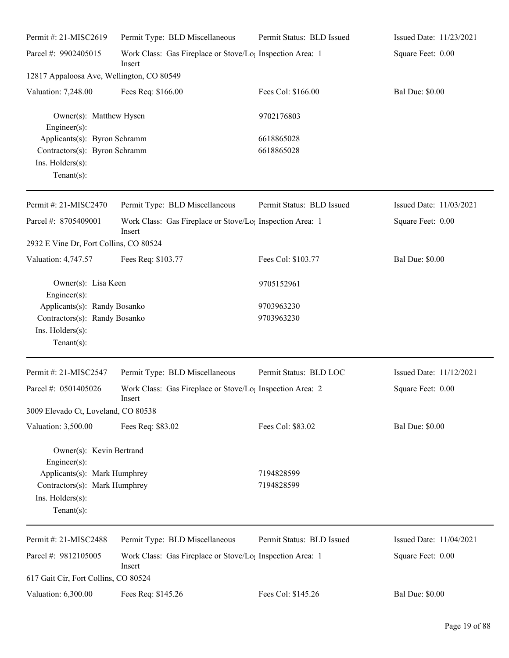| Permit #: 21-MISC2619                          | Permit Type: BLD Miscellaneous                                                  | Permit Status: BLD Issued | Issued Date: 11/23/2021 |
|------------------------------------------------|---------------------------------------------------------------------------------|---------------------------|-------------------------|
| Parcel #: 9902405015                           | Work Class: Gas Fireplace or Stove/Lo <sub>1</sub> Inspection Area: 1<br>Insert |                           | Square Feet: 0.00       |
| 12817 Appaloosa Ave, Wellington, CO 80549      |                                                                                 |                           |                         |
| Valuation: 7,248.00                            | Fees Req: \$166.00                                                              | Fees Col: \$166.00        | <b>Bal Due: \$0.00</b>  |
| Owner(s): Matthew Hysen<br>Engineer(s):        |                                                                                 | 9702176803                |                         |
| Applicants(s): Byron Schramm                   |                                                                                 | 6618865028                |                         |
| Contractors(s): Byron Schramm                  |                                                                                 | 6618865028                |                         |
| Ins. Holders(s):<br>Tenant $(s)$ :             |                                                                                 |                           |                         |
| Permit #: 21-MISC2470                          | Permit Type: BLD Miscellaneous                                                  | Permit Status: BLD Issued | Issued Date: 11/03/2021 |
| Parcel #: 8705409001                           | Work Class: Gas Fireplace or Stove/Lo <sub>1</sub> Inspection Area: 1<br>Insert |                           | Square Feet: 0.00       |
| 2932 E Vine Dr, Fort Collins, CO 80524         |                                                                                 |                           |                         |
| Valuation: 4,747.57                            | Fees Req: \$103.77                                                              | Fees Col: \$103.77        | <b>Bal Due: \$0.00</b>  |
| Owner(s): Lisa Keen<br>Engineer $(s)$ :        |                                                                                 | 9705152961                |                         |
| Applicants(s): Randy Bosanko                   |                                                                                 | 9703963230                |                         |
| Contractors(s): Randy Bosanko                  |                                                                                 | 9703963230                |                         |
| Ins. Holders(s):<br>$Tenant(s)$ :              |                                                                                 |                           |                         |
| Permit #: 21-MISC2547                          | Permit Type: BLD Miscellaneous                                                  | Permit Status: BLD LOC    | Issued Date: 11/12/2021 |
| Parcel #: 0501405026                           | Work Class: Gas Fireplace or Stove/Lo <sub>1</sub> Inspection Area: 2<br>Insert |                           | Square Feet: 0.00       |
| 3009 Elevado Ct, Loveland, CO 80538            |                                                                                 |                           |                         |
| Valuation: 3,500.00                            | Fees Req: \$83.02                                                               | Fees Col: \$83.02         | <b>Bal Due: \$0.00</b>  |
| Owner(s): Kevin Bertrand<br>$Engineering(s)$ : |                                                                                 |                           |                         |
| Applicants(s): Mark Humphrey                   |                                                                                 | 7194828599                |                         |
| Contractors(s): Mark Humphrey                  |                                                                                 | 7194828599                |                         |
| Ins. Holders(s):<br>Tenant $(s)$ :             |                                                                                 |                           |                         |
| Permit #: 21-MISC2488                          | Permit Type: BLD Miscellaneous                                                  | Permit Status: BLD Issued | Issued Date: 11/04/2021 |
| Parcel #: 9812105005                           | Work Class: Gas Fireplace or Stove/Lo <sub>1</sub> Inspection Area: 1<br>Insert |                           | Square Feet: 0.00       |
| 617 Gait Cir, Fort Collins, CO 80524           |                                                                                 |                           |                         |
| Valuation: 6,300.00                            | Fees Req: \$145.26                                                              | Fees Col: \$145.26        | <b>Bal Due: \$0.00</b>  |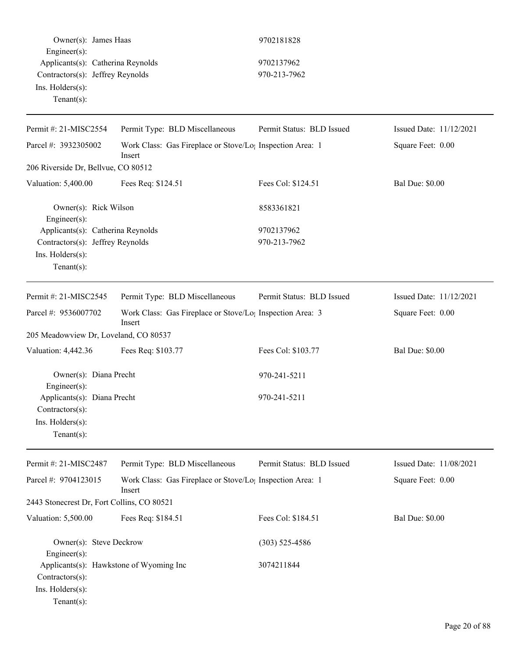|                        | Owner(s): James Haas              | 9702181828   |
|------------------------|-----------------------------------|--------------|
| $Engineer(s)$ :        |                                   |              |
|                        | Applicants(s): Catherina Reynolds | 9702137962   |
|                        | Contractors(s): Jeffrey Reynolds  | 970-213-7962 |
| $Ins.$ Holders $(s)$ : |                                   |              |
| Tenant $(s)$ :         |                                   |              |

## 9702181828

## $\frac{1}{5}$  1s

| Permit #: 21-MISC2554                                 | Permit Type: BLD Miscellaneous                                                  | Permit Status: BLD Issued | Issued Date: 11/12/2021 |
|-------------------------------------------------------|---------------------------------------------------------------------------------|---------------------------|-------------------------|
| Parcel #: 3932305002                                  | Work Class: Gas Fireplace or Stove/Lo <sub>1</sub> Inspection Area: 1<br>Insert |                           | Square Feet: 0.00       |
| 206 Riverside Dr, Bellvue, CO 80512                   |                                                                                 |                           |                         |
| Valuation: 5,400.00                                   | Fees Req: \$124.51                                                              | Fees Col: \$124.51        | <b>Bal Due: \$0.00</b>  |
| Owner(s): Rick Wilson<br>Engineer(s):                 |                                                                                 | 8583361821                |                         |
| Applicants(s): Catherina Reynolds                     |                                                                                 | 9702137962                |                         |
| Contractors(s): Jeffrey Reynolds                      |                                                                                 | 970-213-7962              |                         |
| Ins. Holders(s):                                      |                                                                                 |                           |                         |
| Tenant $(s)$ :                                        |                                                                                 |                           |                         |
| Permit #: 21-MISC2545                                 | Permit Type: BLD Miscellaneous                                                  | Permit Status: BLD Issued | Issued Date: 11/12/2021 |
| Parcel #: 9536007702                                  | Work Class: Gas Fireplace or Stove/Lo; Inspection Area: 3<br>Insert             |                           | Square Feet: 0.00       |
| 205 Meadowview Dr, Loveland, CO 80537                 |                                                                                 |                           |                         |
| Valuation: 4,442.36                                   | Fees Req: \$103.77                                                              | Fees Col: \$103.77        | <b>Bal Due: \$0.00</b>  |
| Owner(s): Diana Precht                                |                                                                                 | 970-241-5211              |                         |
| Engineer(s):<br>Applicants(s): Diana Precht           |                                                                                 | 970-241-5211              |                         |
| Contractors(s):                                       |                                                                                 |                           |                         |
| Ins. Holders(s):                                      |                                                                                 |                           |                         |
| Tenant $(s)$ :                                        |                                                                                 |                           |                         |
| Permit #: 21-MISC2487                                 | Permit Type: BLD Miscellaneous                                                  | Permit Status: BLD Issued | Issued Date: 11/08/2021 |
| Parcel #: 9704123015                                  | Work Class: Gas Fireplace or Stove/Lo <sub>1</sub> Inspection Area: 1<br>Insert |                           | Square Feet: 0.00       |
| 2443 Stonecrest Dr, Fort Collins, CO 80521            |                                                                                 |                           |                         |
| Valuation: 5,500.00                                   | Fees Req: \$184.51                                                              | Fees Col: \$184.51        | <b>Bal Due: \$0.00</b>  |
| Owner(s): Steve Deckrow<br>Engineer(s):               |                                                                                 | $(303)$ 525-4586          |                         |
| Contractors(s):<br>Ins. Holders(s):<br>Tenant $(s)$ : | Applicants(s): Hawkstone of Wyoming Inc                                         | 3074211844                |                         |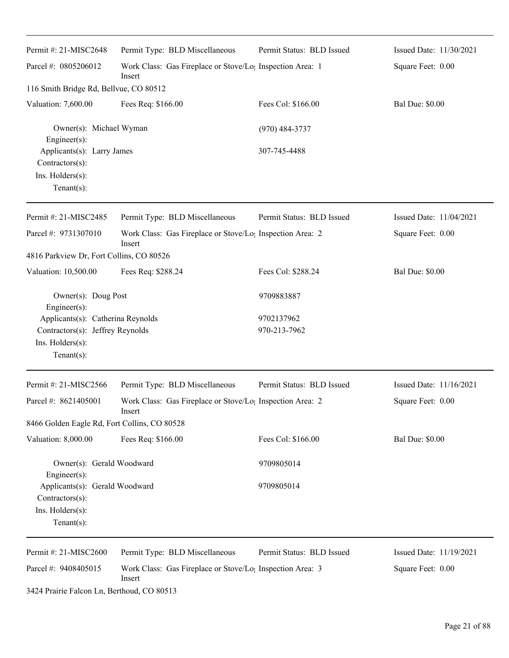| Permit #: 21-MISC2648                                                                                       | Permit Type: BLD Miscellaneous                                                  | Permit Status: BLD Issued  | Issued Date: 11/30/2021 |
|-------------------------------------------------------------------------------------------------------------|---------------------------------------------------------------------------------|----------------------------|-------------------------|
| Parcel #: 0805206012                                                                                        | Work Class: Gas Fireplace or Stove/Lo; Inspection Area: 1<br>Insert             |                            | Square Feet: 0.00       |
| 116 Smith Bridge Rd, Bellvue, CO 80512                                                                      |                                                                                 |                            |                         |
| Valuation: 7,600.00                                                                                         | Fees Req: \$166.00                                                              | Fees Col: \$166.00         | <b>Bal Due: \$0.00</b>  |
| Owner(s): Michael Wyman<br>Engineer(s):                                                                     |                                                                                 | $(970)$ 484-3737           |                         |
| Applicants(s): Larry James<br>Contractors(s):<br>Ins. Holders(s):<br>Tenant $(s)$ :                         |                                                                                 | 307-745-4488               |                         |
| Permit #: 21-MISC2485                                                                                       | Permit Type: BLD Miscellaneous                                                  | Permit Status: BLD Issued  | Issued Date: 11/04/2021 |
| Parcel #: 9731307010                                                                                        | Work Class: Gas Fireplace or Stove/Lo <sub>1</sub> Inspection Area: 2<br>Insert |                            | Square Feet: 0.00       |
| 4816 Parkview Dr, Fort Collins, CO 80526                                                                    |                                                                                 |                            |                         |
| Valuation: 10,500.00                                                                                        | Fees Req: \$288.24                                                              | Fees Col: \$288.24         | <b>Bal Due: \$0.00</b>  |
| Owner(s): Doug Post<br>Engineer(s):                                                                         |                                                                                 | 9709883887                 |                         |
| Applicants(s): Catherina Reynolds<br>Contractors(s): Jeffrey Reynolds<br>Ins. Holders(s):<br>Tenant $(s)$ : |                                                                                 | 9702137962<br>970-213-7962 |                         |
| Permit #: 21-MISC2566                                                                                       | Permit Type: BLD Miscellaneous                                                  | Permit Status: BLD Issued  | Issued Date: 11/16/2021 |
| Parcel #: 8621405001                                                                                        | Work Class: Gas Fireplace or Stove/Lo <sub>1</sub> Inspection Area: 2<br>Insert |                            | Square Feet: 0.00       |
| 8466 Golden Eagle Rd, Fort Collins, CO 80528                                                                |                                                                                 |                            |                         |
| Valuation: 8,000.00                                                                                         | Fees Req: \$166.00                                                              | Fees Col: \$166.00         | <b>Bal Due: \$0.00</b>  |
| Owner(s): Gerald Woodward<br>Engineer $(s)$ :                                                               |                                                                                 | 9709805014                 |                         |
| Applicants(s): Gerald Woodward<br>Contractors(s):<br>Ins. Holders(s):<br>$Tenant(s)$ :                      |                                                                                 | 9709805014                 |                         |
| Permit #: 21-MISC2600                                                                                       | Permit Type: BLD Miscellaneous                                                  | Permit Status: BLD Issued  | Issued Date: 11/19/2021 |
| Parcel #: 9408405015                                                                                        | Work Class: Gas Fireplace or Stove/Lo <sub>1</sub> Inspection Area: 3<br>Insert |                            | Square Feet: 0.00       |

3424 Prairie Falcon Ln, Berthoud, CO 80513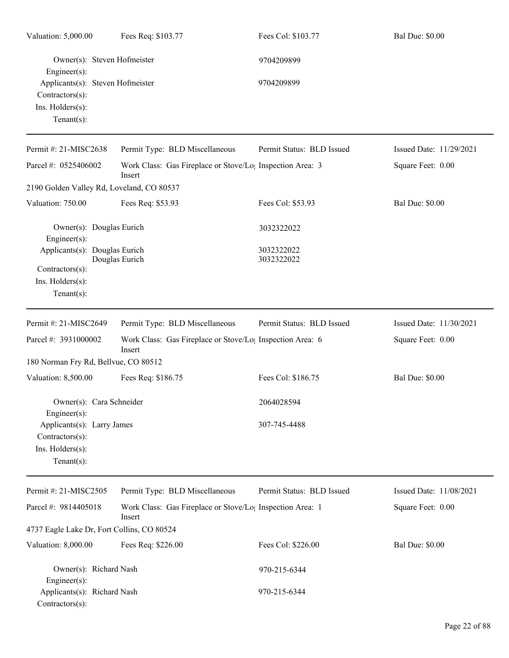| Valuation: 5,000.00                                                                          | Fees Req: \$103.77                                                              | Fees Col: \$103.77           | <b>Bal Due: \$0.00</b>  |
|----------------------------------------------------------------------------------------------|---------------------------------------------------------------------------------|------------------------------|-------------------------|
| Owner(s): Steven Hofmeister<br>Engineer(s):                                                  |                                                                                 | 9704209899                   |                         |
| Applicants(s): Steven Hofmeister<br>$Contractors(s)$ :<br>Ins. Holders(s):<br>Tenant $(s)$ : |                                                                                 | 9704209899                   |                         |
| Permit #: 21-MISC2638                                                                        | Permit Type: BLD Miscellaneous                                                  | Permit Status: BLD Issued    | Issued Date: 11/29/2021 |
| Parcel #: 0525406002                                                                         | Work Class: Gas Fireplace or Stove/Lo <sub>1</sub> Inspection Area: 3<br>Insert |                              | Square Feet: 0.00       |
| 2190 Golden Valley Rd, Loveland, CO 80537                                                    |                                                                                 |                              |                         |
| Valuation: 750.00                                                                            | Fees Req: \$53.93                                                               | Fees Col: \$53.93            | <b>Bal Due: \$0.00</b>  |
| Owner(s): Douglas Eurich<br>Engineer(s):                                                     |                                                                                 | 3032322022                   |                         |
| Applicants(s): Douglas Eurich<br>Contractors(s):<br>Ins. Holders(s):<br>Tenant $(s)$ :       | Douglas Eurich                                                                  | 3032322022<br>3032322022     |                         |
| Permit #: 21-MISC2649                                                                        | Permit Type: BLD Miscellaneous                                                  | Permit Status: BLD Issued    | Issued Date: 11/30/2021 |
| Parcel #: 3931000002                                                                         | Work Class: Gas Fireplace or Stove/Lo <sub>1</sub> Inspection Area: 6<br>Insert |                              | Square Feet: 0.00       |
| 180 Norman Fry Rd, Bellvue, CO 80512                                                         |                                                                                 |                              |                         |
| Valuation: 8,500.00                                                                          | Fees Req: \$186.75                                                              | Fees Col: \$186.75           | <b>Bal Due: \$0.00</b>  |
| Owner(s): Cara Schneider<br>Engineer(s):                                                     |                                                                                 | 2064028594                   |                         |
| Applicants(s): Larry James<br>Contractors(s):<br>Ins. Holders(s):<br>Tenant $(s)$ :          |                                                                                 | 307-745-4488                 |                         |
| Permit #: 21-MISC2505                                                                        | Permit Type: BLD Miscellaneous                                                  | Permit Status: BLD Issued    | Issued Date: 11/08/2021 |
| Parcel #: 9814405018                                                                         | Work Class: Gas Fireplace or Stove/Lo <sub>1</sub> Inspection Area: 1<br>Insert |                              | Square Feet: 0.00       |
| 4737 Eagle Lake Dr, Fort Collins, CO 80524                                                   |                                                                                 |                              |                         |
| Valuation: 8,000.00                                                                          | Fees Req: \$226.00                                                              | Fees Col: \$226.00           | <b>Bal Due: \$0.00</b>  |
| Owner(s): Richard Nash<br>Engineer(s):<br>Applicants(s): Richard Nash<br>Contractors(s):     |                                                                                 | 970-215-6344<br>970-215-6344 |                         |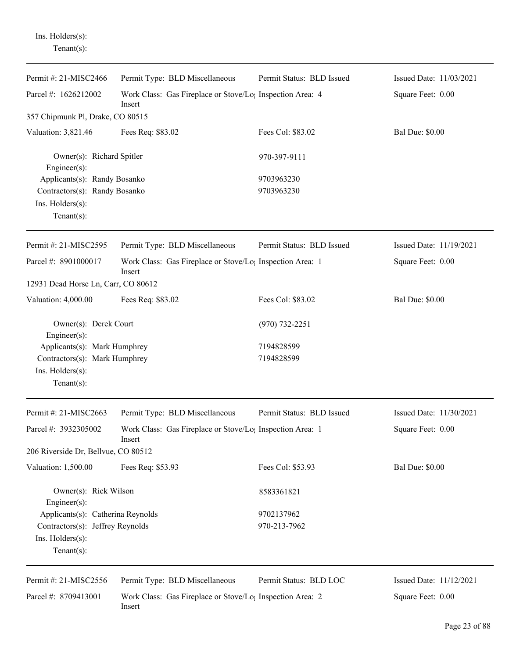Ins. Holders(s): Tenant(s):

| Parcel #: 1626212002<br>Work Class: Gas Fireplace or Stove/Lo; Inspection Area: 4<br>Square Feet: 0.00<br>Insert<br>357 Chipmunk Pl, Drake, CO 80515<br>Valuation: 3,821.46<br>Fees Col: \$83.02<br><b>Bal Due: \$0.00</b><br>Fees Req: \$83.02<br>Owner(s): Richard Spitler<br>970-397-9111<br>Engineer(s):<br>Applicants(s): Randy Bosanko<br>9703963230<br>Contractors(s): Randy Bosanko<br>9703963230<br>Ins. Holders(s):<br>Tenant $(s)$ :<br>Permit Status: BLD Issued<br>Issued Date: 11/19/2021<br>Permit #: 21-MISC2595<br>Permit Type: BLD Miscellaneous<br>Parcel #: 8901000017<br>Work Class: Gas Fireplace or Stove/Lo <sub>1</sub> Inspection Area: 1<br>Square Feet: 0.00<br>Insert<br>12931 Dead Horse Ln, Carr, CO 80612<br>Valuation: 4,000.00<br>Fees Req: \$83.02<br>Fees Col: \$83.02<br><b>Bal Due: \$0.00</b><br>Owner(s): Derek Court<br>$(970) 732 - 2251$<br>Engineer $(s)$ :<br>Applicants(s): Mark Humphrey<br>7194828599<br>Contractors(s): Mark Humphrey<br>7194828599<br>Ins. Holders(s):<br>Tenant $(s)$ :<br>Permit #: 21-MISC2663<br>Permit Type: BLD Miscellaneous<br>Permit Status: BLD Issued<br>Issued Date: 11/30/2021<br>Parcel #: 3932305002<br>Work Class: Gas Fireplace or Stove/Lo; Inspection Area: 1<br>Square Feet: 0.00<br>Insert<br>206 Riverside Dr, Bellvue, CO 80512<br><b>Bal Due: \$0.00</b><br>Valuation: 1,500.00<br>Fees Req: \$53.93<br>Fees Col: \$53.93<br>Owner(s): Rick Wilson<br>8583361821<br>$Engineering(s)$ :<br>Applicants(s): Catherina Reynolds<br>9702137962<br>Contractors(s): Jeffrey Reynolds<br>970-213-7962<br>Ins. Holders(s):<br>Tenant $(s)$ :<br>Permit #: 21-MISC2556<br>Permit Type: BLD Miscellaneous<br>Permit Status: BLD LOC<br>Issued Date: 11/12/2021<br>Parcel #: 8709413001<br>Work Class: Gas Fireplace or Stove/Lo <sub>1</sub> Inspection Area: 2<br>Square Feet: 0.00<br>Insert | Permit #: 21-MISC2466 | Permit Type: BLD Miscellaneous | Permit Status: BLD Issued | Issued Date: 11/03/2021 |
|-------------------------------------------------------------------------------------------------------------------------------------------------------------------------------------------------------------------------------------------------------------------------------------------------------------------------------------------------------------------------------------------------------------------------------------------------------------------------------------------------------------------------------------------------------------------------------------------------------------------------------------------------------------------------------------------------------------------------------------------------------------------------------------------------------------------------------------------------------------------------------------------------------------------------------------------------------------------------------------------------------------------------------------------------------------------------------------------------------------------------------------------------------------------------------------------------------------------------------------------------------------------------------------------------------------------------------------------------------------------------------------------------------------------------------------------------------------------------------------------------------------------------------------------------------------------------------------------------------------------------------------------------------------------------------------------------------------------------------------------------------------------------------------------------------------------------------------------------------------------------------|-----------------------|--------------------------------|---------------------------|-------------------------|
|                                                                                                                                                                                                                                                                                                                                                                                                                                                                                                                                                                                                                                                                                                                                                                                                                                                                                                                                                                                                                                                                                                                                                                                                                                                                                                                                                                                                                                                                                                                                                                                                                                                                                                                                                                                                                                                                               |                       |                                |                           |                         |
|                                                                                                                                                                                                                                                                                                                                                                                                                                                                                                                                                                                                                                                                                                                                                                                                                                                                                                                                                                                                                                                                                                                                                                                                                                                                                                                                                                                                                                                                                                                                                                                                                                                                                                                                                                                                                                                                               |                       |                                |                           |                         |
|                                                                                                                                                                                                                                                                                                                                                                                                                                                                                                                                                                                                                                                                                                                                                                                                                                                                                                                                                                                                                                                                                                                                                                                                                                                                                                                                                                                                                                                                                                                                                                                                                                                                                                                                                                                                                                                                               |                       |                                |                           |                         |
|                                                                                                                                                                                                                                                                                                                                                                                                                                                                                                                                                                                                                                                                                                                                                                                                                                                                                                                                                                                                                                                                                                                                                                                                                                                                                                                                                                                                                                                                                                                                                                                                                                                                                                                                                                                                                                                                               |                       |                                |                           |                         |
|                                                                                                                                                                                                                                                                                                                                                                                                                                                                                                                                                                                                                                                                                                                                                                                                                                                                                                                                                                                                                                                                                                                                                                                                                                                                                                                                                                                                                                                                                                                                                                                                                                                                                                                                                                                                                                                                               |                       |                                |                           |                         |
|                                                                                                                                                                                                                                                                                                                                                                                                                                                                                                                                                                                                                                                                                                                                                                                                                                                                                                                                                                                                                                                                                                                                                                                                                                                                                                                                                                                                                                                                                                                                                                                                                                                                                                                                                                                                                                                                               |                       |                                |                           |                         |
|                                                                                                                                                                                                                                                                                                                                                                                                                                                                                                                                                                                                                                                                                                                                                                                                                                                                                                                                                                                                                                                                                                                                                                                                                                                                                                                                                                                                                                                                                                                                                                                                                                                                                                                                                                                                                                                                               |                       |                                |                           |                         |
|                                                                                                                                                                                                                                                                                                                                                                                                                                                                                                                                                                                                                                                                                                                                                                                                                                                                                                                                                                                                                                                                                                                                                                                                                                                                                                                                                                                                                                                                                                                                                                                                                                                                                                                                                                                                                                                                               |                       |                                |                           |                         |
|                                                                                                                                                                                                                                                                                                                                                                                                                                                                                                                                                                                                                                                                                                                                                                                                                                                                                                                                                                                                                                                                                                                                                                                                                                                                                                                                                                                                                                                                                                                                                                                                                                                                                                                                                                                                                                                                               |                       |                                |                           |                         |
|                                                                                                                                                                                                                                                                                                                                                                                                                                                                                                                                                                                                                                                                                                                                                                                                                                                                                                                                                                                                                                                                                                                                                                                                                                                                                                                                                                                                                                                                                                                                                                                                                                                                                                                                                                                                                                                                               |                       |                                |                           |                         |
|                                                                                                                                                                                                                                                                                                                                                                                                                                                                                                                                                                                                                                                                                                                                                                                                                                                                                                                                                                                                                                                                                                                                                                                                                                                                                                                                                                                                                                                                                                                                                                                                                                                                                                                                                                                                                                                                               |                       |                                |                           |                         |
|                                                                                                                                                                                                                                                                                                                                                                                                                                                                                                                                                                                                                                                                                                                                                                                                                                                                                                                                                                                                                                                                                                                                                                                                                                                                                                                                                                                                                                                                                                                                                                                                                                                                                                                                                                                                                                                                               |                       |                                |                           |                         |
|                                                                                                                                                                                                                                                                                                                                                                                                                                                                                                                                                                                                                                                                                                                                                                                                                                                                                                                                                                                                                                                                                                                                                                                                                                                                                                                                                                                                                                                                                                                                                                                                                                                                                                                                                                                                                                                                               |                       |                                |                           |                         |
|                                                                                                                                                                                                                                                                                                                                                                                                                                                                                                                                                                                                                                                                                                                                                                                                                                                                                                                                                                                                                                                                                                                                                                                                                                                                                                                                                                                                                                                                                                                                                                                                                                                                                                                                                                                                                                                                               |                       |                                |                           |                         |
|                                                                                                                                                                                                                                                                                                                                                                                                                                                                                                                                                                                                                                                                                                                                                                                                                                                                                                                                                                                                                                                                                                                                                                                                                                                                                                                                                                                                                                                                                                                                                                                                                                                                                                                                                                                                                                                                               |                       |                                |                           |                         |
|                                                                                                                                                                                                                                                                                                                                                                                                                                                                                                                                                                                                                                                                                                                                                                                                                                                                                                                                                                                                                                                                                                                                                                                                                                                                                                                                                                                                                                                                                                                                                                                                                                                                                                                                                                                                                                                                               |                       |                                |                           |                         |
|                                                                                                                                                                                                                                                                                                                                                                                                                                                                                                                                                                                                                                                                                                                                                                                                                                                                                                                                                                                                                                                                                                                                                                                                                                                                                                                                                                                                                                                                                                                                                                                                                                                                                                                                                                                                                                                                               |                       |                                |                           |                         |
|                                                                                                                                                                                                                                                                                                                                                                                                                                                                                                                                                                                                                                                                                                                                                                                                                                                                                                                                                                                                                                                                                                                                                                                                                                                                                                                                                                                                                                                                                                                                                                                                                                                                                                                                                                                                                                                                               |                       |                                |                           |                         |
|                                                                                                                                                                                                                                                                                                                                                                                                                                                                                                                                                                                                                                                                                                                                                                                                                                                                                                                                                                                                                                                                                                                                                                                                                                                                                                                                                                                                                                                                                                                                                                                                                                                                                                                                                                                                                                                                               |                       |                                |                           |                         |
|                                                                                                                                                                                                                                                                                                                                                                                                                                                                                                                                                                                                                                                                                                                                                                                                                                                                                                                                                                                                                                                                                                                                                                                                                                                                                                                                                                                                                                                                                                                                                                                                                                                                                                                                                                                                                                                                               |                       |                                |                           |                         |
|                                                                                                                                                                                                                                                                                                                                                                                                                                                                                                                                                                                                                                                                                                                                                                                                                                                                                                                                                                                                                                                                                                                                                                                                                                                                                                                                                                                                                                                                                                                                                                                                                                                                                                                                                                                                                                                                               |                       |                                |                           |                         |
|                                                                                                                                                                                                                                                                                                                                                                                                                                                                                                                                                                                                                                                                                                                                                                                                                                                                                                                                                                                                                                                                                                                                                                                                                                                                                                                                                                                                                                                                                                                                                                                                                                                                                                                                                                                                                                                                               |                       |                                |                           |                         |
|                                                                                                                                                                                                                                                                                                                                                                                                                                                                                                                                                                                                                                                                                                                                                                                                                                                                                                                                                                                                                                                                                                                                                                                                                                                                                                                                                                                                                                                                                                                                                                                                                                                                                                                                                                                                                                                                               |                       |                                |                           |                         |
|                                                                                                                                                                                                                                                                                                                                                                                                                                                                                                                                                                                                                                                                                                                                                                                                                                                                                                                                                                                                                                                                                                                                                                                                                                                                                                                                                                                                                                                                                                                                                                                                                                                                                                                                                                                                                                                                               |                       |                                |                           |                         |
|                                                                                                                                                                                                                                                                                                                                                                                                                                                                                                                                                                                                                                                                                                                                                                                                                                                                                                                                                                                                                                                                                                                                                                                                                                                                                                                                                                                                                                                                                                                                                                                                                                                                                                                                                                                                                                                                               |                       |                                |                           |                         |
|                                                                                                                                                                                                                                                                                                                                                                                                                                                                                                                                                                                                                                                                                                                                                                                                                                                                                                                                                                                                                                                                                                                                                                                                                                                                                                                                                                                                                                                                                                                                                                                                                                                                                                                                                                                                                                                                               |                       |                                |                           |                         |
|                                                                                                                                                                                                                                                                                                                                                                                                                                                                                                                                                                                                                                                                                                                                                                                                                                                                                                                                                                                                                                                                                                                                                                                                                                                                                                                                                                                                                                                                                                                                                                                                                                                                                                                                                                                                                                                                               |                       |                                |                           |                         |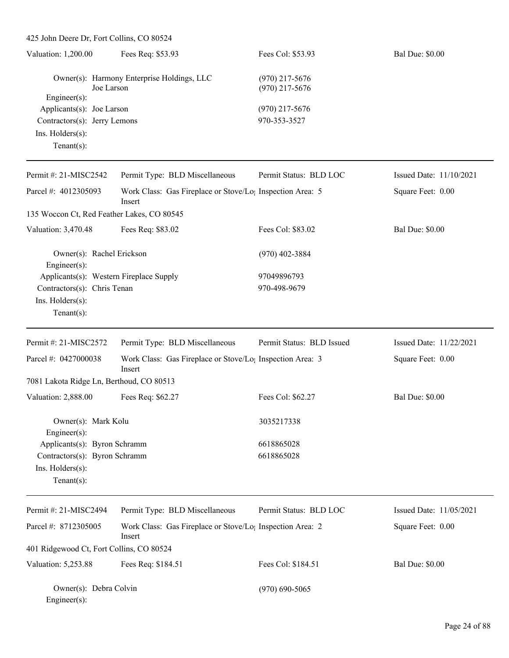| 425 John Deere Dr, Fort Collins, CO 80524  |                                                                                 |                                      |                         |
|--------------------------------------------|---------------------------------------------------------------------------------|--------------------------------------|-------------------------|
| Valuation: 1,200.00                        | Fees Req: \$53.93                                                               | Fees Col: \$53.93                    | <b>Bal Due: \$0.00</b>  |
| Joe Larson<br>Engineer(s):                 | Owner(s): Harmony Enterprise Holdings, LLC                                      | $(970)$ 217-5676<br>$(970)$ 217-5676 |                         |
| Applicants(s): Joe Larson                  |                                                                                 | $(970)$ 217-5676                     |                         |
| Contractors(s): Jerry Lemons               |                                                                                 | 970-353-3527                         |                         |
| Ins. Holders(s):<br>Tenant $(s)$ :         |                                                                                 |                                      |                         |
| Permit #: 21-MISC2542                      | Permit Type: BLD Miscellaneous                                                  | Permit Status: BLD LOC               | Issued Date: 11/10/2021 |
| Parcel #: 4012305093                       | Work Class: Gas Fireplace or Stove/Lo <sub>1</sub> Inspection Area: 5<br>Insert |                                      | Square Feet: 0.00       |
| 135 Woccon Ct, Red Feather Lakes, CO 80545 |                                                                                 |                                      |                         |
| Valuation: 3,470.48                        | Fees Req: \$83.02                                                               | Fees Col: \$83.02                    | <b>Bal Due: \$0.00</b>  |
| Owner(s): Rachel Erickson<br>Engineer(s):  |                                                                                 | $(970)$ 402-3884                     |                         |
| Applicants(s): Western Fireplace Supply    |                                                                                 | 97049896793                          |                         |
| Contractors(s): Chris Tenan                |                                                                                 | 970-498-9679                         |                         |
| Ins. Holders(s):                           |                                                                                 |                                      |                         |
| $Tenant(s)$ :                              |                                                                                 |                                      |                         |
| Permit #: 21-MISC2572                      | Permit Type: BLD Miscellaneous                                                  | Permit Status: BLD Issued            | Issued Date: 11/22/2021 |
| Parcel #: 0427000038                       | Work Class: Gas Fireplace or Stove/Lo; Inspection Area: 3<br>Insert             |                                      | Square Feet: 0.00       |
| 7081 Lakota Ridge Ln, Berthoud, CO 80513   |                                                                                 |                                      |                         |
| Valuation: 2,888.00                        | Fees Req: \$62.27                                                               | Fees Col: \$62.27                    | <b>Bal Due: \$0.00</b>  |
| Owner(s): Mark Kolu<br>Engineer(s):        |                                                                                 | 3035217338                           |                         |
| Applicants(s): Byron Schramm               |                                                                                 | 6618865028                           |                         |
| Contractors(s): Byron Schramm              |                                                                                 | 6618865028                           |                         |
| Ins. Holders(s):<br>Tenant $(s)$ :         |                                                                                 |                                      |                         |
| Permit #: 21-MISC2494                      | Permit Type: BLD Miscellaneous                                                  | Permit Status: BLD LOC               | Issued Date: 11/05/2021 |
| Parcel #: 8712305005                       | Work Class: Gas Fireplace or Stove/Lo <sub>l</sub> Inspection Area: 2<br>Insert |                                      | Square Feet: 0.00       |
| 401 Ridgewood Ct, Fort Collins, CO 80524   |                                                                                 |                                      |                         |
| Valuation: 5,253.88                        | Fees Req: \$184.51                                                              | Fees Col: \$184.51                   | <b>Bal Due: \$0.00</b>  |
| Owner(s): Debra Colvin<br>Engineer(s):     |                                                                                 | $(970) 690 - 5065$                   |                         |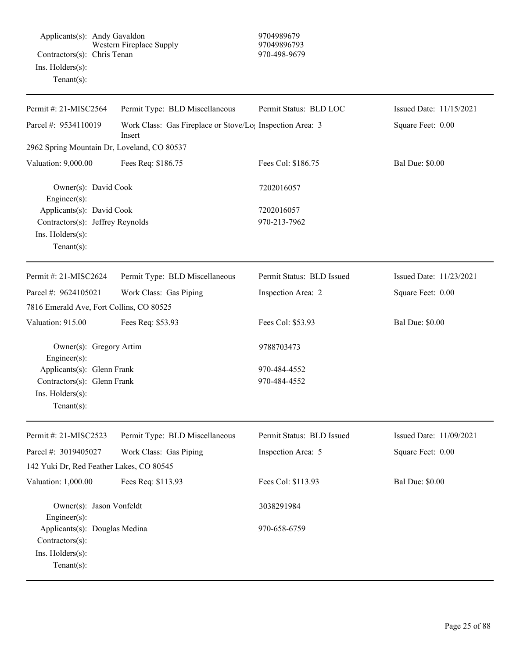| Permit #: 21-MISC2564                                                                               | Permit Type: BLD Miscellaneous                                                  | Permit Status: BLD LOC       | Issued Date: 11/15/2021 |
|-----------------------------------------------------------------------------------------------------|---------------------------------------------------------------------------------|------------------------------|-------------------------|
| Parcel #: 9534110019                                                                                | Work Class: Gas Fireplace or Stove/Lo <sub>1</sub> Inspection Area: 3<br>Insert |                              | Square Feet: 0.00       |
| 2962 Spring Mountain Dr, Loveland, CO 80537                                                         |                                                                                 |                              |                         |
| Valuation: 9,000.00                                                                                 | Fees Req: \$186.75                                                              | Fees Col: \$186.75           | <b>Bal Due: \$0.00</b>  |
| Owner(s): David Cook<br>Engineer(s):                                                                |                                                                                 | 7202016057                   |                         |
| Applicants(s): David Cook<br>Contractors(s): Jeffrey Reynolds<br>Ins. Holders(s):<br>Tenant $(s)$ : |                                                                                 | 7202016057<br>970-213-7962   |                         |
| Permit#: 21-MISC2624                                                                                | Permit Type: BLD Miscellaneous                                                  | Permit Status: BLD Issued    | Issued Date: 11/23/2021 |
| Parcel #: 9624105021                                                                                | Work Class: Gas Piping                                                          | Inspection Area: 2           | Square Feet: 0.00       |
| 7816 Emerald Ave, Fort Collins, CO 80525                                                            |                                                                                 |                              |                         |
| Valuation: 915.00                                                                                   | Fees Req: \$53.93                                                               | Fees Col: \$53.93            | <b>Bal Due: \$0.00</b>  |
| Owner(s): Gregory Artim<br>Engineer(s):                                                             |                                                                                 | 9788703473                   |                         |
| Applicants(s): Glenn Frank<br>Contractors(s): Glenn Frank<br>Ins. Holders(s):<br>$Tenant(s)$ :      |                                                                                 | 970-484-4552<br>970-484-4552 |                         |
| Permit #: 21-MISC2523                                                                               | Permit Type: BLD Miscellaneous                                                  | Permit Status: BLD Issued    | Issued Date: 11/09/2021 |
| Parcel #: 3019405027                                                                                | Work Class: Gas Piping                                                          | Inspection Area: 5           | Square Feet: 0.00       |
| 142 Yuki Dr, Red Feather Lakes, CO 80545                                                            |                                                                                 |                              |                         |
| Valuation: 1,000.00                                                                                 | Fees Req: \$113.93                                                              | Fees Col: \$113.93           | <b>Bal Due: \$0.00</b>  |
| Owner(s): Jason Vonfeldt<br>Engineer(s):                                                            |                                                                                 | 3038291984                   |                         |
| Applicants(s): Douglas Medina<br>Contractors(s):<br>Ins. Holders(s):<br>$Tenant(s)$ :               |                                                                                 | 970-658-6759                 |                         |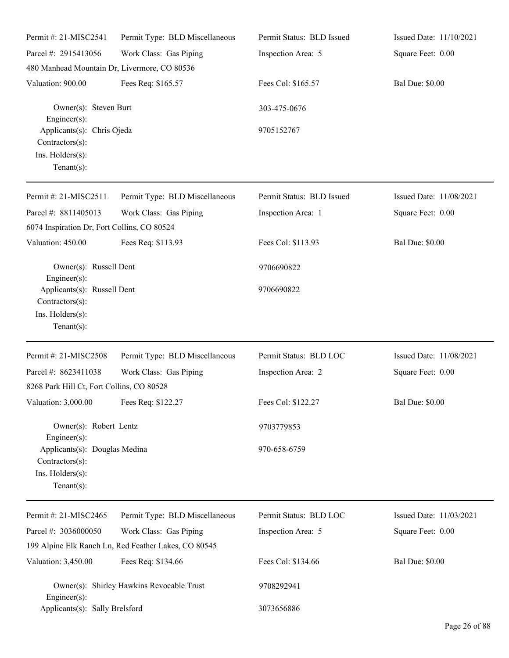| Permit #: 21-MISC2541                                                                     | Permit Type: BLD Miscellaneous                       | Permit Status: BLD Issued | Issued Date: 11/10/2021 |
|-------------------------------------------------------------------------------------------|------------------------------------------------------|---------------------------|-------------------------|
| Parcel #: 2915413056                                                                      | Work Class: Gas Piping                               | Inspection Area: 5        | Square Feet: 0.00       |
| 480 Manhead Mountain Dr, Livermore, CO 80536                                              |                                                      |                           |                         |
| Valuation: 900.00                                                                         | Fees Req: \$165.57                                   | Fees Col: \$165.57        | <b>Bal Due: \$0.00</b>  |
| Owner(s): Steven Burt<br>Engineer $(s)$ :                                                 |                                                      | 303-475-0676              |                         |
| Applicants(s): Chris Ojeda<br>$Contractors(s)$ :<br>Ins. Holders(s):<br>$Tenant(s)$ :     |                                                      | 9705152767                |                         |
| Permit #: 21-MISC2511                                                                     | Permit Type: BLD Miscellaneous                       | Permit Status: BLD Issued | Issued Date: 11/08/2021 |
| Parcel #: 8811405013<br>6074 Inspiration Dr, Fort Collins, CO 80524                       | Work Class: Gas Piping                               | Inspection Area: 1        | Square Feet: 0.00       |
| Valuation: 450.00                                                                         | Fees Req: \$113.93                                   | Fees Col: \$113.93        | <b>Bal Due: \$0.00</b>  |
| Owner(s): Russell Dent<br>Engineer(s):                                                    |                                                      | 9706690822                |                         |
| Applicants(s): Russell Dent<br>Contractors(s):<br>Ins. Holders(s):<br>Tenant $(s)$ :      |                                                      | 9706690822                |                         |
| Permit #: 21-MISC2508                                                                     | Permit Type: BLD Miscellaneous                       | Permit Status: BLD LOC    | Issued Date: 11/08/2021 |
| Parcel #: 8623411038                                                                      | Work Class: Gas Piping                               | Inspection Area: 2        | Square Feet: 0.00       |
| 8268 Park Hill Ct, Fort Collins, CO 80528                                                 |                                                      |                           |                         |
| Valuation: 3,000.00                                                                       | Fees Req: \$122.27                                   | Fees Col: \$122.27        | <b>Bal Due: \$0.00</b>  |
| Owner(s): Robert Lentz<br>Engineer $(s)$ :                                                |                                                      | 9703779853                |                         |
| Applicants(s): Douglas Medina<br>$Contractors(s)$ :<br>Ins. Holders(s):<br>Tenant $(s)$ : |                                                      | 970-658-6759              |                         |
| Permit #: 21-MISC2465                                                                     | Permit Type: BLD Miscellaneous                       | Permit Status: BLD LOC    | Issued Date: 11/03/2021 |
| Parcel #: 3036000050                                                                      | Work Class: Gas Piping                               | Inspection Area: 5        | Square Feet: 0.00       |
|                                                                                           | 199 Alpine Elk Ranch Ln, Red Feather Lakes, CO 80545 |                           |                         |
| Valuation: 3,450.00                                                                       | Fees Req: \$134.66                                   | Fees Col: \$134.66        | <b>Bal Due: \$0.00</b>  |
| Owner(s): Shirley Hawkins Revocable Trust<br>Engineer $(s)$ :                             |                                                      | 9708292941                |                         |
| Applicants(s): Sally Brelsford                                                            |                                                      | 3073656886                |                         |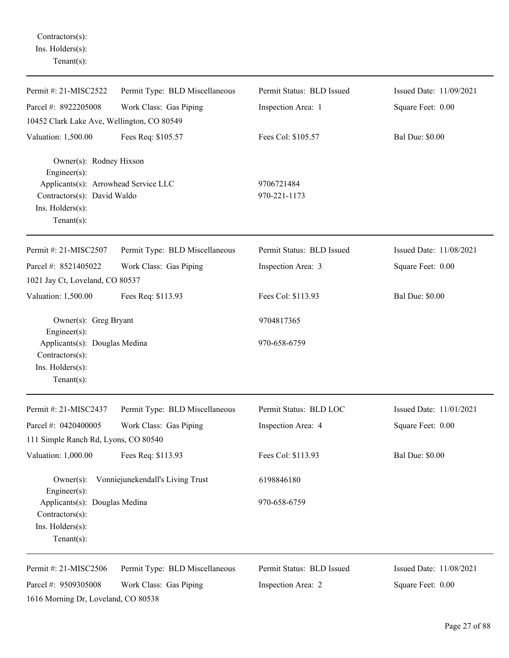Contractors(s): Ins. Holders(s): Tenant(s):

| Permit #: 21-MISC2522                                                                  | Permit Type: BLD Miscellaneous   | Permit Status: BLD Issued | Issued Date: 11/09/2021 |
|----------------------------------------------------------------------------------------|----------------------------------|---------------------------|-------------------------|
| Parcel #: 8922205008                                                                   | Work Class: Gas Piping           | Inspection Area: 1        | Square Feet: 0.00       |
| 10452 Clark Lake Ave, Wellington, CO 80549                                             |                                  |                           |                         |
| Valuation: 1,500.00                                                                    | Fees Req: \$105.57               | Fees Col: \$105.57        | <b>Bal Due: \$0.00</b>  |
| Owner(s): Rodney Hixson<br>Engineer(s):<br>Applicants(s): Arrowhead Service LLC        |                                  | 9706721484                |                         |
| Contractors(s): David Waldo<br>Ins. Holders(s):<br>Tenant $(s)$ :                      |                                  | 970-221-1173              |                         |
| Permit #: 21-MISC2507                                                                  | Permit Type: BLD Miscellaneous   | Permit Status: BLD Issued | Issued Date: 11/08/2021 |
| Parcel #: 8521405022<br>1021 Jay Ct, Loveland, CO 80537                                | Work Class: Gas Piping           | Inspection Area: 3        | Square Feet: 0.00       |
| Valuation: 1,500.00                                                                    | Fees Req: \$113.93               | Fees Col: \$113.93        | <b>Bal Due: \$0.00</b>  |
| Owner(s): Greg Bryant<br>Engineer(s):                                                  |                                  | 9704817365                |                         |
| Applicants(s): Douglas Medina<br>Contractors(s):<br>Ins. Holders(s):<br>Tenant $(s)$ : |                                  | 970-658-6759              |                         |
| Permit #: 21-MISC2437                                                                  | Permit Type: BLD Miscellaneous   | Permit Status: BLD LOC    | Issued Date: 11/01/2021 |
| Parcel #: 0420400005                                                                   | Work Class: Gas Piping           | Inspection Area: 4        | Square Feet: 0.00       |
| 111 Simple Ranch Rd, Lyons, CO 80540                                                   |                                  |                           |                         |
| Valuation: 1,000.00                                                                    | Fees Req: \$113.93               | Fees Col: \$113.93        | <b>Bal Due: \$0.00</b>  |
| $Owner(s)$ :<br>Engineer(s):                                                           | Vonniejunekendall's Living Trust | 6198846180                |                         |
| Applicants(s): Douglas Medina<br>Contractors(s):<br>Ins. Holders(s):<br>Tenant $(s)$ : |                                  | 970-658-6759              |                         |
| Permit #: 21-MISC2506                                                                  | Permit Type: BLD Miscellaneous   | Permit Status: BLD Issued | Issued Date: 11/08/2021 |
| Parcel #: 9509305008<br>1616 Morning Dr, Loveland, CO 80538                            | Work Class: Gas Piping           | Inspection Area: 2        | Square Feet: 0.00       |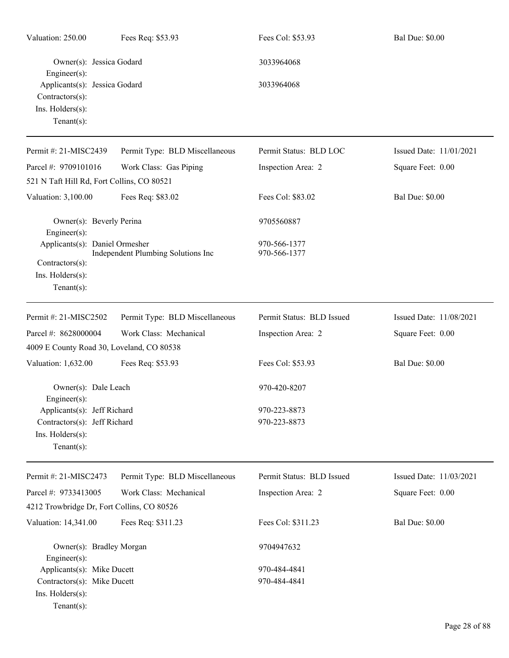| Valuation: 250.00                                                                         | Fees Req: \$53.93                  | Fees Col: \$53.93            | <b>Bal Due: \$0.00</b>  |
|-------------------------------------------------------------------------------------------|------------------------------------|------------------------------|-------------------------|
| Owner(s): Jessica Godard<br>$Engineering(s)$ :                                            |                                    | 3033964068                   |                         |
| Applicants(s): Jessica Godard<br>$Contractors(s)$ :<br>Ins. Holders(s):<br>Tenant $(s)$ : |                                    | 3033964068                   |                         |
| Permit #: 21-MISC2439                                                                     | Permit Type: BLD Miscellaneous     | Permit Status: BLD LOC       | Issued Date: 11/01/2021 |
| Parcel #: 9709101016                                                                      | Work Class: Gas Piping             | Inspection Area: 2           | Square Feet: 0.00       |
| 521 N Taft Hill Rd, Fort Collins, CO 80521                                                |                                    |                              |                         |
| Valuation: 3,100.00                                                                       | Fees Req: \$83.02                  | Fees Col: \$83.02            | <b>Bal Due: \$0.00</b>  |
| Owner(s): Beverly Perina<br>Engineer $(s)$ :                                              |                                    | 9705560887                   |                         |
| Applicants(s): Daniel Ormesher                                                            | Independent Plumbing Solutions Inc | 970-566-1377<br>970-566-1377 |                         |
| Contractors(s):<br>Ins. Holders(s):<br>Tenant $(s)$ :                                     |                                    |                              |                         |
| Permit #: 21-MISC2502                                                                     | Permit Type: BLD Miscellaneous     | Permit Status: BLD Issued    | Issued Date: 11/08/2021 |
| Parcel #: 8628000004                                                                      | Work Class: Mechanical             | Inspection Area: 2           | Square Feet: 0.00       |
| 4009 E County Road 30, Loveland, CO 80538                                                 |                                    |                              |                         |
| Valuation: 1,632.00                                                                       | Fees Req: \$53.93                  | Fees Col: \$53.93            | <b>Bal Due: \$0.00</b>  |
| Owner(s): Dale Leach<br>Engineer $(s)$ :                                                  |                                    | 970-420-8207                 |                         |
| Applicants(s): Jeff Richard                                                               |                                    | 970-223-8873                 |                         |
| Contractors(s): Jeff Richard                                                              |                                    | 970-223-8873                 |                         |
| Ins. Holders(s):<br>Tenant $(s)$ :                                                        |                                    |                              |                         |
| Permit #: 21-MISC2473                                                                     | Permit Type: BLD Miscellaneous     | Permit Status: BLD Issued    | Issued Date: 11/03/2021 |
| Parcel #: 9733413005                                                                      | Work Class: Mechanical             | Inspection Area: 2           | Square Feet: 0.00       |
| 4212 Trowbridge Dr, Fort Collins, CO 80526                                                |                                    |                              |                         |
| Valuation: 14,341.00                                                                      | Fees Req: \$311.23                 | Fees Col: \$311.23           | <b>Bal Due: \$0.00</b>  |
| Owner(s): Bradley Morgan<br>$Engineering(s)$ :                                            |                                    | 9704947632                   |                         |
| Applicants(s): Mike Ducett                                                                |                                    | 970-484-4841                 |                         |
| Contractors(s): Mike Ducett<br>Ins. Holders(s):<br>$Tenant(s)$ :                          |                                    | 970-484-4841                 |                         |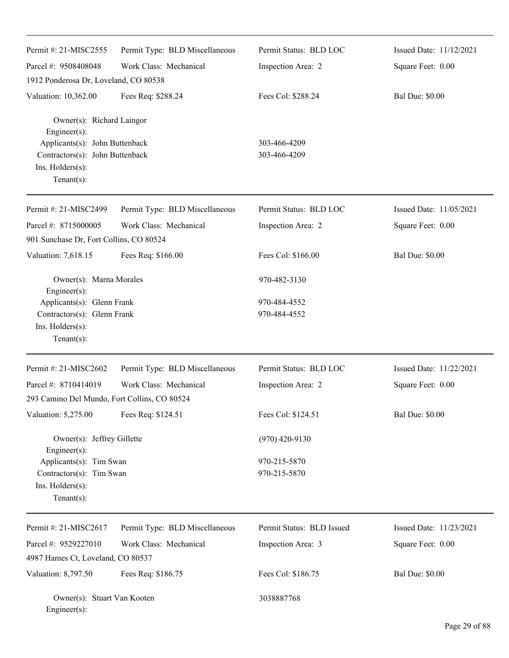| Permit #: 21-MISC2555                                                                                    | Permit Type: BLD Miscellaneous | Permit Status: BLD LOC       | Issued Date: 11/12/2021 |
|----------------------------------------------------------------------------------------------------------|--------------------------------|------------------------------|-------------------------|
| Parcel #: 9508408048                                                                                     | Work Class: Mechanical         | Inspection Area: 2           | Square Feet: 0.00       |
| 1912 Ponderosa Dr, Loveland, CO 80538                                                                    |                                |                              |                         |
| Valuation: 10,362.00                                                                                     | Fees Req: \$288.24             | Fees Col: \$288.24           | <b>Bal Due: \$0.00</b>  |
| Owner(s): Richard Laingor<br>Engineer(s):                                                                |                                |                              |                         |
| Applicants(s): John Buttenback<br>Contractors(s): John Buttenback<br>Ins. Holders(s):<br>$Tenant(s)$ :   |                                | 303-466-4209<br>303-466-4209 |                         |
| Permit #: 21-MISC2499                                                                                    | Permit Type: BLD Miscellaneous | Permit Status: BLD LOC       | Issued Date: 11/05/2021 |
| Parcel #: 8715000005                                                                                     | Work Class: Mechanical         | Inspection Area: 2           | Square Feet: 0.00       |
| 901 Sunchase Dr, Fort Collins, CO 80524                                                                  |                                |                              |                         |
| Valuation: 7,618.15                                                                                      | Fees Req: \$166.00             | Fees Col: \$166.00           | <b>Bal Due: \$0.00</b>  |
| Owner(s): Marna Morales<br>Engineer(s):                                                                  |                                | 970-482-3130                 |                         |
| Applicants(s): Glenn Frank                                                                               |                                | 970-484-4552                 |                         |
| Contractors(s): Glenn Frank<br>Ins. Holders(s):<br>$Tenant(s)$ :                                         |                                | 970-484-4552                 |                         |
| Permit #: 21-MISC2602                                                                                    | Permit Type: BLD Miscellaneous | Permit Status: BLD LOC       | Issued Date: 11/22/2021 |
| Parcel #: 8710414019                                                                                     | Work Class: Mechanical         | Inspection Area: 2           | Square Feet: 0.00       |
| 293 Camino Del Mundo, Fort Collins, CO 80524                                                             |                                |                              |                         |
| Valuation: 5,275.00                                                                                      | Fees Req: \$124.51             | Fees Col: \$124.51           | <b>Bal Due: \$0.00</b>  |
| Owner(s): Jeffrey Gillette                                                                               |                                | $(970)$ 420-9130             |                         |
| Engineer(s):<br>Applicants(s): Tim Swan<br>Contractors(s): Tim Swan<br>Ins. Holders(s):<br>$Tenant(s)$ : |                                | 970-215-5870<br>970-215-5870 |                         |
| Permit #: 21-MISC2617                                                                                    | Permit Type: BLD Miscellaneous | Permit Status: BLD Issued    | Issued Date: 11/23/2021 |
| Parcel #: 9529227010                                                                                     | Work Class: Mechanical         | Inspection Area: 3           | Square Feet: 0.00       |
| 4987 Hames Ct, Loveland, CO 80537                                                                        |                                |                              |                         |
| Valuation: 8,797.50                                                                                      | Fees Req: \$186.75             | Fees Col: \$186.75           | <b>Bal Due: \$0.00</b>  |
| Owner(s): Stuart Van Kooten<br>Engineer(s):                                                              |                                | 3038887768                   |                         |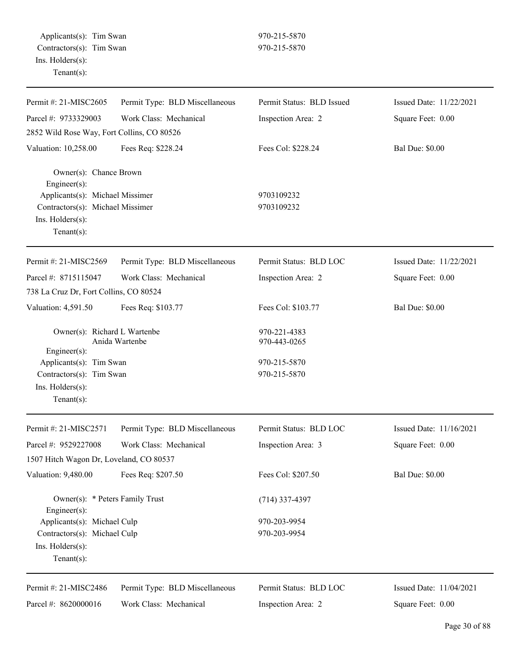| Permit #: 21-MISC2605                           | Permit Type: BLD Miscellaneous | Permit Status: BLD Issued | Issued Date: 11/22/2021 |
|-------------------------------------------------|--------------------------------|---------------------------|-------------------------|
| Parcel #: 9733329003                            | Work Class: Mechanical         | Inspection Area: 2        | Square Feet: 0.00       |
| 2852 Wild Rose Way, Fort Collins, CO 80526      |                                |                           |                         |
| Valuation: 10,258.00                            | Fees Req: \$228.24             | Fees Col: \$228.24        | <b>Bal Due: \$0.00</b>  |
| Owner(s): Chance Brown<br>Engineer(s):          |                                |                           |                         |
| Applicants(s): Michael Missimer                 |                                | 9703109232                |                         |
| Contractors(s): Michael Missimer                |                                | 9703109232                |                         |
| Ins. Holders(s):                                |                                |                           |                         |
| $Tenant(s)$ :                                   |                                |                           |                         |
| Permit #: 21-MISC2569                           | Permit Type: BLD Miscellaneous | Permit Status: BLD LOC    | Issued Date: 11/22/2021 |
| Parcel #: 8715115047                            | Work Class: Mechanical         | Inspection Area: 2        | Square Feet: 0.00       |
| 738 La Cruz Dr, Fort Collins, CO 80524          |                                |                           |                         |
| Valuation: 4,591.50                             | Fees Req: \$103.77             | Fees Col: \$103.77        | <b>Bal Due: \$0.00</b>  |
| Owner(s): Richard L Wartenbe                    |                                | 970-221-4383              |                         |
| $Engineering(s)$ :                              | Anida Wartenbe                 | 970-443-0265              |                         |
| Applicants(s): Tim Swan                         |                                | 970-215-5870              |                         |
| Contractors(s): Tim Swan                        |                                | 970-215-5870              |                         |
| Ins. Holders(s):                                |                                |                           |                         |
| $Tenant(s)$ :                                   |                                |                           |                         |
| Permit #: 21-MISC2571                           | Permit Type: BLD Miscellaneous | Permit Status: BLD LOC    | Issued Date: 11/16/2021 |
| Parcel #: 9529227008                            | Work Class: Mechanical         | Inspection Area: 3        | Square Feet: 0.00       |
| 1507 Hitch Wagon Dr, Loveland, CO 80537         |                                |                           |                         |
| Valuation: 9,480.00                             | Fees Req: \$207.50             | Fees Col: \$207.50        | <b>Bal Due: \$0.00</b>  |
| Owner(s): * Peters Family Trust<br>Engineer(s): |                                | $(714)$ 337-4397          |                         |
| Applicants(s): Michael Culp                     |                                | 970-203-9954              |                         |
| Contractors(s): Michael Culp                    |                                | 970-203-9954              |                         |
| Ins. Holders(s):                                |                                |                           |                         |
| $Tenant(s)$ :                                   |                                |                           |                         |
| Permit #: 21-MISC2486                           | Permit Type: BLD Miscellaneous | Permit Status: BLD LOC    | Issued Date: 11/04/2021 |
| Parcel #: 8620000016                            | Work Class: Mechanical         | Inspection Area: 2        | Square Feet: 0.00       |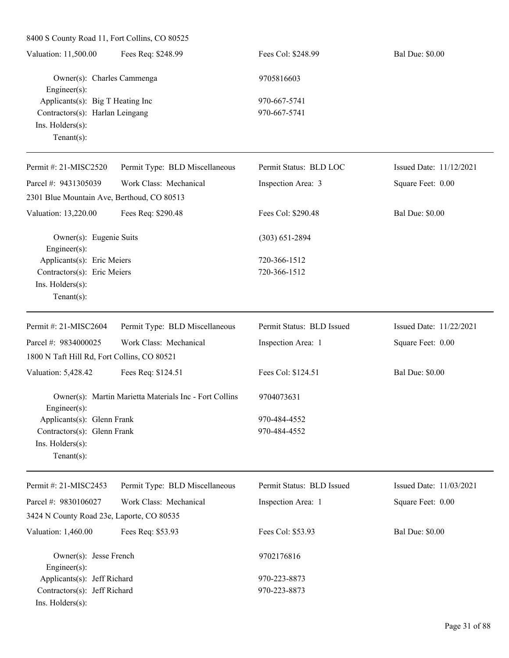| 8400 S County Road 11, Fort Collins, CO 80525                                                                                         |                                                        |                           |                         |
|---------------------------------------------------------------------------------------------------------------------------------------|--------------------------------------------------------|---------------------------|-------------------------|
| Valuation: 11,500.00                                                                                                                  | Fees Req: \$248.99                                     | Fees Col: \$248.99        | <b>Bal Due: \$0.00</b>  |
| Owner(s): Charles Cammenga<br>Engineer(s):<br>Applicants(s): Big T Heating Inc<br>Contractors(s): Harlan Leingang<br>Ins. Holders(s): |                                                        | 9705816603                |                         |
|                                                                                                                                       |                                                        | 970-667-5741              |                         |
|                                                                                                                                       |                                                        | 970-667-5741              |                         |
|                                                                                                                                       |                                                        |                           |                         |
| Tenant $(s)$ :                                                                                                                        |                                                        |                           |                         |
| Permit #: 21-MISC2520                                                                                                                 | Permit Type: BLD Miscellaneous                         | Permit Status: BLD LOC    | Issued Date: 11/12/2021 |
| Parcel #: 9431305039                                                                                                                  | Work Class: Mechanical                                 | Inspection Area: 3        | Square Feet: 0.00       |
| 2301 Blue Mountain Ave, Berthoud, CO 80513                                                                                            |                                                        |                           |                         |
| Valuation: 13,220.00                                                                                                                  | Fees Req: \$290.48                                     | Fees Col: \$290.48        | <b>Bal Due: \$0.00</b>  |
| Owner(s): Eugenie Suits<br>Engineer(s):                                                                                               |                                                        | $(303)$ 651-2894          |                         |
| Applicants(s): Eric Meiers                                                                                                            |                                                        | 720-366-1512              |                         |
| Contractors(s): Eric Meiers                                                                                                           |                                                        | 720-366-1512              |                         |
| Ins. Holders(s):                                                                                                                      |                                                        |                           |                         |
| $Tenant(s)$ :                                                                                                                         |                                                        |                           |                         |
| Permit #: 21-MISC2604                                                                                                                 | Permit Type: BLD Miscellaneous                         | Permit Status: BLD Issued | Issued Date: 11/22/2021 |
| Parcel #: 9834000025                                                                                                                  | Work Class: Mechanical                                 | Inspection Area: 1        | Square Feet: 0.00       |
| 1800 N Taft Hill Rd, Fort Collins, CO 80521                                                                                           |                                                        |                           |                         |
| Valuation: 5,428.42                                                                                                                   | Fees Req: \$124.51                                     | Fees Col: \$124.51        | <b>Bal Due: \$0.00</b>  |
| Engineer(s):                                                                                                                          | Owner(s): Martin Marietta Materials Inc - Fort Collins | 9704073631                |                         |
| Applicants(s): Glenn Frank                                                                                                            |                                                        | 970-484-4552              |                         |
| Contractors(s): Glenn Frank                                                                                                           |                                                        | 970-484-4552              |                         |
| Ins. Holders(s):                                                                                                                      |                                                        |                           |                         |
| Tenant $(s)$ :                                                                                                                        |                                                        |                           |                         |
| Permit #: 21-MISC2453                                                                                                                 | Permit Type: BLD Miscellaneous                         | Permit Status: BLD Issued | Issued Date: 11/03/2021 |
| Parcel #: 9830106027                                                                                                                  | Work Class: Mechanical                                 | Inspection Area: 1        | Square Feet: 0.00       |
| 3424 N County Road 23e, Laporte, CO 80535                                                                                             |                                                        |                           |                         |
| Valuation: 1,460.00                                                                                                                   | Fees Req: \$53.93                                      | Fees Col: \$53.93         | <b>Bal Due: \$0.00</b>  |
| Owner(s): Jesse French                                                                                                                |                                                        | 9702176816                |                         |
| Engineer(s):                                                                                                                          |                                                        |                           |                         |
| Applicants(s): Jeff Richard                                                                                                           |                                                        | 970-223-8873              |                         |
| Contractors(s): Jeff Richard                                                                                                          |                                                        | 970-223-8873              |                         |
| Ins. Holders(s):                                                                                                                      |                                                        |                           |                         |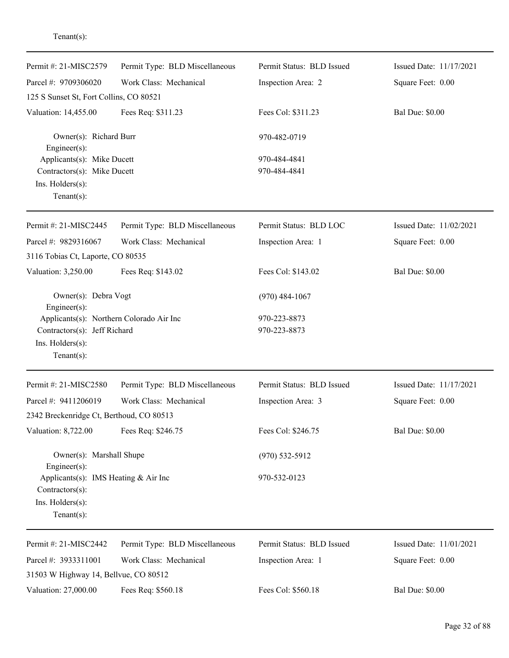| Permit #: 21-MISC2579                    | Permit Type: BLD Miscellaneous | Permit Status: BLD Issued | Issued Date: 11/17/2021 |
|------------------------------------------|--------------------------------|---------------------------|-------------------------|
| Parcel #: 9709306020                     | Work Class: Mechanical         | Inspection Area: 2        | Square Feet: 0.00       |
| 125 S Sunset St, Fort Collins, CO 80521  |                                |                           |                         |
| Valuation: 14,455.00                     | Fees Req: \$311.23             | Fees Col: \$311.23        | <b>Bal Due: \$0.00</b>  |
| Owner(s): Richard Burr<br>Engineer(s):   |                                | 970-482-0719              |                         |
| Applicants(s): Mike Ducett               |                                | 970-484-4841              |                         |
| Contractors(s): Mike Ducett              |                                | 970-484-4841              |                         |
| Ins. Holders(s):                         |                                |                           |                         |
| Tenant $(s)$ :                           |                                |                           |                         |
| Permit #: 21-MISC2445                    | Permit Type: BLD Miscellaneous | Permit Status: BLD LOC    | Issued Date: 11/02/2021 |
| Parcel #: 9829316067                     | Work Class: Mechanical         | Inspection Area: 1        | Square Feet: 0.00       |
| 3116 Tobias Ct, Laporte, CO 80535        |                                |                           |                         |
| Valuation: 3,250.00                      | Fees Req: \$143.02             | Fees Col: \$143.02        | <b>Bal Due: \$0.00</b>  |
| Owner(s): Debra Vogt<br>Engineer(s):     |                                | $(970)$ 484-1067          |                         |
| Applicants(s): Northern Colorado Air Inc |                                | 970-223-8873              |                         |
| Contractors(s): Jeff Richard             |                                | 970-223-8873              |                         |
| Ins. Holders(s):                         |                                |                           |                         |
| Tenant(s):                               |                                |                           |                         |
| Permit #: 21-MISC2580                    | Permit Type: BLD Miscellaneous | Permit Status: BLD Issued | Issued Date: 11/17/2021 |
| Parcel #: 9411206019                     | Work Class: Mechanical         | Inspection Area: 3        | Square Feet: 0.00       |
| 2342 Breckenridge Ct, Berthoud, CO 80513 |                                |                           |                         |
| Valuation: 8,722.00                      | Fees Req: \$246.75             | Fees Col: \$246.75        | <b>Bal Due: \$0.00</b>  |
| Owner(s): Marshall Shupe<br>Engineer(s): |                                | $(970)$ 532-5912          |                         |
| Applicants(s): IMS Heating $& Air Inc$   |                                | 970-532-0123              |                         |
| Contractors(s):                          |                                |                           |                         |
| Ins. Holders(s):                         |                                |                           |                         |
| Tenant $(s)$ :                           |                                |                           |                         |
| Permit #: 21-MISC2442                    | Permit Type: BLD Miscellaneous | Permit Status: BLD Issued | Issued Date: 11/01/2021 |
| Parcel #: 3933311001                     | Work Class: Mechanical         | Inspection Area: 1        | Square Feet: 0.00       |
| 31503 W Highway 14, Bellvue, CO 80512    |                                |                           |                         |
| Valuation: 27,000.00                     | Fees Req: \$560.18             | Fees Col: \$560.18        | <b>Bal Due: \$0.00</b>  |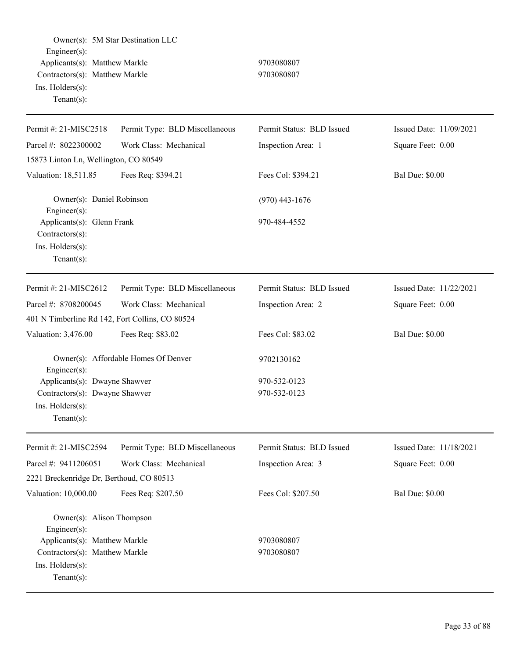Owner(s): 5M Star Destination LLC Engineer(s): Applicants(s): Matthew Markle 9703080807 Contractors(s): Matthew Markle 9703080807 Ins. Holders(s): Tenant(s): Permit #: 21-MISC2518 Parcel #: 8022300002 Permit Type: BLD Miscellaneous Work Class: Mechanical Permit Status: BLD Issued Inspection Area: 1 Issued Date: 11/09/2021 Square Feet: 0.00 15873 Linton Ln, Wellington, CO 80549 Valuation: 18,511.85 Fees Req: \$394.21 Fees Col: \$394.21 Bal Due: \$0.00 Owner(s): Daniel Robinson (970) 443-1676 Engineer(s): Applicants(s): Glenn Frank 970-484-4552 Contractors(s): Ins. Holders(s): Tenant(s): Permit #: 21-MISC2612 Parcel #: 8708200045 Permit Type: BLD Miscellaneous Work Class: Mechanical Permit Status: BLD Issued Inspection Area: 2 Issued Date: 11/22/2021 Square Feet: 0.00 401 N Timberline Rd 142, Fort Collins, CO 80524 Valuation: 3,476.00 Fees Req: \$83.02 Fees Col: \$83.02 Bal Due: \$0.00 Owner(s): Affordable Homes Of Denver 9702130162 Engineer(s): Applicants(s): Dwayne Shawver 970-532-0123 Contractors(s): Dwayne Shawver 970-532-0123 Ins. Holders(s): Tenant(s): Permit #: 21-MISC2594 Parcel #: 9411206051 Permit Type: BLD Miscellaneous Work Class: Mechanical Permit Status: BLD Issued Inspection Area: 3 Issued Date: 11/18/2021 Square Feet: 0.00 2221 Breckenridge Dr, Berthoud, CO 80513 Valuation: 10,000.00 Fees Req: \$207.50 Fees Col: \$207.50 Bal Due: \$0.00 Owner(s): Alison Thompson Engineer(s): Applicants(s): Matthew Markle 9703080807 Contractors(s): Matthew Markle 9703080807 Ins. Holders(s): Tenant(s):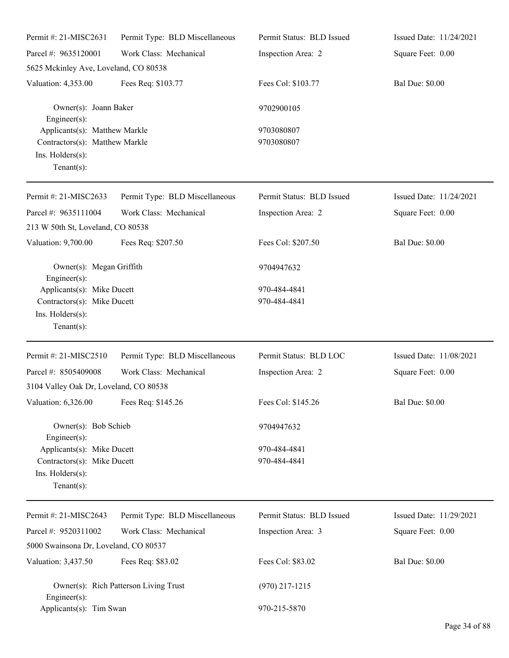| Permit #: 21-MISC2631                                                                                 | Permit Type: BLD Miscellaneous | Permit Status: BLD Issued    | Issued Date: 11/24/2021 |
|-------------------------------------------------------------------------------------------------------|--------------------------------|------------------------------|-------------------------|
| Parcel #: 9635120001                                                                                  | Work Class: Mechanical         | Inspection Area: 2           | Square Feet: 0.00       |
| 5625 Mckinley Ave, Loveland, CO 80538                                                                 |                                |                              |                         |
| Valuation: 4,353.00                                                                                   | Fees Req: \$103.77             | Fees Col: \$103.77           | <b>Bal Due: \$0.00</b>  |
| Owner(s): Joann Baker<br>Engineer(s):                                                                 |                                | 9702900105                   |                         |
| Applicants(s): Matthew Markle<br>Contractors(s): Matthew Markle<br>Ins. Holders(s):<br>Tenant $(s)$ : |                                | 9703080807<br>9703080807     |                         |
| Permit #: 21-MISC2633                                                                                 | Permit Type: BLD Miscellaneous | Permit Status: BLD Issued    | Issued Date: 11/24/2021 |
| Parcel #: 9635111004<br>213 W 50th St, Loveland, CO 80538                                             | Work Class: Mechanical         | Inspection Area: 2           | Square Feet: 0.00       |
| Valuation: 9,700.00                                                                                   | Fees Req: \$207.50             | Fees Col: \$207.50           | <b>Bal Due: \$0.00</b>  |
| Owner(s): Megan Griffith<br>Engineer(s):                                                              |                                | 9704947632                   |                         |
| Applicants(s): Mike Ducett<br>Contractors(s): Mike Ducett<br>Ins. Holders(s):<br>Tenant $(s)$ :       |                                | 970-484-4841<br>970-484-4841 |                         |
| Permit #: 21-MISC2510                                                                                 | Permit Type: BLD Miscellaneous | Permit Status: BLD LOC       | Issued Date: 11/08/2021 |
| Parcel #: 8505409008<br>3104 Valley Oak Dr, Loveland, CO 80538                                        | Work Class: Mechanical         | Inspection Area: 2           | Square Feet: 0.00       |
| Valuation: 6,326.00                                                                                   | Fees Req: \$145.26             | Fees Col: \$145.26           | <b>Bal Due: \$0.00</b>  |
| Owner(s): Bob Schieb<br>Engineer $(s)$ :                                                              |                                | 9704947632                   |                         |
| Applicants(s): Mike Ducett<br>Contractors(s): Mike Ducett<br>Ins. Holders(s):<br>Tenant $(s)$ :       |                                | 970-484-4841<br>970-484-4841 |                         |
| Permit #: 21-MISC2643                                                                                 | Permit Type: BLD Miscellaneous | Permit Status: BLD Issued    | Issued Date: 11/29/2021 |
| Parcel #: 9520311002                                                                                  | Work Class: Mechanical         | Inspection Area: 3           | Square Feet: 0.00       |
| 5000 Swainsona Dr, Loveland, CO 80537                                                                 |                                |                              |                         |
| Valuation: 3,437.50                                                                                   | Fees Req: \$83.02              | Fees Col: \$83.02            | <b>Bal Due: \$0.00</b>  |
| Owner(s): Rich Patterson Living Trust<br>Engineer $(s)$ :                                             |                                | $(970)$ 217-1215             |                         |
| Applicants(s): Tim Swan                                                                               |                                | 970-215-5870                 |                         |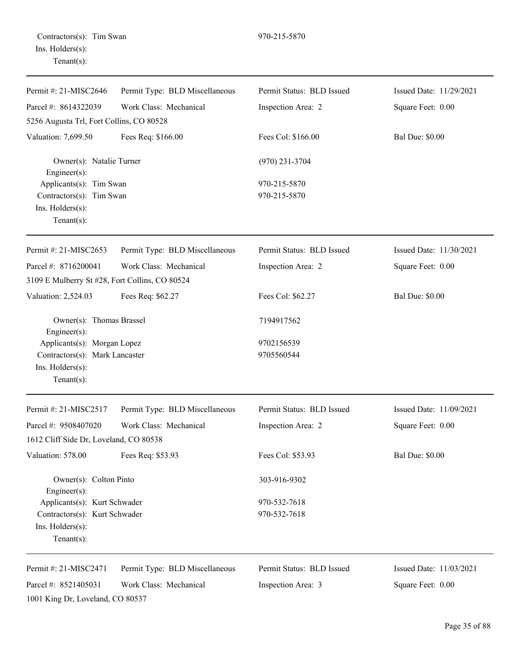Contractors(s): Tim Swan 970-215-5870 Ins. Holders(s): Tenant(s):

| Permit #: 21-MISC2646                                               | Permit Type: BLD Miscellaneous | Permit Status: BLD Issued | Issued Date: 11/29/2021 |
|---------------------------------------------------------------------|--------------------------------|---------------------------|-------------------------|
| Parcel #: 8614322039                                                | Work Class: Mechanical         | Inspection Area: 2        | Square Feet: 0.00       |
| 5256 Augusta Trl, Fort Collins, CO 80528                            |                                |                           |                         |
| Valuation: 7,699.50                                                 | Fees Req: \$166.00             | Fees Col: \$166.00        | <b>Bal Due: \$0.00</b>  |
| Owner(s): Natalie Turner<br>Engineer(s):<br>Applicants(s): Tim Swan |                                | $(970)$ 231-3704          |                         |
|                                                                     |                                | 970-215-5870              |                         |
| Contractors(s): Tim Swan                                            |                                | 970-215-5870              |                         |
| Ins. Holders(s):<br>Tenant $(s)$ :                                  |                                |                           |                         |
| Permit #: 21-MISC2653                                               | Permit Type: BLD Miscellaneous | Permit Status: BLD Issued | Issued Date: 11/30/2021 |
| Parcel #: 8716200041                                                | Work Class: Mechanical         | Inspection Area: 2        | Square Feet: 0.00       |
| 3109 E Mulberry St #28, Fort Collins, CO 80524                      |                                |                           |                         |
| Valuation: 2,524.03                                                 | Fees Req: \$62.27              | Fees Col: \$62.27         | <b>Bal Due: \$0.00</b>  |
| Owner(s): Thomas Brassel<br>Engineer(s):                            |                                | 7194917562                |                         |
| Applicants(s): Morgan Lopez                                         |                                | 9702156539                |                         |
| Contractors(s): Mark Lancaster                                      |                                | 9705560544                |                         |
| Ins. Holders(s):<br>$Tenant(s)$ :                                   |                                |                           |                         |
| Permit #: 21-MISC2517                                               | Permit Type: BLD Miscellaneous | Permit Status: BLD Issued | Issued Date: 11/09/2021 |
| Parcel #: 9508407020                                                | Work Class: Mechanical         | Inspection Area: 2        | Square Feet: 0.00       |
| 1612 Cliff Side Dr, Loveland, CO 80538                              |                                |                           |                         |
| Valuation: 578.00                                                   | Fees Req: \$53.93              | Fees Col: \$53.93         | <b>Bal Due: \$0.00</b>  |
| Owner(s): Colton Pinto<br>Engineer(s):                              |                                | 303-916-9302              |                         |
| Applicants(s): Kurt Schwader                                        |                                | 970-532-7618              |                         |
| Contractors(s): Kurt Schwader                                       |                                | 970-532-7618              |                         |
| Ins. Holders(s):<br>Tenant $(s)$ :                                  |                                |                           |                         |
| Permit #: 21-MISC2471                                               | Permit Type: BLD Miscellaneous | Permit Status: BLD Issued | Issued Date: 11/03/2021 |
| Parcel #: 8521405031                                                | Work Class: Mechanical         | Inspection Area: 3        | Square Feet: 0.00       |
| 1001 King Dr, Loveland, CO 80537                                    |                                |                           |                         |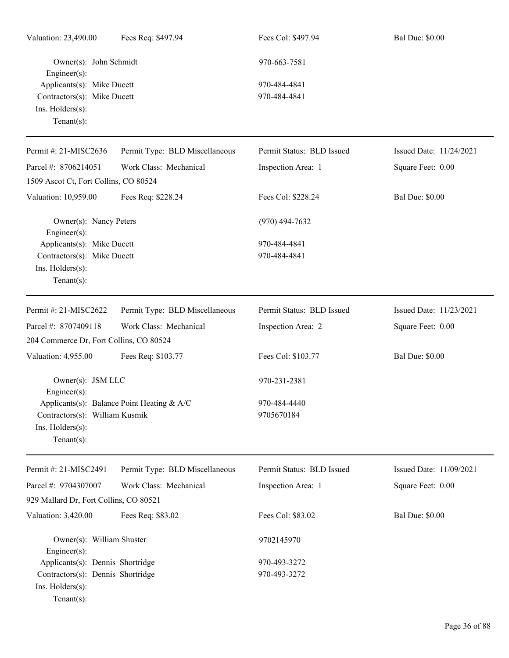| Valuation: 23,490.00                                                                           | Fees Req: \$497.94                         | Fees Col: \$497.94           | <b>Bal Due: \$0.00</b>  |
|------------------------------------------------------------------------------------------------|--------------------------------------------|------------------------------|-------------------------|
| Owner(s): John Schmidt<br>Engineer(s):                                                         |                                            | 970-663-7581                 |                         |
| Applicants(s): Mike Ducett<br>Contractors(s): Mike Ducett<br>Ins. Holders(s):<br>$Tenant(s)$ : |                                            | 970-484-4841<br>970-484-4841 |                         |
| Permit #: 21-MISC2636                                                                          | Permit Type: BLD Miscellaneous             | Permit Status: BLD Issued    | Issued Date: 11/24/2021 |
| Parcel #: 8706214051                                                                           | Work Class: Mechanical                     | Inspection Area: 1           | Square Feet: 0.00       |
| 1509 Ascot Ct, Fort Collins, CO 80524                                                          |                                            |                              |                         |
| Valuation: 10,959.00                                                                           | Fees Req: \$228.24                         | Fees Col: \$228.24           | <b>Bal Due: \$0.00</b>  |
| Owner(s): Nancy Peters<br>Engineer(s):                                                         |                                            | $(970)$ 494-7632             |                         |
| Applicants(s): Mike Ducett<br>Contractors(s): Mike Ducett<br>Ins. Holders(s):<br>$Tenant(s)$ : |                                            | 970-484-4841<br>970-484-4841 |                         |
| Permit #: 21-MISC2622                                                                          | Permit Type: BLD Miscellaneous             | Permit Status: BLD Issued    | Issued Date: 11/23/2021 |
| Parcel #: 8707409118                                                                           | Work Class: Mechanical                     | Inspection Area: 2           | Square Feet: 0.00       |
| 204 Commerce Dr, Fort Collins, CO 80524                                                        |                                            |                              |                         |
| Valuation: 4,955.00                                                                            | Fees Req: \$103.77                         | Fees Col: \$103.77           | <b>Bal Due: \$0.00</b>  |
| Owner(s): JSM LLC<br>Engineer(s):                                                              |                                            | 970-231-2381                 |                         |
| Contractors(s): William Kusmik<br>Ins. Holders(s):<br>$Tenant(s)$ :                            | Applicants(s): Balance Point Heating & A/C | 970-484-4440<br>9705670184   |                         |
| Permit #: 21-MISC2491                                                                          | Permit Type: BLD Miscellaneous             | Permit Status: BLD Issued    | Issued Date: 11/09/2021 |
| Parcel #: 9704307007                                                                           | Work Class: Mechanical                     | Inspection Area: 1           | Square Feet: 0.00       |
| 929 Mallard Dr, Fort Collins, CO 80521                                                         |                                            |                              |                         |
| Valuation: 3,420.00                                                                            | Fees Req: \$83.02                          | Fees Col: \$83.02            | <b>Bal Due: \$0.00</b>  |
| Owner(s): William Shuster<br>Engineer(s):                                                      |                                            | 9702145970                   |                         |
| Applicants(s): Dennis Shortridge                                                               |                                            | 970-493-3272                 |                         |
| Contractors(s): Dennis Shortridge<br>Ins. Holders(s):<br>$Tenant(s)$ :                         |                                            | 970-493-3272                 |                         |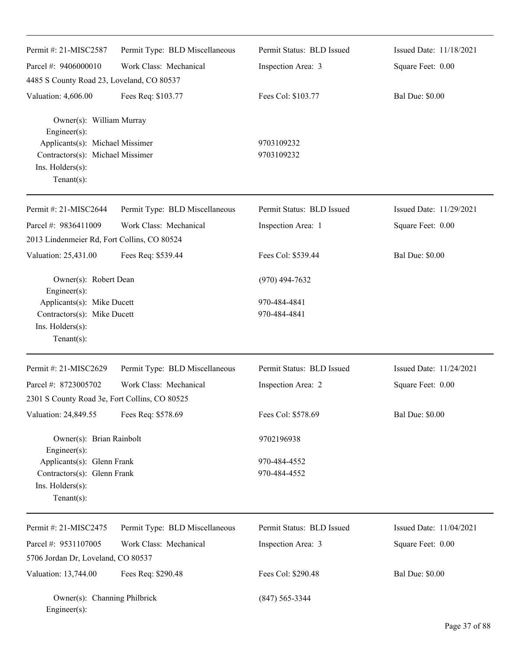| Permit #: 21-MISC2587                                                                                     | Permit Type: BLD Miscellaneous | Permit Status: BLD Issued    | Issued Date: 11/18/2021 |
|-----------------------------------------------------------------------------------------------------------|--------------------------------|------------------------------|-------------------------|
| Parcel #: 9406000010                                                                                      | Work Class: Mechanical         | Inspection Area: 3           | Square Feet: 0.00       |
| 4485 S County Road 23, Loveland, CO 80537                                                                 |                                |                              |                         |
| Valuation: 4,606.00                                                                                       | Fees Req: \$103.77             | Fees Col: \$103.77           | <b>Bal Due: \$0.00</b>  |
| Owner(s): William Murray<br>Engineer(s):                                                                  |                                |                              |                         |
| Applicants(s): Michael Missimer<br>Contractors(s): Michael Missimer<br>Ins. Holders(s):<br>Tenant $(s)$ : |                                | 9703109232<br>9703109232     |                         |
| Permit #: 21-MISC2644                                                                                     | Permit Type: BLD Miscellaneous | Permit Status: BLD Issued    | Issued Date: 11/29/2021 |
| Parcel #: 9836411009                                                                                      | Work Class: Mechanical         | Inspection Area: 1           | Square Feet: 0.00       |
| 2013 Lindenmeier Rd, Fort Collins, CO 80524                                                               |                                |                              |                         |
| Valuation: 25,431.00                                                                                      | Fees Req: \$539.44             | Fees Col: \$539.44           | <b>Bal Due: \$0.00</b>  |
| Owner(s): Robert Dean<br>Engineer(s):                                                                     |                                | $(970)$ 494-7632             |                         |
| Applicants(s): Mike Ducett<br>Contractors(s): Mike Ducett<br>Ins. Holders(s):<br>Tenant $(s)$ :           |                                | 970-484-4841<br>970-484-4841 |                         |
| Permit #: 21-MISC2629                                                                                     | Permit Type: BLD Miscellaneous | Permit Status: BLD Issued    | Issued Date: 11/24/2021 |
| Parcel #: 8723005702                                                                                      | Work Class: Mechanical         | Inspection Area: 2           | Square Feet: 0.00       |
| 2301 S County Road 3e, Fort Collins, CO 80525                                                             |                                |                              |                         |
| Valuation: 24,849.55                                                                                      | Fees Req: \$578.69             | Fees Col: \$578.69           | <b>Bal Due: \$0.00</b>  |
| Owner(s): Brian Rainbolt<br>Engineer $(s)$ :                                                              |                                | 9702196938                   |                         |
| Applicants(s): Glenn Frank<br>Contractors(s): Glenn Frank<br>Ins. Holders(s):<br>Tenant $(s)$ :           |                                | 970-484-4552<br>970-484-4552 |                         |
| Permit #: 21-MISC2475                                                                                     | Permit Type: BLD Miscellaneous | Permit Status: BLD Issued    | Issued Date: 11/04/2021 |
| Parcel #: 9531107005                                                                                      | Work Class: Mechanical         | Inspection Area: 3           | Square Feet: 0.00       |
| 5706 Jordan Dr, Loveland, CO 80537                                                                        |                                |                              |                         |
| Valuation: 13,744.00                                                                                      | Fees Req: \$290.48             | Fees Col: \$290.48           | <b>Bal Due: \$0.00</b>  |
| Owner(s): Channing Philbrick<br>Engineer(s):                                                              |                                | $(847) 565 - 3344$           |                         |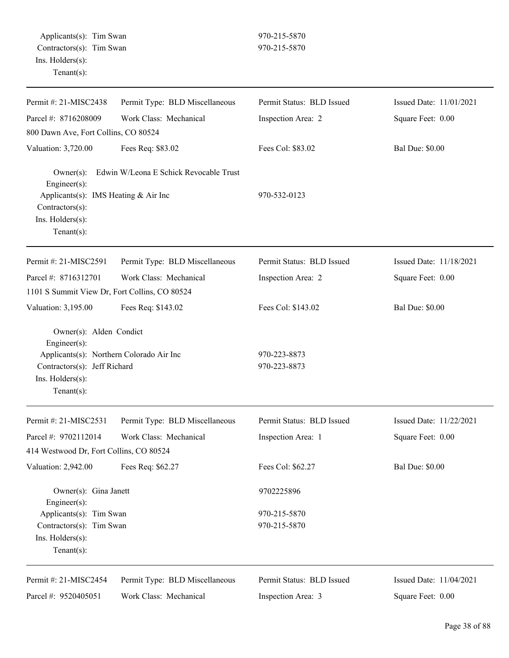| Permit #: 21-MISC2438                                                                                          | Permit Type: BLD Miscellaneous         | Permit Status: BLD Issued    | Issued Date: 11/01/2021 |
|----------------------------------------------------------------------------------------------------------------|----------------------------------------|------------------------------|-------------------------|
| Parcel #: 8716208009                                                                                           | Work Class: Mechanical                 | Inspection Area: 2           | Square Feet: 0.00       |
| 800 Dawn Ave, Fort Collins, CO 80524                                                                           |                                        |                              |                         |
| Valuation: 3,720.00                                                                                            | Fees Req: \$83.02                      | Fees Col: \$83.02            | <b>Bal Due: \$0.00</b>  |
| $Owner(s)$ :<br>Engineer(s):<br>Applicants(s): IMS Heating & Air Inc                                           | Edwin W/Leona E Schick Revocable Trust | 970-532-0123                 |                         |
| Contractors(s):<br>Ins. Holders(s):<br>Tenant $(s)$ :                                                          |                                        |                              |                         |
| Permit #: 21-MISC2591                                                                                          | Permit Type: BLD Miscellaneous         | Permit Status: BLD Issued    | Issued Date: 11/18/2021 |
| Parcel #: 8716312701                                                                                           | Work Class: Mechanical                 | Inspection Area: 2           | Square Feet: 0.00       |
| 1101 S Summit View Dr, Fort Collins, CO 80524                                                                  |                                        |                              |                         |
| Valuation: 3,195.00                                                                                            | Fees Req: \$143.02                     | Fees Col: \$143.02           | <b>Bal Due: \$0.00</b>  |
| Owner(s): Alden Condict<br>Engineer(s):                                                                        |                                        |                              |                         |
| Applicants(s): Northern Colorado Air Inc<br>Contractors(s): Jeff Richard<br>Ins. Holders(s):<br>Tenant $(s)$ : |                                        | 970-223-8873<br>970-223-8873 |                         |
| Permit #: 21-MISC2531                                                                                          | Permit Type: BLD Miscellaneous         | Permit Status: BLD Issued    | Issued Date: 11/22/2021 |
| Parcel #: 9702112014                                                                                           | Work Class: Mechanical                 | Inspection Area: 1           | Square Feet: 0.00       |
| 414 Westwood Dr, Fort Collins, CO 80524                                                                        |                                        |                              |                         |
| Valuation: 2,942.00                                                                                            | Fees Req: \$62.27                      | Fees Col: \$62.27            | <b>Bal Due: \$0.00</b>  |
| Owner(s): Gina Janett<br>Engineer $(s)$ :                                                                      |                                        | 9702225896                   |                         |
| Applicants(s): Tim Swan                                                                                        |                                        | 970-215-5870                 |                         |
| Contractors(s): Tim Swan                                                                                       |                                        | 970-215-5870                 |                         |
| Ins. Holders(s):<br>Tenant $(s)$ :                                                                             |                                        |                              |                         |
| Permit #: 21-MISC2454                                                                                          | Permit Type: BLD Miscellaneous         | Permit Status: BLD Issued    | Issued Date: 11/04/2021 |
| Parcel #: 9520405051                                                                                           | Work Class: Mechanical                 | Inspection Area: 3           | Square Feet: 0.00       |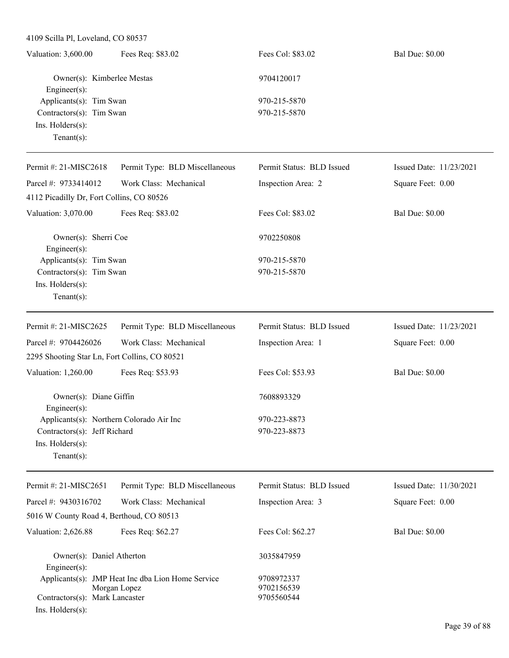| Valuation: 3,600.00      | Fees Req: \$83.02          | Fees Col: \$83.02 | <b>Bal Due: \$0.00</b> |
|--------------------------|----------------------------|-------------------|------------------------|
|                          | Owner(s): Kimberlee Mestas | 9704120017        |                        |
| Engineer $(s)$ :         |                            |                   |                        |
| Applicants(s): Tim Swan  |                            | 970-215-5870      |                        |
| Contractors(s): Tim Swan |                            | 970-215-5870      |                        |
| $Ins.$ Holders $(s)$ :   |                            |                   |                        |
| Tenant(s):               |                            |                   |                        |

| Permit #: 21-MISC2618                         | Permit Type: BLD Miscellaneous | Permit Status: BLD Issued | Issued Date: 11/23/2021 |
|-----------------------------------------------|--------------------------------|---------------------------|-------------------------|
| Parcel #: 9733414012                          | Work Class: Mechanical         | Inspection Area: 2        | Square Feet: 0.00       |
| 4112 Picadilly Dr, Fort Collins, CO 80526     |                                |                           |                         |
| Valuation: 3,070.00                           | Fees Req: \$83.02              | Fees Col: \$83.02         | <b>Bal Due: \$0.00</b>  |
| Owner(s): Sherri Coe<br>$Engineering(s)$ :    |                                | 9702250808                |                         |
| Applicants(s): Tim Swan                       |                                | 970-215-5870              |                         |
| Contractors(s): Tim Swan                      |                                | 970-215-5870              |                         |
| Ins. Holders(s):<br>$Tenant(s)$ :             |                                |                           |                         |
|                                               |                                |                           |                         |
| Permit #: 21-MISC2625                         | Permit Type: BLD Miscellaneous | Permit Status: BLD Issued | Issued Date: 11/23/2021 |
| Parcel #: 9704426026                          | Work Class: Mechanical         | Inspection Area: 1        | Square Feet: 0.00       |
| 2295 Shooting Star Ln, Fort Collins, CO 80521 |                                |                           |                         |
| Valuation: 1,260.00                           | Fees Req: \$53.93              | Fees Col: \$53.93         | <b>Bal Due: \$0.00</b>  |
| Owner(s): Diane Giffin<br>$Engineering(s)$ :  |                                | 7608893329                |                         |
| Applicants(s): Northern Colorado Air Inc      |                                | 970-223-8873              |                         |
| Contractors(s): Jeff Richard                  |                                | 970-223-8873              |                         |
| Ins. Holders(s):                              |                                |                           |                         |

| Permit #: $21-MISC2651$                  | Permit Type: BLD Miscellaneous                    | Permit Status: BLD Issued | Issued Date: 11/30/2021 |
|------------------------------------------|---------------------------------------------------|---------------------------|-------------------------|
| Parcel #: $9430316702$                   | Work Class: Mechanical                            | Inspection Area: 3        | Square Feet: 0.00       |
| 5016 W County Road 4, Berthoud, CO 80513 |                                                   |                           |                         |
| Valuation: 2,626.88                      | Fees Req: \$62.27                                 | Fees Col: \$62.27         | <b>Bal Due: \$0.00</b>  |
| Owner(s): Daniel Atherton                |                                                   | 3035847959                |                         |
| $Engineering(s)$ :                       | Applicants(s): JMP Heat Inc dba Lion Home Service | 9708972337                |                         |
|                                          | Morgan Lopez                                      | 9702156539                |                         |
| Contractors(s): Mark Lancaster           |                                                   | 9705560544                |                         |
| $Ins.$ Holders $(s)$ :                   |                                                   |                           |                         |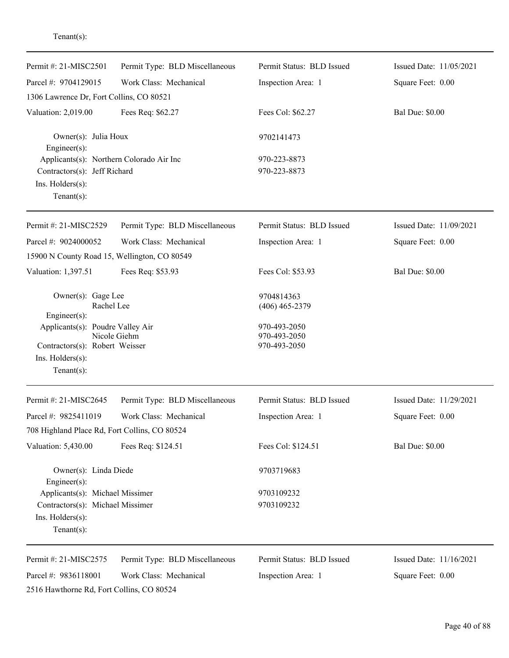| Permit #: 21-MISC2501                                                                                                   | Permit Type: BLD Miscellaneous | Permit Status: BLD Issued                    | Issued Date: 11/05/2021 |
|-------------------------------------------------------------------------------------------------------------------------|--------------------------------|----------------------------------------------|-------------------------|
| Parcel #: 9704129015                                                                                                    | Work Class: Mechanical         | Inspection Area: 1                           | Square Feet: 0.00       |
| 1306 Lawrence Dr, Fort Collins, CO 80521                                                                                |                                |                                              |                         |
| Valuation: 2,019.00                                                                                                     | Fees Req: \$62.27              | Fees Col: \$62.27                            | <b>Bal Due: \$0.00</b>  |
| Owner(s): Julia Houx<br>$Engineering(s)$ :                                                                              |                                | 9702141473                                   |                         |
| Applicants(s): Northern Colorado Air Inc<br>Contractors(s): Jeff Richard<br>Ins. Holders(s):<br>Tenant $(s)$ :          |                                | 970-223-8873<br>970-223-8873                 |                         |
| Permit #: 21-MISC2529                                                                                                   | Permit Type: BLD Miscellaneous | Permit Status: BLD Issued                    | Issued Date: 11/09/2021 |
| Parcel #: 9024000052                                                                                                    | Work Class: Mechanical         | Inspection Area: 1                           | Square Feet: 0.00       |
| 15900 N County Road 15, Wellington, CO 80549                                                                            |                                |                                              |                         |
| Valuation: 1,397.51                                                                                                     | Fees Req: \$53.93              | Fees Col: \$53.93                            | <b>Bal Due: \$0.00</b>  |
| Owner(s): Gage Lee<br>Rachel Lee<br>Engineer(s):                                                                        |                                | 9704814363<br>$(406)$ 465-2379               |                         |
| Applicants(s): Poudre Valley Air<br>Nicole Giehm<br>Contractors(s): Robert Weisser<br>Ins. Holders(s):<br>$Tenant(s)$ : |                                | 970-493-2050<br>970-493-2050<br>970-493-2050 |                         |
| Permit #: 21-MISC2645                                                                                                   | Permit Type: BLD Miscellaneous | Permit Status: BLD Issued                    | Issued Date: 11/29/2021 |
| Parcel #: 9825411019<br>708 Highland Place Rd, Fort Collins, CO 80524                                                   | Work Class: Mechanical         | Inspection Area: 1                           | Square Feet: 0.00       |
| Valuation: 5,430.00                                                                                                     | Fees Req: \$124.51             | Fees Col: \$124.51                           | <b>Bal Due: \$0.00</b>  |
| Owner(s): Linda Diede<br>Engineer(s):                                                                                   |                                | 9703719683                                   |                         |
| Applicants(s): Michael Missimer<br>Contractors(s): Michael Missimer<br>Ins. Holders(s):<br>Tenant $(s)$ :               |                                | 9703109232<br>9703109232                     |                         |
| Permit #: 21-MISC2575                                                                                                   | Permit Type: BLD Miscellaneous | Permit Status: BLD Issued                    | Issued Date: 11/16/2021 |
| Parcel #: 9836118001<br>2516 Hawthorne Rd, Fort Collins, CO 80524                                                       | Work Class: Mechanical         | Inspection Area: 1                           | Square Feet: 0.00       |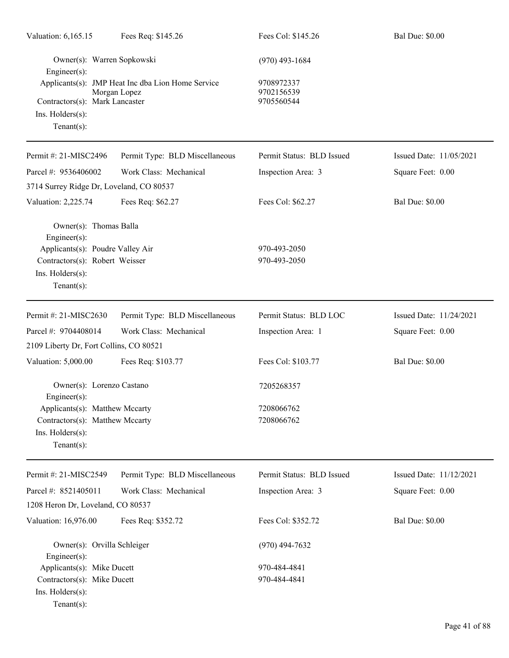| Valuation: 6,165.15                                                                                          | Fees Req: \$145.26                                                | Fees Col: \$145.26                     | <b>Bal Due: \$0.00</b>  |
|--------------------------------------------------------------------------------------------------------------|-------------------------------------------------------------------|----------------------------------------|-------------------------|
| Owner(s): Warren Sopkowski<br>Engineer $(s)$ :                                                               |                                                                   | $(970)$ 493-1684                       |                         |
| Contractors(s): Mark Lancaster<br>Ins. Holders(s):<br>$Tenant(s)$ :                                          | Applicants(s): JMP Heat Inc dba Lion Home Service<br>Morgan Lopez | 9708972337<br>9702156539<br>9705560544 |                         |
| Permit #: 21-MISC2496                                                                                        | Permit Type: BLD Miscellaneous                                    | Permit Status: BLD Issued              | Issued Date: 11/05/2021 |
| Parcel #: 9536406002                                                                                         | Work Class: Mechanical                                            | Inspection Area: 3                     | Square Feet: 0.00       |
| 3714 Surrey Ridge Dr, Loveland, CO 80537                                                                     |                                                                   |                                        |                         |
| Valuation: 2,225.74                                                                                          | Fees Req: \$62.27                                                 | Fees Col: \$62.27                      | <b>Bal Due: \$0.00</b>  |
| Owner(s): Thomas Balla<br>Engineer(s):<br>Applicants(s): Poudre Valley Air<br>Contractors(s): Robert Weisser |                                                                   | 970-493-2050<br>970-493-2050           |                         |
| Ins. Holders(s):<br>$Tenant(s)$ :                                                                            |                                                                   |                                        |                         |
| Permit #: 21-MISC2630                                                                                        | Permit Type: BLD Miscellaneous                                    | Permit Status: BLD LOC                 | Issued Date: 11/24/2021 |
| Parcel #: 9704408014                                                                                         | Work Class: Mechanical                                            | Inspection Area: 1                     | Square Feet: 0.00       |
| 2109 Liberty Dr, Fort Collins, CO 80521                                                                      |                                                                   |                                        |                         |
| Valuation: 5,000.00                                                                                          | Fees Req: \$103.77                                                | Fees Col: \$103.77                     | <b>Bal Due: \$0.00</b>  |
| Owner(s): Lorenzo Castano<br>Engineer(s):                                                                    |                                                                   | 7205268357                             |                         |
| Applicants(s): Matthew Mccarty                                                                               |                                                                   | 7208066762                             |                         |
| Contractors(s): Matthew Mccarty<br>Ins. Holders(s):<br>Tenant $(s)$ :                                        |                                                                   | 7208066762                             |                         |
| Permit #: 21-MISC2549                                                                                        | Permit Type: BLD Miscellaneous                                    | Permit Status: BLD Issued              | Issued Date: 11/12/2021 |
| Parcel #: 8521405011                                                                                         | Work Class: Mechanical                                            | Inspection Area: 3                     | Square Feet: 0.00       |
| 1208 Heron Dr, Loveland, CO 80537                                                                            |                                                                   |                                        |                         |
| Valuation: 16,976.00                                                                                         | Fees Req: \$352.72                                                | Fees Col: \$352.72                     | <b>Bal Due: \$0.00</b>  |
| Owner(s): Orvilla Schleiger<br>Engineer(s):                                                                  |                                                                   | $(970)$ 494-7632                       |                         |
| Applicants(s): Mike Ducett                                                                                   |                                                                   | 970-484-4841                           |                         |
| Contractors(s): Mike Ducett<br>Ins. Holders(s):<br>$Tenant(s)$ :                                             |                                                                   | 970-484-4841                           |                         |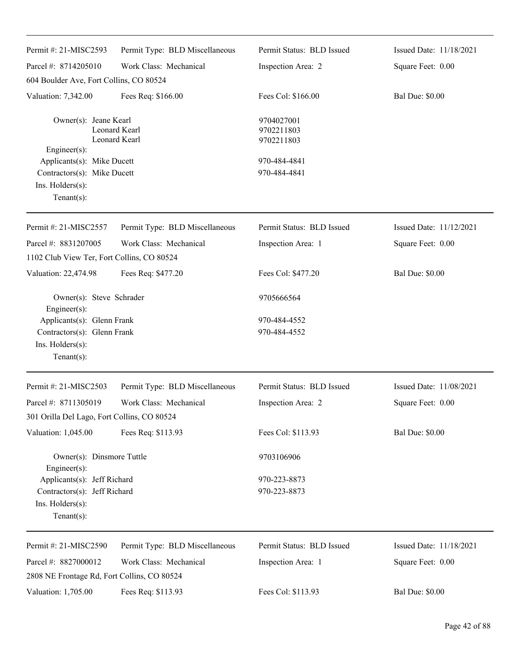| Permit #: 21-MISC2593                                                                                  | Permit Type: BLD Miscellaneous | Permit Status: BLD Issued              | Issued Date: 11/18/2021 |
|--------------------------------------------------------------------------------------------------------|--------------------------------|----------------------------------------|-------------------------|
| Parcel #: 8714205010                                                                                   | Work Class: Mechanical         | Inspection Area: 2                     | Square Feet: 0.00       |
| 604 Boulder Ave, Fort Collins, CO 80524                                                                |                                |                                        |                         |
| Valuation: 7,342.00                                                                                    | Fees Req: \$166.00             | Fees Col: \$166.00                     | <b>Bal Due: \$0.00</b>  |
| Owner(s): Jeane Kearl                                                                                  | Leonard Kearl<br>Leonard Kearl | 9704027001<br>9702211803<br>9702211803 |                         |
| Engineer(s):                                                                                           |                                | 970-484-4841                           |                         |
| Applicants(s): Mike Ducett<br>Contractors(s): Mike Ducett                                              |                                | 970-484-4841                           |                         |
| Ins. Holders(s):<br>$Tenant(s)$ :                                                                      |                                |                                        |                         |
| Permit #: 21-MISC2557                                                                                  | Permit Type: BLD Miscellaneous | Permit Status: BLD Issued              | Issued Date: 11/12/2021 |
| Parcel #: 8831207005                                                                                   | Work Class: Mechanical         | Inspection Area: 1                     | Square Feet: 0.00       |
| 1102 Club View Ter, Fort Collins, CO 80524                                                             |                                |                                        |                         |
| Valuation: 22,474.98                                                                                   | Fees Req: \$477.20             | Fees Col: \$477.20                     | <b>Bal Due: \$0.00</b>  |
| Owner(s): Steve Schrader<br>Engineer(s):                                                               |                                | 9705666564                             |                         |
| Applicants(s): Glenn Frank<br>Contractors(s): Glenn Frank<br>Ins. $H$ olders $(s)$ :<br>Tenant $(s)$ : |                                | 970-484-4552<br>970-484-4552           |                         |
| Permit #: 21-MISC2503                                                                                  | Permit Type: BLD Miscellaneous | Permit Status: BLD Issued              | Issued Date: 11/08/2021 |
| Parcel #: 8711305019<br>301 Orilla Del Lago, Fort Collins, CO 80524                                    | Work Class: Mechanical         | Inspection Area: 2                     | Square Feet: 0.00       |
| Valuation: 1,045.00                                                                                    | Fees Req: \$113.93             | Fees Col: \$113.93                     | <b>Bal Due: \$0.00</b>  |
| Owner(s): Dinsmore Tuttle<br>Engineer(s):                                                              |                                | 9703106906                             |                         |
| Applicants(s): Jeff Richard                                                                            |                                | 970-223-8873                           |                         |
| Contractors(s): Jeff Richard<br>Ins. Holders(s):<br>Tenant $(s)$ :                                     |                                | 970-223-8873                           |                         |
| Permit #: 21-MISC2590                                                                                  | Permit Type: BLD Miscellaneous | Permit Status: BLD Issued              | Issued Date: 11/18/2021 |
| Parcel #: 8827000012                                                                                   | Work Class: Mechanical         | Inspection Area: 1                     | Square Feet: 0.00       |
| 2808 NE Frontage Rd, Fort Collins, CO 80524                                                            |                                |                                        |                         |
| Valuation: 1,705.00                                                                                    | Fees Req: \$113.93             | Fees Col: \$113.93                     | <b>Bal Due: \$0.00</b>  |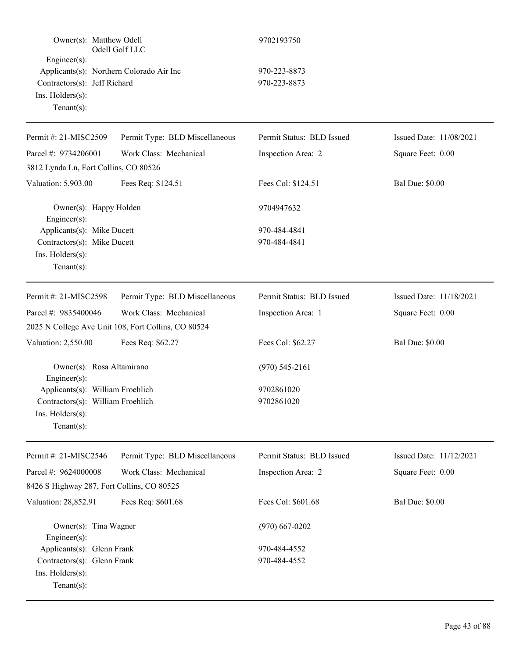| Owner(s): Matthew Odell<br>Odell Golf LLC                                                                                            |                                                     | 9702193750                   |                         |
|--------------------------------------------------------------------------------------------------------------------------------------|-----------------------------------------------------|------------------------------|-------------------------|
| $Engineering(s)$ :<br>Applicants(s): Northern Colorado Air Inc<br>Contractors(s): Jeff Richard<br>Ins. Holders(s):<br>Tenant $(s)$ : |                                                     | 970-223-8873<br>970-223-8873 |                         |
| Permit #: 21-MISC2509                                                                                                                | Permit Type: BLD Miscellaneous                      | Permit Status: BLD Issued    | Issued Date: 11/08/2021 |
| Parcel #: 9734206001                                                                                                                 | Work Class: Mechanical                              | Inspection Area: 2           | Square Feet: 0.00       |
| 3812 Lynda Ln, Fort Collins, CO 80526                                                                                                |                                                     |                              |                         |
| Valuation: 5,903.00                                                                                                                  | Fees Req: \$124.51                                  | Fees Col: \$124.51           | <b>Bal Due: \$0.00</b>  |
| Owner(s): Happy Holden<br>Engineer(s):                                                                                               |                                                     | 9704947632                   |                         |
| Applicants(s): Mike Ducett<br>Contractors(s): Mike Ducett<br>Ins. Holders(s):<br>Tenant $(s)$ :                                      |                                                     | 970-484-4841<br>970-484-4841 |                         |
| Permit #: 21-MISC2598                                                                                                                | Permit Type: BLD Miscellaneous                      | Permit Status: BLD Issued    | Issued Date: 11/18/2021 |
| Parcel #: 9835400046                                                                                                                 | Work Class: Mechanical                              | Inspection Area: 1           | Square Feet: 0.00       |
|                                                                                                                                      | 2025 N College Ave Unit 108, Fort Collins, CO 80524 |                              |                         |
| Valuation: 2,550.00                                                                                                                  | Fees Req: \$62.27                                   | Fees Col: \$62.27            | <b>Bal Due: \$0.00</b>  |
| Owner(s): Rosa Altamirano<br>Engineer(s):                                                                                            |                                                     | $(970)$ 545-2161             |                         |
| Applicants(s): William Froehlich                                                                                                     |                                                     | 9702861020                   |                         |
| Contractors(s): William Froehlich<br>$Ins.$ Holders $(s)$ :<br>Tenant $(s)$ :                                                        |                                                     | 9702861020                   |                         |
| Permit #: 21-MISC2546                                                                                                                | Permit Type: BLD Miscellaneous                      | Permit Status: BLD Issued    | Issued Date: 11/12/2021 |
| Parcel #: 9624000008                                                                                                                 | Work Class: Mechanical                              | Inspection Area: 2           | Square Feet: 0.00       |
| 8426 S Highway 287, Fort Collins, CO 80525                                                                                           |                                                     |                              |                         |
| Valuation: 28,852.91                                                                                                                 | Fees Req: \$601.68                                  | Fees Col: \$601.68           | <b>Bal Due: \$0.00</b>  |
| Owner(s): Tina Wagner<br>Engineer(s):                                                                                                |                                                     | $(970)$ 667-0202             |                         |
| Applicants(s): Glenn Frank                                                                                                           |                                                     | 970-484-4552                 |                         |
| Contractors(s): Glenn Frank<br>Ins. Holders(s):<br>Tenant $(s)$ :                                                                    |                                                     | 970-484-4552                 |                         |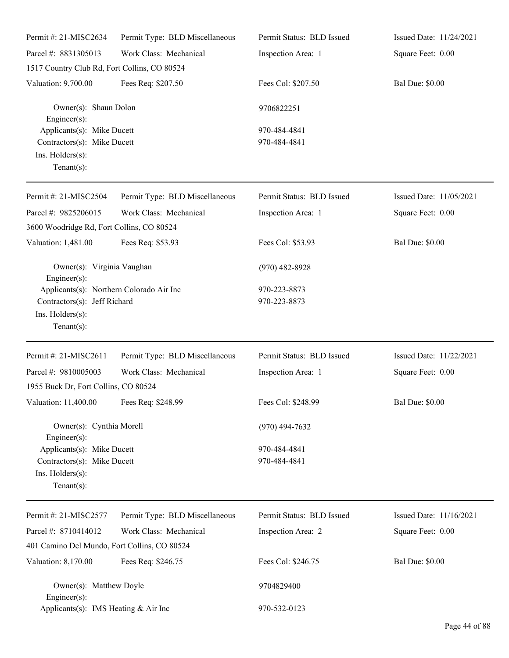| Permit #: 21-MISC2634                                                                                          | Permit Type: BLD Miscellaneous | Permit Status: BLD Issued    | Issued Date: 11/24/2021 |
|----------------------------------------------------------------------------------------------------------------|--------------------------------|------------------------------|-------------------------|
| Parcel #: 8831305013                                                                                           | Work Class: Mechanical         | Inspection Area: 1           | Square Feet: 0.00       |
| 1517 Country Club Rd, Fort Collins, CO 80524                                                                   |                                |                              |                         |
| Valuation: 9,700.00                                                                                            | Fees Req: \$207.50             | Fees Col: \$207.50           | <b>Bal Due: \$0.00</b>  |
| Owner(s): Shaun Dolon<br>$Engineering(s)$ :                                                                    |                                | 9706822251                   |                         |
| Applicants(s): Mike Ducett<br>Contractors(s): Mike Ducett<br>Ins. Holders(s):<br>Tenant $(s)$ :                |                                | 970-484-4841<br>970-484-4841 |                         |
| Permit #: 21-MISC2504                                                                                          | Permit Type: BLD Miscellaneous | Permit Status: BLD Issued    | Issued Date: 11/05/2021 |
| Parcel #: 9825206015<br>3600 Woodridge Rd, Fort Collins, CO 80524                                              | Work Class: Mechanical         | Inspection Area: 1           | Square Feet: 0.00       |
| Valuation: 1,481.00                                                                                            | Fees Req: \$53.93              | Fees Col: \$53.93            | <b>Bal Due: \$0.00</b>  |
| Owner(s): Virginia Vaughan<br>$Engineering(s)$ :                                                               |                                | $(970)$ 482-8928             |                         |
| Applicants(s): Northern Colorado Air Inc<br>Contractors(s): Jeff Richard<br>Ins. Holders(s):<br>Tenant $(s)$ : |                                | 970-223-8873<br>970-223-8873 |                         |
| Permit #: 21-MISC2611                                                                                          | Permit Type: BLD Miscellaneous | Permit Status: BLD Issued    | Issued Date: 11/22/2021 |
| Parcel #: 9810005003<br>1955 Buck Dr, Fort Collins, CO 80524                                                   | Work Class: Mechanical         | Inspection Area: 1           | Square Feet: 0.00       |
| Valuation: 11,400.00 Fees Req: \$248.99                                                                        |                                | Fees Col: \$248.99           | <b>Bal Due: \$0.00</b>  |
| Owner(s): Cynthia Morell<br>$Engineering(s)$ :                                                                 |                                | $(970)$ 494-7632             |                         |
| Applicants(s): Mike Ducett<br>Contractors(s): Mike Ducett<br>Ins. Holders(s):<br>Tenant $(s)$ :                |                                | 970-484-4841<br>970-484-4841 |                         |
| Permit #: 21-MISC2577                                                                                          | Permit Type: BLD Miscellaneous | Permit Status: BLD Issued    | Issued Date: 11/16/2021 |
| Parcel #: 8710414012                                                                                           | Work Class: Mechanical         | Inspection Area: 2           | Square Feet: 0.00       |
| 401 Camino Del Mundo, Fort Collins, CO 80524                                                                   |                                |                              |                         |
| Valuation: 8,170.00                                                                                            | Fees Req: \$246.75             | Fees Col: \$246.75           | <b>Bal Due: \$0.00</b>  |
| Owner(s): Matthew Doyle<br>$Engineering(s)$ :                                                                  |                                | 9704829400                   |                         |
| Applicants(s): IMS Heating & Air Inc                                                                           |                                | 970-532-0123                 |                         |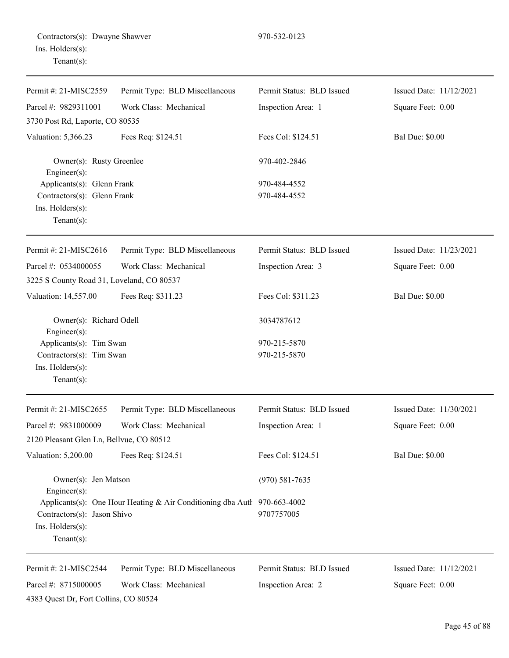| Permit #: 21-MISC2559                                                                           | Permit Type: BLD Miscellaneous                                           | Permit Status: BLD Issued    | Issued Date: 11/12/2021 |
|-------------------------------------------------------------------------------------------------|--------------------------------------------------------------------------|------------------------------|-------------------------|
| Parcel #: 9829311001                                                                            | Work Class: Mechanical                                                   | Inspection Area: 1           | Square Feet: 0.00       |
| 3730 Post Rd, Laporte, CO 80535                                                                 |                                                                          |                              |                         |
| Valuation: 5,366.23                                                                             | Fees Req: \$124.51                                                       | Fees Col: \$124.51           | <b>Bal Due: \$0.00</b>  |
| Owner(s): Rusty Greenlee<br>Engineer(s):                                                        |                                                                          | 970-402-2846                 |                         |
| Applicants(s): Glenn Frank<br>Contractors(s): Glenn Frank<br>Ins. Holders(s):<br>Tenant $(s)$ : |                                                                          | 970-484-4552<br>970-484-4552 |                         |
| Permit #: 21-MISC2616                                                                           | Permit Type: BLD Miscellaneous                                           | Permit Status: BLD Issued    | Issued Date: 11/23/2021 |
| Parcel #: 0534000055<br>3225 S County Road 31, Loveland, CO 80537                               | Work Class: Mechanical                                                   | Inspection Area: 3           | Square Feet: 0.00       |
| Valuation: 14,557.00                                                                            | Fees Req: \$311.23                                                       | Fees Col: \$311.23           | <b>Bal Due: \$0.00</b>  |
| Owner(s): Richard Odell<br>Engineer(s):                                                         |                                                                          | 3034787612                   |                         |
| Applicants(s): Tim Swan<br>Contractors(s): Tim Swan<br>Ins. Holders(s):<br>Tenant $(s)$ :       |                                                                          | 970-215-5870<br>970-215-5870 |                         |
| Permit #: 21-MISC2655                                                                           | Permit Type: BLD Miscellaneous                                           | Permit Status: BLD Issued    | Issued Date: 11/30/2021 |
| Parcel #: 9831000009                                                                            | Work Class: Mechanical                                                   | Inspection Area: 1           | Square Feet: 0.00       |
| 2120 Pleasant Glen Ln, Bellvue, CO 80512                                                        |                                                                          |                              |                         |
| Valuation: 5,200.00                                                                             | Fees Req: \$124.51                                                       | Fees Col: \$124.51           | <b>Bal Due: \$0.00</b>  |
| Owner(s): Jen Matson<br>Engineer(s):                                                            |                                                                          | $(970) 581 - 7635$           |                         |
| Contractors(s): Jason Shivo<br>Ins. Holders(s):<br>Tenant $(s)$ :                               | Applicants(s): One Hour Heating & Air Conditioning dba Autl 970-663-4002 | 9707757005                   |                         |
| Permit #: 21-MISC2544                                                                           | Permit Type: BLD Miscellaneous                                           | Permit Status: BLD Issued    | Issued Date: 11/12/2021 |
| Parcel #: 8715000005<br>4383 Quest Dr, Fort Collins, CO 80524                                   | Work Class: Mechanical                                                   | Inspection Area: 2           | Square Feet: 0.00       |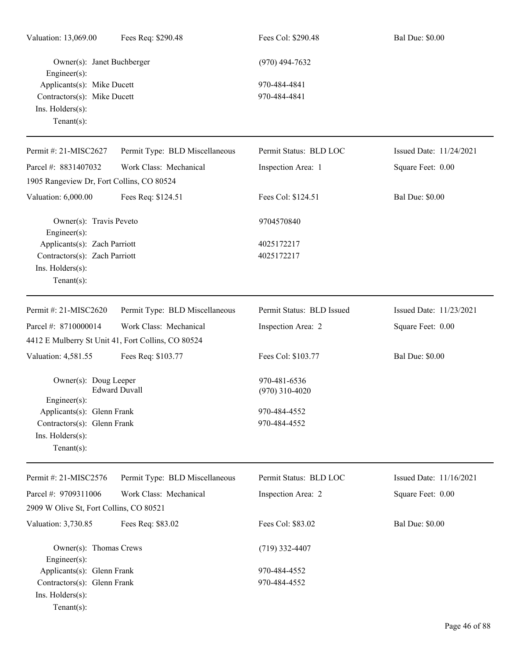| Valuation: 13,069.00                                                                                | Fees Req: \$290.48                                 | Fees Col: \$290.48               | <b>Bal Due: \$0.00</b>  |
|-----------------------------------------------------------------------------------------------------|----------------------------------------------------|----------------------------------|-------------------------|
| Owner(s): Janet Buchberger<br>Engineer(s):                                                          |                                                    | $(970)$ 494-7632                 |                         |
| Applicants(s): Mike Ducett<br>Contractors(s): Mike Ducett<br>Ins. Holders(s):<br>Tenant $(s)$ :     |                                                    | 970-484-4841<br>970-484-4841     |                         |
| Permit #: 21-MISC2627                                                                               | Permit Type: BLD Miscellaneous                     | Permit Status: BLD LOC           | Issued Date: 11/24/2021 |
| Parcel #: 8831407032                                                                                | Work Class: Mechanical                             | Inspection Area: 1               | Square Feet: 0.00       |
| 1905 Rangeview Dr, Fort Collins, CO 80524                                                           |                                                    |                                  |                         |
| Valuation: 6,000.00                                                                                 | Fees Req: \$124.51                                 | Fees Col: \$124.51               | <b>Bal Due: \$0.00</b>  |
| Owner(s): Travis Peveto<br>Engineer(s):                                                             |                                                    | 9704570840                       |                         |
| Applicants(s): Zach Parriott<br>Contractors(s): Zach Parriott<br>Ins. Holders(s):<br>Tenant $(s)$ : |                                                    | 4025172217<br>4025172217         |                         |
| Permit #: 21-MISC2620                                                                               | Permit Type: BLD Miscellaneous                     | Permit Status: BLD Issued        | Issued Date: 11/23/2021 |
| Parcel #: 8710000014                                                                                | Work Class: Mechanical                             | Inspection Area: 2               | Square Feet: 0.00       |
|                                                                                                     | 4412 E Mulberry St Unit 41, Fort Collins, CO 80524 |                                  |                         |
| Valuation: 4,581.55                                                                                 | Fees Req: \$103.77                                 | Fees Col: \$103.77               | <b>Bal Due: \$0.00</b>  |
| Owner(s): Doug Leeper<br>$Engineering(s)$ :                                                         | <b>Edward Duvall</b>                               | 970-481-6536<br>$(970)$ 310-4020 |                         |
| Applicants(s): Glenn Frank                                                                          |                                                    | 970-484-4552                     |                         |
| Contractors(s): Glenn Frank<br>Ins. Holders(s):<br>$Tenant(s)$ :                                    |                                                    | 970-484-4552                     |                         |
| Permit #: 21-MISC2576                                                                               | Permit Type: BLD Miscellaneous                     | Permit Status: BLD LOC           | Issued Date: 11/16/2021 |
| Parcel #: 9709311006                                                                                | Work Class: Mechanical                             | Inspection Area: 2               | Square Feet: 0.00       |
| 2909 W Olive St, Fort Collins, CO 80521                                                             |                                                    |                                  |                         |
| Valuation: 3,730.85                                                                                 | Fees Req: \$83.02                                  | Fees Col: \$83.02                | <b>Bal Due: \$0.00</b>  |
| Owner(s): Thomas Crews<br>Engineer(s):                                                              |                                                    | $(719)$ 332-4407                 |                         |
| Applicants(s): Glenn Frank                                                                          |                                                    | 970-484-4552                     |                         |
| Contractors(s): Glenn Frank<br>Ins. Holders(s):<br>$Tenant(s)$ :                                    |                                                    | 970-484-4552                     |                         |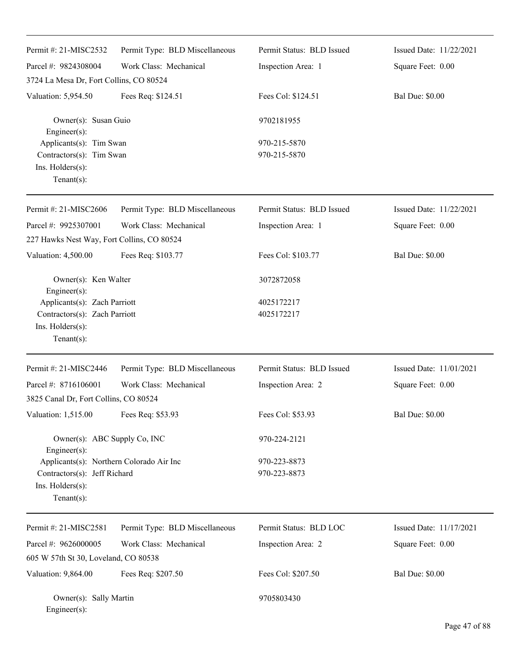| Permit #: 21-MISC2532                                                                                         | Permit Type: BLD Miscellaneous | Permit Status: BLD Issued    | Issued Date: 11/22/2021 |
|---------------------------------------------------------------------------------------------------------------|--------------------------------|------------------------------|-------------------------|
| Parcel #: 9824308004                                                                                          | Work Class: Mechanical         | Inspection Area: 1           | Square Feet: 0.00       |
| 3724 La Mesa Dr, Fort Collins, CO 80524                                                                       |                                |                              |                         |
| Valuation: 5,954.50                                                                                           | Fees Req: \$124.51             | Fees Col: \$124.51           | <b>Bal Due: \$0.00</b>  |
| Owner(s): Susan Guio<br>Engineer(s):                                                                          |                                | 9702181955                   |                         |
| Applicants(s): Tim Swan<br>Contractors(s): Tim Swan<br>Ins. Holders(s):<br>$Tenant(s)$ :                      |                                | 970-215-5870<br>970-215-5870 |                         |
| Permit #: 21-MISC2606                                                                                         | Permit Type: BLD Miscellaneous | Permit Status: BLD Issued    | Issued Date: 11/22/2021 |
| Parcel #: 9925307001                                                                                          | Work Class: Mechanical         | Inspection Area: 1           | Square Feet: 0.00       |
| 227 Hawks Nest Way, Fort Collins, CO 80524                                                                    |                                |                              |                         |
| Valuation: 4,500.00                                                                                           | Fees Req: \$103.77             | Fees Col: \$103.77           | <b>Bal Due: \$0.00</b>  |
| Owner(s): Ken Walter<br>Engineer(s):                                                                          |                                | 3072872058                   |                         |
| Applicants(s): Zach Parriott<br>Contractors(s): Zach Parriott<br>Ins. $H$ olders $(s)$ :<br>$Tenant(s)$ :     |                                | 4025172217<br>4025172217     |                         |
| Permit #: 21-MISC2446                                                                                         | Permit Type: BLD Miscellaneous | Permit Status: BLD Issued    | Issued Date: 11/01/2021 |
| Parcel #: 8716106001                                                                                          | Work Class: Mechanical         | Inspection Area: 2           | Square Feet: 0.00       |
| 3825 Canal Dr, Fort Collins, CO 80524                                                                         |                                |                              |                         |
| Valuation: 1,515.00                                                                                           | Fees Req: \$53.93              | Fees Col: \$53.93            | <b>Bal Due: \$0.00</b>  |
| Owner(s): ABC Supply Co, INC<br>Engineer(s):                                                                  |                                | 970-224-2121                 |                         |
| Applicants(s): Northern Colorado Air Inc<br>Contractors(s): Jeff Richard<br>Ins. Holders(s):<br>$Tenant(s)$ : |                                | 970-223-8873<br>970-223-8873 |                         |
| Permit #: 21-MISC2581                                                                                         | Permit Type: BLD Miscellaneous | Permit Status: BLD LOC       | Issued Date: 11/17/2021 |
| Parcel #: 9626000005                                                                                          | Work Class: Mechanical         | Inspection Area: 2           | Square Feet: 0.00       |
| 605 W 57th St 30, Loveland, CO 80538                                                                          |                                |                              |                         |
| Valuation: 9,864.00                                                                                           | Fees Req: \$207.50             | Fees Col: \$207.50           | <b>Bal Due: \$0.00</b>  |
| Owner(s): Sally Martin<br>Engineer(s):                                                                        |                                | 9705803430                   |                         |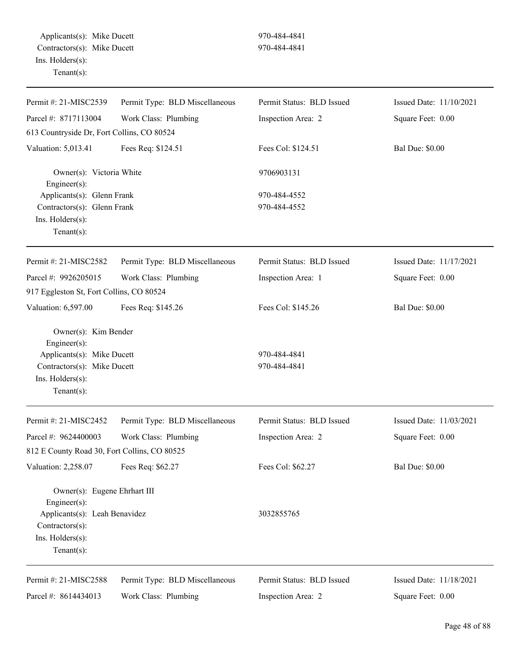| Permit #: 21-MISC2539                                                                                                                   | Permit Type: BLD Miscellaneous | Permit Status: BLD Issued    | Issued Date: 11/10/2021 |
|-----------------------------------------------------------------------------------------------------------------------------------------|--------------------------------|------------------------------|-------------------------|
| Parcel #: 8717113004                                                                                                                    | Work Class: Plumbing           | Inspection Area: 2           | Square Feet: 0.00       |
| 613 Countryside Dr, Fort Collins, CO 80524                                                                                              |                                |                              |                         |
| Valuation: 5,013.41                                                                                                                     | Fees Req: \$124.51             | Fees Col: \$124.51           | <b>Bal Due: \$0.00</b>  |
| Owner(s): Victoria White<br>Engineer(s):                                                                                                |                                | 9706903131                   |                         |
| Applicants(s): Glenn Frank<br>Contractors(s): Glenn Frank<br>Ins. Holders(s):<br>$Tenant(s)$ :                                          |                                | 970-484-4552<br>970-484-4552 |                         |
| Permit #: 21-MISC2582                                                                                                                   | Permit Type: BLD Miscellaneous | Permit Status: BLD Issued    | Issued Date: 11/17/2021 |
| Parcel #: 9926205015                                                                                                                    | Work Class: Plumbing           | Inspection Area: 1           | Square Feet: 0.00       |
| 917 Eggleston St, Fort Collins, CO 80524                                                                                                |                                |                              |                         |
| Valuation: 6,597.00                                                                                                                     | Fees Req: \$145.26             | Fees Col: \$145.26           | <b>Bal Due: \$0.00</b>  |
| Owner(s): Kim Bender<br>Engineer(s):<br>Applicants(s): Mike Ducett<br>Contractors(s): Mike Ducett<br>Ins. Holders(s):<br>Tenant $(s)$ : |                                | 970-484-4841<br>970-484-4841 |                         |
| Permit #: 21-MISC2452                                                                                                                   | Permit Type: BLD Miscellaneous | Permit Status: BLD Issued    | Issued Date: 11/03/2021 |
| Parcel #: 9624400003                                                                                                                    | Work Class: Plumbing           | Inspection Area: 2           | Square Feet: 0.00       |
| 812 E County Road 30, Fort Collins, CO 80525                                                                                            |                                |                              |                         |
| Valuation: 2,258.07                                                                                                                     | Fees Req: \$62.27              | Fees Col: \$62.27            | <b>Bal Due: \$0.00</b>  |
| Owner(s): Eugene Ehrhart III<br>Engineer(s):                                                                                            |                                |                              |                         |
| Applicants(s): Leah Benavidez<br>Contractors(s):<br>Ins. Holders(s):<br>$Tenant(s)$ :                                                   |                                | 3032855765                   |                         |
| Permit #: 21-MISC2588                                                                                                                   | Permit Type: BLD Miscellaneous | Permit Status: BLD Issued    | Issued Date: 11/18/2021 |
| Parcel #: 8614434013                                                                                                                    | Work Class: Plumbing           | Inspection Area: 2           | Square Feet: 0.00       |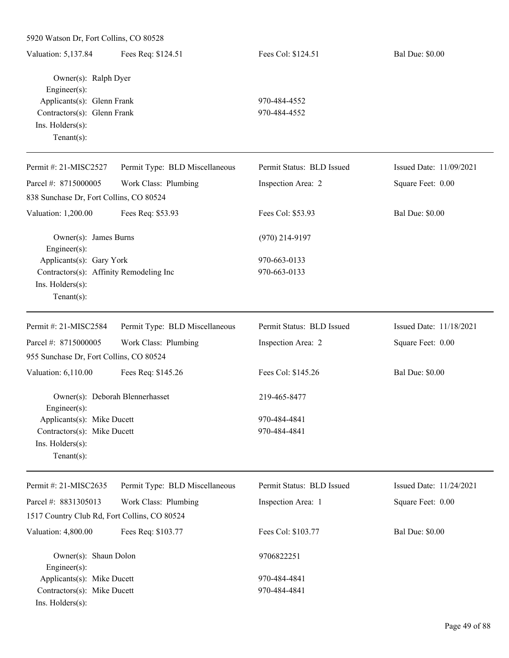| 5920 Watson Dr, Fort Collins, CO 80528                |                                |                           |                         |
|-------------------------------------------------------|--------------------------------|---------------------------|-------------------------|
| Valuation: 5,137.84                                   | Fees Req: \$124.51             | Fees Col: \$124.51        | <b>Bal Due: \$0.00</b>  |
| Owner(s): Ralph Dyer<br>Engineer(s):                  |                                |                           |                         |
| Applicants(s): Glenn Frank                            |                                | 970-484-4552              |                         |
| Contractors(s): Glenn Frank                           |                                | 970-484-4552              |                         |
| Ins. Holders(s):                                      |                                |                           |                         |
| Tenant $(s)$ :                                        |                                |                           |                         |
| Permit #: 21-MISC2527                                 | Permit Type: BLD Miscellaneous | Permit Status: BLD Issued | Issued Date: 11/09/2021 |
| Parcel #: 8715000005                                  | Work Class: Plumbing           | Inspection Area: 2        | Square Feet: 0.00       |
| 838 Sunchase Dr, Fort Collins, CO 80524               |                                |                           |                         |
| Valuation: 1,200.00                                   | Fees Req: \$53.93              | Fees Col: \$53.93         | <b>Bal Due: \$0.00</b>  |
| Owner(s): James Burns<br>Engineer(s):                 |                                | $(970)$ 214-9197          |                         |
| Applicants(s): Gary York                              |                                | 970-663-0133              |                         |
| Contractors(s): Affinity Remodeling Inc               |                                | 970-663-0133              |                         |
| Ins. Holders(s):<br>Tenant $(s)$ :                    |                                |                           |                         |
| Permit #: 21-MISC2584                                 | Permit Type: BLD Miscellaneous | Permit Status: BLD Issued | Issued Date: 11/18/2021 |
| Parcel #: 8715000005                                  | Work Class: Plumbing           | Inspection Area: 2        | Square Feet: 0.00       |
| 955 Sunchase Dr, Fort Collins, CO 80524               |                                |                           |                         |
| Valuation: 6,110.00                                   | Fees Req: \$145.26             | Fees Col: \$145.26        | <b>Bal Due: \$0.00</b>  |
| Owner(s): Deborah Blennerhasset<br>$Engineering(s)$ : |                                | 219-465-8477              |                         |
| Applicants(s): Mike Ducett                            |                                | 970-484-4841              |                         |
| Contractors(s): Mike Ducett                           |                                | 970-484-4841              |                         |
| Ins. Holders(s):<br>Tenant $(s)$ :                    |                                |                           |                         |
| Permit #: 21-MISC2635                                 | Permit Type: BLD Miscellaneous | Permit Status: BLD Issued | Issued Date: 11/24/2021 |
| Parcel #: 8831305013                                  | Work Class: Plumbing           | Inspection Area: 1        | Square Feet: 0.00       |
| 1517 Country Club Rd, Fort Collins, CO 80524          |                                |                           |                         |
| Valuation: 4,800.00                                   | Fees Req: \$103.77             | Fees Col: \$103.77        | <b>Bal Due: \$0.00</b>  |
| Owner(s): Shaun Dolon                                 |                                | 9706822251                |                         |
| Engineer(s):<br>Applicants(s): Mike Ducett            |                                | 970-484-4841              |                         |
| Contractors(s): Mike Ducett                           |                                | 970-484-4841              |                         |
| Ins. Holders(s):                                      |                                |                           |                         |
|                                                       |                                |                           |                         |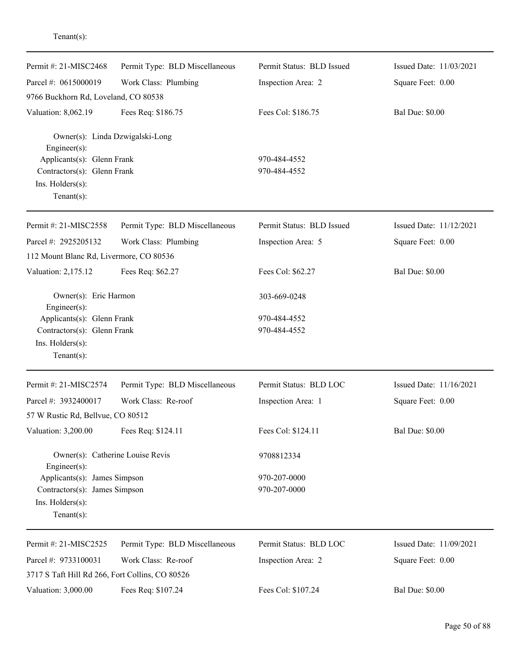| Permit #: 21-MISC2468                            | Permit Type: BLD Miscellaneous  | Permit Status: BLD Issued | Issued Date: 11/03/2021 |
|--------------------------------------------------|---------------------------------|---------------------------|-------------------------|
| Parcel #: 0615000019                             | Work Class: Plumbing            | Inspection Area: 2        | Square Feet: 0.00       |
| 9766 Buckhorn Rd, Loveland, CO 80538             |                                 |                           |                         |
| Valuation: 8,062.19                              | Fees Req: \$186.75              | Fees Col: \$186.75        | <b>Bal Due: \$0.00</b>  |
| Engineer(s):                                     | Owner(s): Linda Dzwigalski-Long |                           |                         |
| Applicants(s): Glenn Frank                       |                                 | 970-484-4552              |                         |
| Contractors(s): Glenn Frank                      |                                 | 970-484-4552              |                         |
| Ins. Holders(s):<br>Tenant $(s)$ :               |                                 |                           |                         |
|                                                  |                                 |                           |                         |
| Permit #: 21-MISC2558                            | Permit Type: BLD Miscellaneous  | Permit Status: BLD Issued | Issued Date: 11/12/2021 |
| Parcel #: 2925205132                             | Work Class: Plumbing            | Inspection Area: 5        | Square Feet: 0.00       |
| 112 Mount Blanc Rd, Livermore, CO 80536          |                                 |                           |                         |
| Valuation: 2,175.12                              | Fees Req: \$62.27               | Fees Col: \$62.27         | <b>Bal Due: \$0.00</b>  |
| Owner(s): Eric Harmon<br>Engineer(s):            |                                 | 303-669-0248              |                         |
| Applicants(s): Glenn Frank                       |                                 | 970-484-4552              |                         |
| Contractors(s): Glenn Frank                      |                                 | 970-484-4552              |                         |
| Ins. Holders(s):                                 |                                 |                           |                         |
| $Tenant(s)$ :                                    |                                 |                           |                         |
| Permit #: 21-MISC2574                            | Permit Type: BLD Miscellaneous  | Permit Status: BLD LOC    | Issued Date: 11/16/2021 |
| Parcel #: 3932400017                             | Work Class: Re-roof             | Inspection Area: 1        | Square Feet: 0.00       |
| 57 W Rustic Rd, Bellvue, CO 80512                |                                 |                           |                         |
| Valuation: 3,200.00                              | Fees Req: \$124.11              | Fees Col: \$124.11        | <b>Bal Due: \$0.00</b>  |
| Owner(s): Catherine Louise Revis<br>Engineer(s): |                                 | 9708812334                |                         |
| Applicants(s): James Simpson                     |                                 | 970-207-0000              |                         |
| Contractors(s): James Simpson                    |                                 | 970-207-0000              |                         |
| Ins. Holders(s):                                 |                                 |                           |                         |
| Tenant $(s)$ :                                   |                                 |                           |                         |
| Permit #: 21-MISC2525                            | Permit Type: BLD Miscellaneous  | Permit Status: BLD LOC    | Issued Date: 11/09/2021 |
| Parcel #: 9733100031                             | Work Class: Re-roof             | Inspection Area: 2        | Square Feet: 0.00       |
| 3717 S Taft Hill Rd 266, Fort Collins, CO 80526  |                                 |                           |                         |
| Valuation: 3,000.00                              | Fees Req: \$107.24              | Fees Col: \$107.24        | <b>Bal Due: \$0.00</b>  |
|                                                  |                                 |                           |                         |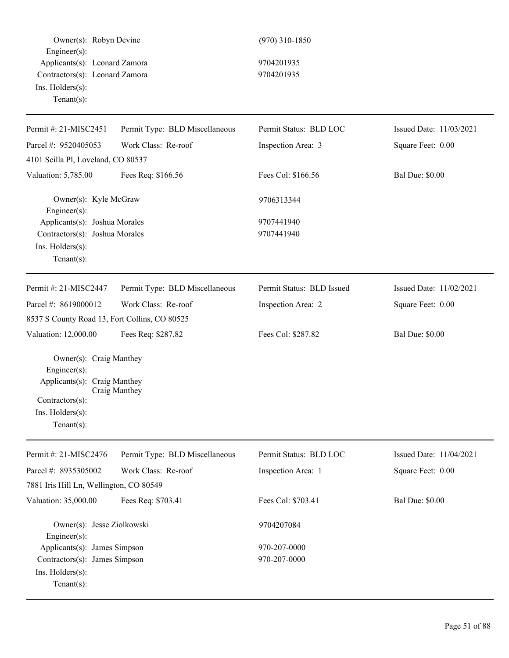Owner(s): Robyn Devine (970) 310-1850 Engineer(s): Applicants(s): Leonard Zamora 9704201935 Contractors(s): Leonard Zamora 9704201935 Ins. Holders(s): Tenant(s): Permit #: 21-MISC2451 Parcel #: 9520405053 Permit Type: BLD Miscellaneous Work Class: Re-roof Permit Status: BLD LOC Inspection Area: 3 Issued Date: 11/03/2021 Square Feet: 0.00 4101 Scilla Pl, Loveland, CO 80537 Valuation: 5,785.00 Fees Req: \$166.56 Fees Col: \$166.56 Bal Due: \$0.00 Owner(s): Kyle McGraw 9706313344 Engineer(s): Applicants(s): Joshua Morales 9707441940 Contractors(s): Joshua Morales 9707441940 Ins. Holders(s): Tenant(s): Permit #: 21-MISC2447 Parcel #: 8619000012 Permit Type: BLD Miscellaneous Work Class: Re-roof Permit Status: BLD Issued Inspection Area: 2 Issued Date: 11/02/2021 Square Feet: 0.00 8537 S County Road 13, Fort Collins, CO 80525 Valuation: 12,000.00 Fees Req: \$287.82 Fees Col: \$287.82 Bal Due: \$0.00 Owner(s): Craig Manthey Engineer(s): Applicants(s): Craig Manthey Craig Manthey Contractors(s): Ins. Holders(s): Tenant(s): Permit #: 21-MISC2476 Parcel #: 8935305002 Permit Type: BLD Miscellaneous Work Class: Re-roof Permit Status: BLD LOC Inspection Area: 1 Issued Date: 11/04/2021 Square Feet: 0.00 7881 Iris Hill Ln, Wellington, CO 80549 Valuation: 35,000.00 Fees Req: \$703.41 Fees Col: \$703.41 Bal Due: \$0.00 Owner(s): Jesse Ziolkowski 9704207084 Engineer(s): Applicants(s): James Simpson 970-207-0000 Contractors(s): James Simpson 970-207-0000 Ins. Holders(s): Tenant(s):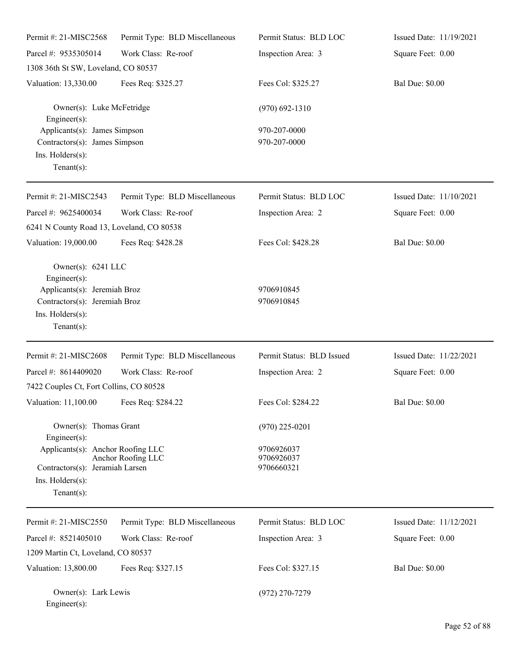| Permit #: 21-MISC2568                                                                                                                     | Permit Type: BLD Miscellaneous | Permit Status: BLD LOC                 | Issued Date: 11/19/2021 |
|-------------------------------------------------------------------------------------------------------------------------------------------|--------------------------------|----------------------------------------|-------------------------|
| Parcel #: 9535305014                                                                                                                      | Work Class: Re-roof            | Inspection Area: 3                     | Square Feet: 0.00       |
| 1308 36th St SW, Loveland, CO 80537                                                                                                       |                                |                                        |                         |
| Valuation: 13,330.00                                                                                                                      | Fees Req: \$325.27             | Fees Col: \$325.27                     | <b>Bal Due: \$0.00</b>  |
| Owner(s): Luke McFetridge<br>$Engineering(s)$ :                                                                                           |                                | $(970) 692 - 1310$                     |                         |
| Applicants(s): James Simpson<br>Contractors(s): James Simpson<br>Ins. Holders(s):<br>Tenant $(s)$ :                                       |                                | 970-207-0000<br>970-207-0000           |                         |
| Permit #: 21-MISC2543                                                                                                                     | Permit Type: BLD Miscellaneous | Permit Status: BLD LOC                 | Issued Date: 11/10/2021 |
| Parcel #: 9625400034<br>6241 N County Road 13, Loveland, CO 80538                                                                         | Work Class: Re-roof            | Inspection Area: 2                     | Square Feet: 0.00       |
| Valuation: 19,000.00                                                                                                                      | Fees Req: \$428.28             | Fees Col: \$428.28                     | <b>Bal Due: \$0.00</b>  |
| Owner(s): 6241 LLC<br>Engineer(s):<br>Applicants(s): Jeremiah Broz<br>Contractors(s): Jeremiah Broz<br>Ins. Holders(s):<br>Tenant $(s)$ : |                                | 9706910845<br>9706910845               |                         |
| Permit #: 21-MISC2608                                                                                                                     | Permit Type: BLD Miscellaneous | Permit Status: BLD Issued              | Issued Date: 11/22/2021 |
| Parcel #: 8614409020                                                                                                                      | Work Class: Re-roof            | Inspection Area: 2                     | Square Feet: 0.00       |
| 7422 Couples Ct, Fort Collins, CO 80528                                                                                                   |                                |                                        |                         |
| Valuation: 11,100.00 Fees Req: \$284.22                                                                                                   |                                | Fees Col: \$284.22                     | <b>Bal Due: \$0.00</b>  |
| Owner(s): Thomas Grant<br>Engineer(s):                                                                                                    |                                | $(970)$ 225-0201                       |                         |
| Applicants(s): Anchor Roofing LLC<br>Contractors(s): Jeramiah Larsen<br>Ins. Holders(s):<br>Tenant $(s)$ :                                | Anchor Roofing LLC             | 9706926037<br>9706926037<br>9706660321 |                         |
| Permit #: 21-MISC2550                                                                                                                     | Permit Type: BLD Miscellaneous | Permit Status: BLD LOC                 | Issued Date: 11/12/2021 |
| Parcel #: 8521405010                                                                                                                      | Work Class: Re-roof            | Inspection Area: 3                     | Square Feet: 0.00       |
| 1209 Martin Ct, Loveland, CO 80537                                                                                                        |                                |                                        |                         |
| Valuation: 13,800.00                                                                                                                      | Fees Req: \$327.15             | Fees Col: \$327.15                     | <b>Bal Due: \$0.00</b>  |
| Owner(s): Lark Lewis<br>$Engineer(s)$ :                                                                                                   |                                | $(972)$ 270-7279                       |                         |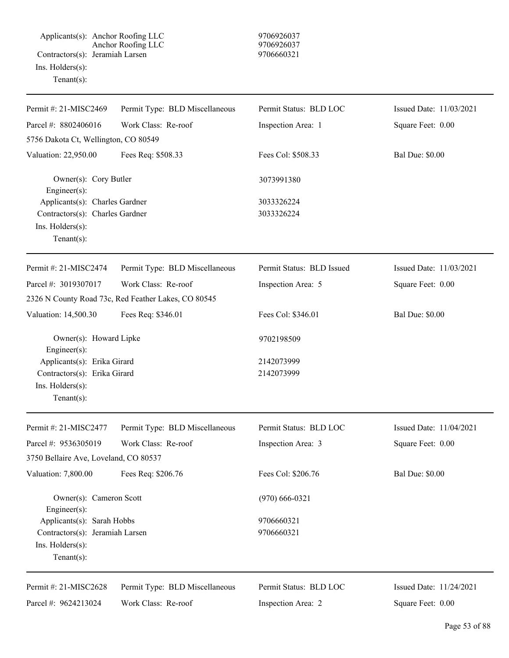Applicants(s): Anchor Roofing LLC 9706926037 Anchor Roofing LLC 9706926037 Contractors(s): Jeramiah Larsen 9706660321 Ins. Holders(s): Tenant(s):

| Permit #: 21-MISC2469                   | Permit Type: BLD Miscellaneous                      | Permit Status: BLD LOC    | Issued Date: 11/03/2021 |
|-----------------------------------------|-----------------------------------------------------|---------------------------|-------------------------|
| Parcel #: 8802406016                    | Work Class: Re-roof                                 | Inspection Area: 1        | Square Feet: 0.00       |
| 5756 Dakota Ct, Wellington, CO 80549    |                                                     |                           |                         |
| Valuation: 22,950.00                    | Fees Req: \$508.33                                  | Fees Col: \$508.33        | <b>Bal Due: \$0.00</b>  |
| Owner(s): Cory Butler<br>Engineer(s):   |                                                     | 3073991380                |                         |
| Applicants(s): Charles Gardner          |                                                     | 3033326224                |                         |
| Contractors(s): Charles Gardner         |                                                     | 3033326224                |                         |
| Ins. Holders(s):<br>$Tenant(s)$ :       |                                                     |                           |                         |
| Permit #: 21-MISC2474                   | Permit Type: BLD Miscellaneous                      | Permit Status: BLD Issued | Issued Date: 11/03/2021 |
| Parcel #: 3019307017                    | Work Class: Re-roof                                 | Inspection Area: 5        | Square Feet: 0.00       |
|                                         | 2326 N County Road 73c, Red Feather Lakes, CO 80545 |                           |                         |
| Valuation: 14,500.30                    | Fees Req: \$346.01                                  | Fees Col: \$346.01        | <b>Bal Due: \$0.00</b>  |
| Owner(s): Howard Lipke<br>Engineer(s):  |                                                     | 9702198509                |                         |
| Applicants(s): Erika Girard             |                                                     | 2142073999                |                         |
| Contractors(s): Erika Girard            |                                                     | 2142073999                |                         |
| Ins. Holders(s):<br>$Tenant(s)$ :       |                                                     |                           |                         |
| Permit #: 21-MISC2477                   | Permit Type: BLD Miscellaneous                      | Permit Status: BLD LOC    | Issued Date: 11/04/2021 |
| Parcel #: 9536305019                    | Work Class: Re-roof                                 | Inspection Area: 3        | Square Feet: 0.00       |
| 3750 Bellaire Ave, Loveland, CO 80537   |                                                     |                           |                         |
| Valuation: 7,800.00                     | Fees Req: \$206.76                                  | Fees Col: \$206.76        | <b>Bal Due: \$0.00</b>  |
| Owner(s): Cameron Scott<br>Engineer(s): |                                                     | $(970)$ 666-0321          |                         |
| Applicants(s): Sarah Hobbs              |                                                     | 9706660321                |                         |
| Contractors(s): Jeramiah Larsen         |                                                     | 9706660321                |                         |
| Ins. Holders(s):<br>$Tenant(s)$ :       |                                                     |                           |                         |
| Permit #: 21-MISC2628                   | Permit Type: BLD Miscellaneous                      | Permit Status: BLD LOC    | Issued Date: 11/24/2021 |
| Parcel #: 9624213024                    | Work Class: Re-roof                                 | Inspection Area: 2        | Square Feet: 0.00       |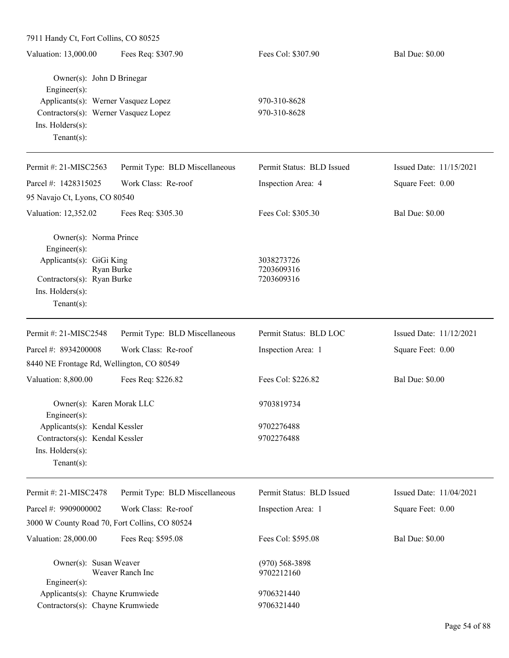| 7911 Handy Ct, Fort Collins, CO 80525                                      |                                |                           |                         |
|----------------------------------------------------------------------------|--------------------------------|---------------------------|-------------------------|
| Valuation: 13,000.00                                                       | Fees Req: \$307.90             | Fees Col: \$307.90        | <b>Bal Due: \$0.00</b>  |
| Owner(s): John D Brinegar<br>Engineer(s):                                  |                                |                           |                         |
| Applicants(s): Werner Vasquez Lopez                                        |                                | 970-310-8628              |                         |
| Contractors(s): Werner Vasquez Lopez<br>Ins. Holders(s):<br>Tenant $(s)$ : |                                | 970-310-8628              |                         |
| Permit #: 21-MISC2563                                                      | Permit Type: BLD Miscellaneous | Permit Status: BLD Issued | Issued Date: 11/15/2021 |
| Parcel #: 1428315025                                                       | Work Class: Re-roof            | Inspection Area: 4        | Square Feet: 0.00       |
| 95 Navajo Ct, Lyons, CO 80540                                              |                                |                           |                         |
| Valuation: 12,352.02                                                       | Fees Req: \$305.30             | Fees Col: \$305.30        | <b>Bal Due: \$0.00</b>  |
| Owner(s): Norma Prince<br>Engineer(s):                                     |                                |                           |                         |
| Applicants(s): GiGi King<br>Ryan Burke                                     |                                | 3038273726<br>7203609316  |                         |
| Contractors(s): Ryan Burke                                                 |                                | 7203609316                |                         |
| Ins. Holders(s):                                                           |                                |                           |                         |
| Tenant $(s)$ :                                                             |                                |                           |                         |
| Permit #: 21-MISC2548                                                      | Permit Type: BLD Miscellaneous | Permit Status: BLD LOC    | Issued Date: 11/12/2021 |
| Parcel #: 8934200008                                                       | Work Class: Re-roof            | Inspection Area: 1        | Square Feet: 0.00       |
| 8440 NE Frontage Rd, Wellington, CO 80549                                  |                                |                           |                         |
| Valuation: 8,800.00                                                        | Fees Req: \$226.82             | Fees Col: \$226.82        | <b>Bal Due: \$0.00</b>  |
| Owner(s): Karen Morak LLC<br>Engineer $(s)$ :                              |                                | 9703819734                |                         |
| Applicants(s): Kendal Kessler                                              |                                | 9702276488                |                         |
| Contractors(s): Kendal Kessler                                             |                                | 9702276488                |                         |
| Ins. Holders(s):<br>Tenant $(s)$ :                                         |                                |                           |                         |
| Permit #: 21-MISC2478                                                      | Permit Type: BLD Miscellaneous | Permit Status: BLD Issued | Issued Date: 11/04/2021 |
| Parcel #: 9909000002                                                       | Work Class: Re-roof            | Inspection Area: 1        | Square Feet: 0.00       |
| 3000 W County Road 70, Fort Collins, CO 80524                              |                                |                           |                         |
| Valuation: 28,000.00                                                       | Fees Req: \$595.08             | Fees Col: \$595.08        | <b>Bal Due: \$0.00</b>  |
| Owner(s): Susan Weaver                                                     |                                | $(970)$ 568-3898          |                         |
| $Engineering(s)$ :                                                         | Weaver Ranch Inc               | 9702212160                |                         |
| Applicants(s): Chayne Krumwiede                                            |                                | 9706321440                |                         |
| Contractors(s): Chayne Krumwiede                                           |                                | 9706321440                |                         |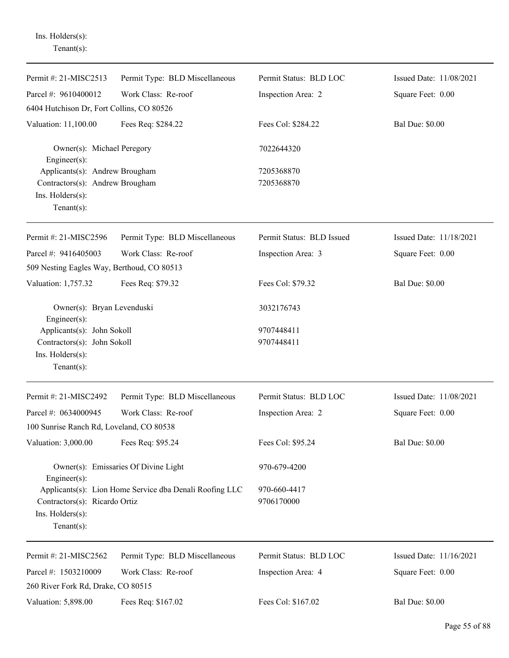Ins. Holders(s): Tenant(s):

| Permit #: 21-MISC2513                                                                                   | Permit Type: BLD Miscellaneous                          | Permit Status: BLD LOC     | Issued Date: 11/08/2021 |
|---------------------------------------------------------------------------------------------------------|---------------------------------------------------------|----------------------------|-------------------------|
| Parcel #: 9610400012                                                                                    | Work Class: Re-roof                                     | Inspection Area: 2         | Square Feet: 0.00       |
| 6404 Hutchison Dr, Fort Collins, CO 80526                                                               |                                                         |                            |                         |
| Valuation: 11,100.00                                                                                    | Fees Req: \$284.22                                      | Fees Col: \$284.22         | <b>Bal Due: \$0.00</b>  |
| Owner(s): Michael Peregory<br>Engineer $(s)$ :                                                          |                                                         | 7022644320                 |                         |
| Applicants(s): Andrew Brougham<br>Contractors(s): Andrew Brougham<br>Ins. Holders(s):<br>Tenant $(s)$ : |                                                         | 7205368870<br>7205368870   |                         |
| Permit #: 21-MISC2596                                                                                   | Permit Type: BLD Miscellaneous                          | Permit Status: BLD Issued  | Issued Date: 11/18/2021 |
| Parcel #: 9416405003<br>509 Nesting Eagles Way, Berthoud, CO 80513                                      | Work Class: Re-roof                                     | Inspection Area: 3         | Square Feet: 0.00       |
| Valuation: 1,757.32                                                                                     | Fees Req: \$79.32                                       | Fees Col: \$79.32          | <b>Bal Due: \$0.00</b>  |
| Owner(s): Bryan Levenduski<br>Engineer $(s)$ :                                                          |                                                         | 3032176743                 |                         |
| Applicants(s): John Sokoll                                                                              |                                                         | 9707448411                 |                         |
| Contractors(s): John Sokoll<br>Ins. Holders(s):<br>Tenant $(s)$ :                                       |                                                         | 9707448411                 |                         |
| Permit #: 21-MISC2492                                                                                   | Permit Type: BLD Miscellaneous                          | Permit Status: BLD LOC     | Issued Date: 11/08/2021 |
| Parcel #: 0634000945                                                                                    | Work Class: Re-roof                                     | Inspection Area: 2         | Square Feet: 0.00       |
| 100 Sunrise Ranch Rd, Loveland, CO 80538                                                                |                                                         |                            |                         |
| Valuation: 3,000.00                                                                                     | Fees Req: \$95.24                                       | Fees Col: \$95.24          | <b>Bal Due: \$0.00</b>  |
| Engineer $(s)$ :                                                                                        | Owner(s): Emissaries Of Divine Light                    | 970-679-4200               |                         |
| Contractors(s): Ricardo Ortiz<br>Ins. Holders(s):<br>Tenant $(s)$ :                                     | Applicants(s): Lion Home Service dba Denali Roofing LLC | 970-660-4417<br>9706170000 |                         |
| Permit #: 21-MISC2562                                                                                   | Permit Type: BLD Miscellaneous                          | Permit Status: BLD LOC     | Issued Date: 11/16/2021 |
| Parcel #: 1503210009<br>260 River Fork Rd, Drake, CO 80515                                              | Work Class: Re-roof                                     | Inspection Area: 4         | Square Feet: 0.00       |
| Valuation: 5,898.00                                                                                     | Fees Req: \$167.02                                      | Fees Col: \$167.02         | <b>Bal Due: \$0.00</b>  |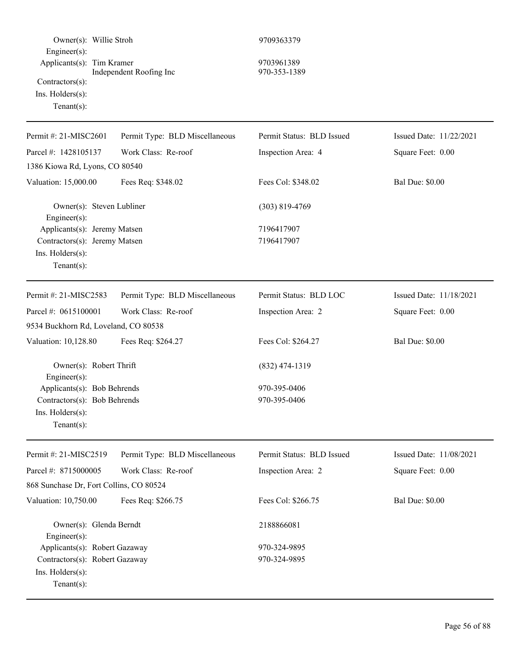| Owner(s): Willie Stroh<br>Engineer(s):<br>Applicants(s): Tim Kramer<br>Contractors(s):<br>Ins. Holders(s):<br>Tenant $(s)$ :                 | Independent Roofing Inc        | 9709363379<br>9703961389<br>970-353-1389         |                         |
|----------------------------------------------------------------------------------------------------------------------------------------------|--------------------------------|--------------------------------------------------|-------------------------|
| Permit #: 21-MISC2601                                                                                                                        | Permit Type: BLD Miscellaneous | Permit Status: BLD Issued                        | Issued Date: 11/22/2021 |
| Parcel #: 1428105137                                                                                                                         | Work Class: Re-roof            | Inspection Area: 4                               | Square Feet: 0.00       |
| 1386 Kiowa Rd, Lyons, CO 80540                                                                                                               |                                |                                                  |                         |
| Valuation: 15,000.00                                                                                                                         | Fees Req: \$348.02             | Fees Col: \$348.02                               | <b>Bal Due: \$0.00</b>  |
| Owner(s): Steven Lubliner<br>$Engineering(s)$ :                                                                                              |                                | $(303) 819 - 4769$                               |                         |
| Applicants(s): Jeremy Matsen<br>Contractors(s): Jeremy Matsen<br>Ins. Holders(s):<br>Tenant $(s)$ :                                          |                                | 7196417907<br>7196417907                         |                         |
| Permit #: 21-MISC2583                                                                                                                        | Permit Type: BLD Miscellaneous | Permit Status: BLD LOC                           | Issued Date: 11/18/2021 |
| Parcel #: 0615100001                                                                                                                         | Work Class: Re-roof            | Inspection Area: 2                               | Square Feet: 0.00       |
| 9534 Buckhorn Rd, Loveland, CO 80538                                                                                                         |                                |                                                  |                         |
| Valuation: 10,128.80                                                                                                                         | Fees Req: \$264.27             | Fees Col: \$264.27                               | <b>Bal Due: \$0.00</b>  |
| Owner(s): Robert Thrift<br>Engineer(s):<br>Applicants(s): Bob Behrends<br>Contractors(s): Bob Behrends<br>Ins. Holders(s):<br>Tenant $(s)$ : |                                | $(832)$ 474-1319<br>970-395-0406<br>970-395-0406 |                         |
|                                                                                                                                              |                                |                                                  |                         |
| Permit #: 21-MISC2519                                                                                                                        | Permit Type: BLD Miscellaneous | Permit Status: BLD Issued                        | Issued Date: 11/08/2021 |
| Parcel #: 8715000005                                                                                                                         | Work Class: Re-roof            | Inspection Area: 2                               | Square Feet: 0.00       |
| 868 Sunchase Dr, Fort Collins, CO 80524                                                                                                      |                                |                                                  |                         |
| Valuation: 10,750.00                                                                                                                         | Fees Req: \$266.75             | Fees Col: \$266.75                               | <b>Bal Due: \$0.00</b>  |
| Owner(s): Glenda Berndt<br>Engineer $(s)$ :                                                                                                  |                                | 2188866081                                       |                         |
| Applicants(s): Robert Gazaway                                                                                                                |                                | 970-324-9895                                     |                         |
| Contractors(s): Robert Gazaway<br>Ins. Holders(s):<br>$Tenant(s)$ :                                                                          |                                | 970-324-9895                                     |                         |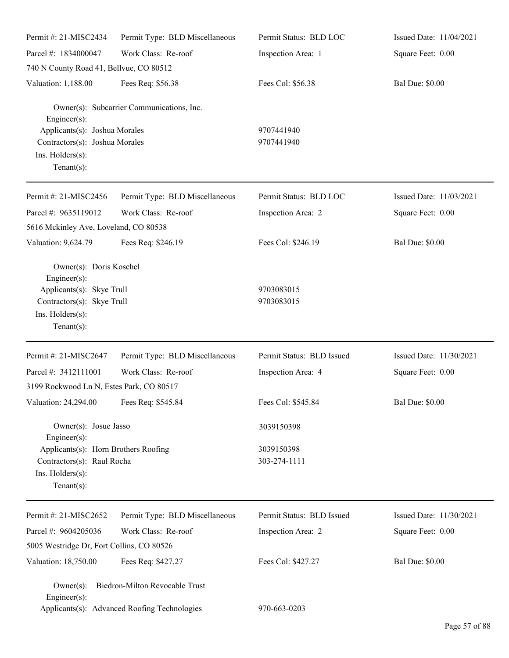| Permit #: 21-MISC2434                                                                                                                    | Permit Type: BLD Miscellaneous                                                 | Permit Status: BLD LOC     | Issued Date: 11/04/2021 |
|------------------------------------------------------------------------------------------------------------------------------------------|--------------------------------------------------------------------------------|----------------------------|-------------------------|
| Parcel #: 1834000047                                                                                                                     | Work Class: Re-roof                                                            | Inspection Area: 1         | Square Feet: 0.00       |
| 740 N County Road 41, Bellvue, CO 80512                                                                                                  |                                                                                |                            |                         |
| Valuation: 1,188.00                                                                                                                      | Fees Req: \$56.38                                                              | Fees Col: \$56.38          | <b>Bal Due: \$0.00</b>  |
| Engineer(s):                                                                                                                             | Owner(s): Subcarrier Communications, Inc.                                      |                            |                         |
| Applicants(s): Joshua Morales<br>Contractors(s): Joshua Morales<br>Ins. Holders(s):<br>Tenant $(s)$ :                                    |                                                                                | 9707441940<br>9707441940   |                         |
| Permit #: 21-MISC2456                                                                                                                    | Permit Type: BLD Miscellaneous                                                 | Permit Status: BLD LOC     | Issued Date: 11/03/2021 |
| Parcel #: 9635119012                                                                                                                     | Work Class: Re-roof                                                            | Inspection Area: 2         | Square Feet: 0.00       |
| 5616 Mckinley Ave, Loveland, CO 80538                                                                                                    |                                                                                |                            |                         |
| Valuation: 9,624.79                                                                                                                      | Fees Req: \$246.19                                                             | Fees Col: \$246.19         | <b>Bal Due: \$0.00</b>  |
| Owner(s): Doris Koschel<br>Engineer(s):<br>Applicants(s): Skye Trull<br>Contractors(s): Skye Trull<br>Ins. Holders(s):<br>Tenant $(s)$ : |                                                                                | 9703083015<br>9703083015   |                         |
| Permit #: 21-MISC2647                                                                                                                    | Permit Type: BLD Miscellaneous                                                 | Permit Status: BLD Issued  | Issued Date: 11/30/2021 |
| Parcel #: 3412111001                                                                                                                     | Work Class: Re-roof                                                            | Inspection Area: 4         | Square Feet: 0.00       |
| 3199 Rockwood Ln N, Estes Park, CO 80517                                                                                                 |                                                                                |                            |                         |
| Valuation: 24,294.00 Fees Req: \$545.84                                                                                                  |                                                                                | Fees Col: \$545.84         | <b>Bal Due: \$0.00</b>  |
| Owner(s): Josue Jasso<br>Engineer(s):                                                                                                    |                                                                                | 3039150398                 |                         |
| Applicants(s): Horn Brothers Roofing<br>Contractors(s): Raul Rocha<br>Ins. Holders(s):<br>Tenant $(s)$ :                                 |                                                                                | 3039150398<br>303-274-1111 |                         |
| Permit #: 21-MISC2652                                                                                                                    | Permit Type: BLD Miscellaneous                                                 | Permit Status: BLD Issued  | Issued Date: 11/30/2021 |
| Parcel #: 9604205036                                                                                                                     | Work Class: Re-roof                                                            | Inspection Area: 2         | Square Feet: 0.00       |
| 5005 Westridge Dr, Fort Collins, CO 80526                                                                                                |                                                                                |                            |                         |
| Valuation: 18,750.00                                                                                                                     | Fees Req: \$427.27                                                             | Fees Col: \$427.27         | <b>Bal Due: \$0.00</b>  |
| $Owner(s)$ :<br>Engineer(s):                                                                                                             | Biedron-Milton Revocable Trust<br>Applicants(s): Advanced Roofing Technologies | 970-663-0203               |                         |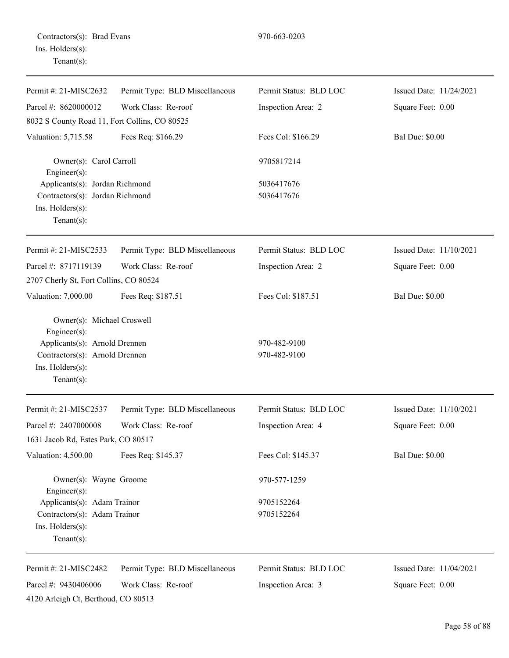| Permit #: 21-MISC2632                            | Permit Type: BLD Miscellaneous | Permit Status: BLD LOC | Issued Date: 11/24/2021 |
|--------------------------------------------------|--------------------------------|------------------------|-------------------------|
| Parcel #: 8620000012                             | Work Class: Re-roof            | Inspection Area: 2     | Square Feet: 0.00       |
| 8032 S County Road 11, Fort Collins, CO 80525    |                                |                        |                         |
| Valuation: 5,715.58                              | Fees Req: \$166.29             | Fees Col: \$166.29     | <b>Bal Due: \$0.00</b>  |
| Owner(s): Carol Carroll<br>Engineer $(s)$ :      |                                | 9705817214             |                         |
| Applicants(s): Jordan Richmond                   |                                | 5036417676             |                         |
| Contractors(s): Jordan Richmond                  |                                | 5036417676             |                         |
| Ins. Holders(s):<br>Tenant $(s)$ :               |                                |                        |                         |
| Permit #: 21-MISC2533                            | Permit Type: BLD Miscellaneous | Permit Status: BLD LOC | Issued Date: 11/10/2021 |
| Parcel #: 8717119139                             | Work Class: Re-roof            | Inspection Area: 2     | Square Feet: 0.00       |
| 2707 Cherly St, Fort Collins, CO 80524           |                                |                        |                         |
| Valuation: 7,000.00                              | Fees Req: \$187.51             | Fees Col: \$187.51     | <b>Bal Due: \$0.00</b>  |
| Owner(s): Michael Croswell<br>$Engineering(s)$ : |                                |                        |                         |
| Applicants(s): Arnold Drennen                    |                                | 970-482-9100           |                         |
| Contractors(s): Arnold Drennen                   |                                | 970-482-9100           |                         |
| Ins. Holders(s):<br>Tenant $(s)$ :               |                                |                        |                         |
| Permit #: 21-MISC2537                            | Permit Type: BLD Miscellaneous | Permit Status: BLD LOC | Issued Date: 11/10/2021 |
| Parcel #: 2407000008                             | Work Class: Re-roof            | Inspection Area: 4     | Square Feet: 0.00       |
| 1631 Jacob Rd, Estes Park, CO 80517              |                                |                        |                         |
| Valuation: 4,500.00                              | Fees Req: \$145.37             | Fees Col: \$145.37     | <b>Bal Due: \$0.00</b>  |
| Owner(s): Wayne Groome<br>$Engineer(s)$ :        |                                | 970-577-1259           |                         |
| Applicants(s): Adam Trainor                      |                                | 9705152264             |                         |
| Contractors(s): Adam Trainor                     |                                | 9705152264             |                         |
| Ins. Holders(s):<br>Tenant $(s)$ :               |                                |                        |                         |
| Permit #: 21-MISC2482                            | Permit Type: BLD Miscellaneous | Permit Status: BLD LOC | Issued Date: 11/04/2021 |
| Parcel #: 9430406006                             | Work Class: Re-roof            | Inspection Area: 3     | Square Feet: 0.00       |
| 4120 Arleigh Ct, Berthoud, CO 80513              |                                |                        |                         |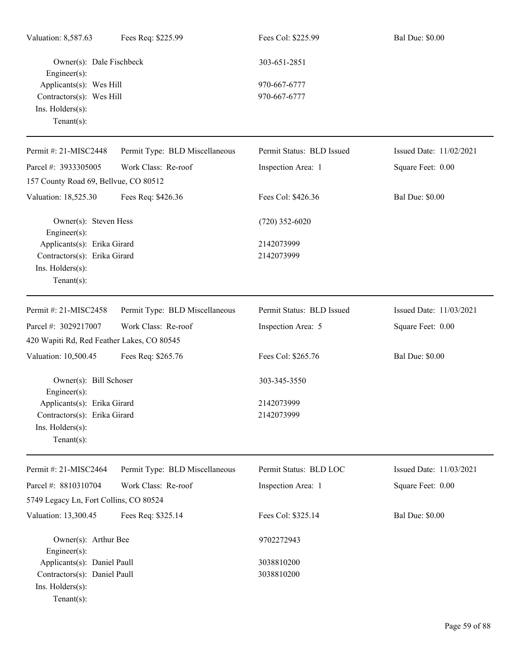| Valuation: 8,587.63                            | Fees Req: \$225.99             | Fees Col: \$225.99        | <b>Bal Due: \$0.00</b>  |
|------------------------------------------------|--------------------------------|---------------------------|-------------------------|
| Owner(s): Dale Fischbeck<br>$Engineering(s)$ : |                                | 303-651-2851              |                         |
| Applicants(s): Wes Hill                        |                                | 970-667-6777              |                         |
| Contractors(s): Wes Hill                       |                                | 970-667-6777              |                         |
| Ins. Holders(s):                               |                                |                           |                         |
| Tenant $(s)$ :                                 |                                |                           |                         |
| Permit #: 21-MISC2448                          | Permit Type: BLD Miscellaneous | Permit Status: BLD Issued | Issued Date: 11/02/2021 |
| Parcel #: 3933305005                           | Work Class: Re-roof            | Inspection Area: 1        | Square Feet: 0.00       |
| 157 County Road 69, Bellvue, CO 80512          |                                |                           |                         |
| Valuation: 18,525.30                           | Fees Req: \$426.36             | Fees Col: \$426.36        | <b>Bal Due: \$0.00</b>  |
| Owner(s): Steven Hess<br>$Engineering(s)$ :    |                                | $(720)$ 352-6020          |                         |
| Applicants(s): Erika Girard                    |                                | 2142073999                |                         |
| Contractors(s): Erika Girard                   |                                | 2142073999                |                         |
| Ins. Holders(s):                               |                                |                           |                         |
| Tenant $(s)$ :                                 |                                |                           |                         |
| Permit #: 21-MISC2458                          | Permit Type: BLD Miscellaneous | Permit Status: BLD Issued | Issued Date: 11/03/2021 |
| Parcel #: 3029217007                           | Work Class: Re-roof            | Inspection Area: 5        | Square Feet: 0.00       |
| 420 Wapiti Rd, Red Feather Lakes, CO 80545     |                                |                           |                         |
| Valuation: 10,500.45                           | Fees Req: \$265.76             | Fees Col: \$265.76        | <b>Bal Due: \$0.00</b>  |
| Owner(s): Bill Schoser<br>Engineer(s):         |                                | 303-345-3550              |                         |
| Applicants(s): Erika Girard                    |                                | 2142073999                |                         |
| Contractors(s): Erika Girard                   |                                | 2142073999                |                         |
| Ins. Holders(s):                               |                                |                           |                         |
| Tenant $(s)$ :                                 |                                |                           |                         |
| Permit #: 21-MISC2464                          | Permit Type: BLD Miscellaneous | Permit Status: BLD LOC    | Issued Date: 11/03/2021 |
| Parcel #: 8810310704                           | Work Class: Re-roof            | Inspection Area: 1        | Square Feet: 0.00       |
| 5749 Legacy Ln, Fort Collins, CO 80524         |                                |                           |                         |
| Valuation: 13,300.45                           | Fees Req: \$325.14             | Fees Col: \$325.14        | <b>Bal Due: \$0.00</b>  |
| Owner(s): Arthur Bee                           |                                | 9702272943                |                         |
| Engineer $(s)$ :                               |                                |                           |                         |
| Applicants(s): Daniel Paull                    |                                | 3038810200                |                         |
| Contractors(s): Daniel Paull                   |                                | 3038810200                |                         |
| Ins. Holders(s):                               |                                |                           |                         |
| Tenant $(s)$ :                                 |                                |                           |                         |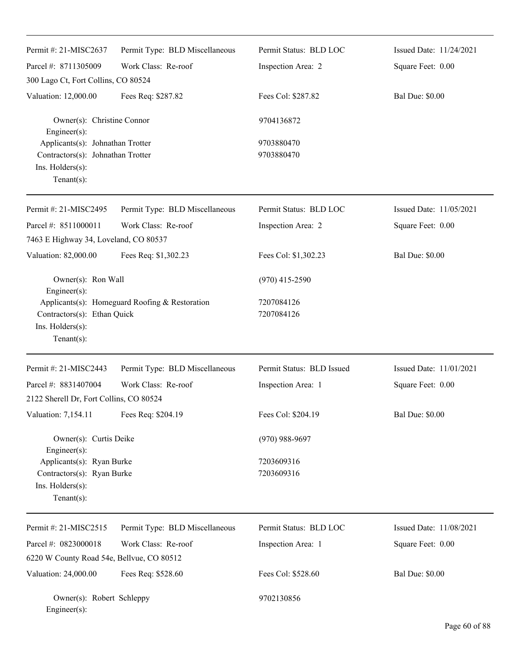| Permit #: 21-MISC2637                                                                                             | Permit Type: BLD Miscellaneous                 | Permit Status: BLD LOC    | Issued Date: 11/24/2021 |
|-------------------------------------------------------------------------------------------------------------------|------------------------------------------------|---------------------------|-------------------------|
| Parcel #: 8711305009                                                                                              | Work Class: Re-roof                            | Inspection Area: 2        | Square Feet: 0.00       |
| 300 Lago Ct, Fort Collins, CO 80524                                                                               |                                                |                           |                         |
| Valuation: 12,000.00                                                                                              | Fees Req: \$287.82                             | Fees Col: \$287.82        | <b>Bal Due: \$0.00</b>  |
| Owner(s): Christine Connor<br>Engineer(s):                                                                        |                                                | 9704136872                |                         |
| Applicants(s): Johnathan Trotter<br>Contractors(s): Johnathan Trotter<br>Ins. $H$ olders $(s)$ :<br>$Tenant(s)$ : |                                                | 9703880470<br>9703880470  |                         |
| Permit #: 21-MISC2495                                                                                             | Permit Type: BLD Miscellaneous                 | Permit Status: BLD LOC    | Issued Date: 11/05/2021 |
| Parcel #: 8511000011                                                                                              | Work Class: Re-roof                            | Inspection Area: 2        | Square Feet: 0.00       |
| 7463 E Highway 34, Loveland, CO 80537                                                                             |                                                |                           |                         |
| Valuation: 82,000.00                                                                                              | Fees Req: \$1,302.23                           | Fees Col: \$1,302.23      | <b>Bal Due: \$0.00</b>  |
| Owner(s): Ron Wall<br>Engineer(s):                                                                                |                                                | $(970)$ 415-2590          |                         |
| Contractors(s): Ethan Quick<br>Ins. Holders(s):<br>$Tenant(s)$ :                                                  | Applicants(s): Homeguard Roofing & Restoration | 7207084126<br>7207084126  |                         |
| Permit #: 21-MISC2443                                                                                             | Permit Type: BLD Miscellaneous                 | Permit Status: BLD Issued | Issued Date: 11/01/2021 |
| Parcel #: 8831407004                                                                                              | Work Class: Re-roof                            | Inspection Area: 1        | Square Feet: 0.00       |
| 2122 Sherell Dr, Fort Collins, CO 80524                                                                           |                                                |                           |                         |
| Valuation: 7,154.11                                                                                               | Fees Req: \$204.19                             | Fees Col: \$204.19        | <b>Bal Due: \$0.00</b>  |
| Owner(s): Curtis Deike<br>Engineer(s):                                                                            |                                                | $(970)$ 988-9697          |                         |
| Applicants(s): Ryan Burke<br>Contractors(s): Ryan Burke<br>Ins. Holders(s):<br>$Tenant(s)$ :                      |                                                | 7203609316<br>7203609316  |                         |
| Permit #: 21-MISC2515                                                                                             | Permit Type: BLD Miscellaneous                 | Permit Status: BLD LOC    | Issued Date: 11/08/2021 |
| Parcel #: 0823000018                                                                                              | Work Class: Re-roof                            | Inspection Area: 1        | Square Feet: 0.00       |
| 6220 W County Road 54e, Bellvue, CO 80512                                                                         |                                                |                           |                         |
| Valuation: 24,000.00                                                                                              | Fees Req: \$528.60                             | Fees Col: \$528.60        | <b>Bal Due: \$0.00</b>  |
| Owner(s): Robert Schleppy<br>Engineer(s):                                                                         |                                                | 9702130856                |                         |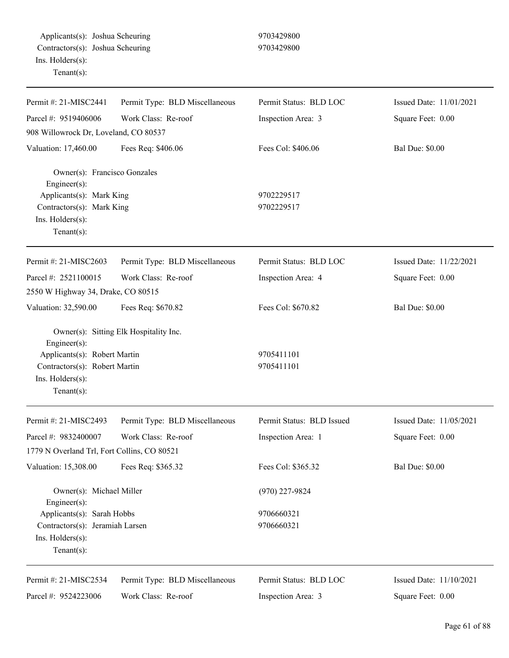| Permit #: 21-MISC2441                                                                                                     | Permit Type: BLD Miscellaneous         | Permit Status: BLD LOC    | Issued Date: 11/01/2021 |
|---------------------------------------------------------------------------------------------------------------------------|----------------------------------------|---------------------------|-------------------------|
| Parcel #: 9519406006                                                                                                      | Work Class: Re-roof                    | Inspection Area: 3        | Square Feet: 0.00       |
| 908 Willowrock Dr, Loveland, CO 80537                                                                                     |                                        |                           |                         |
| Valuation: 17,460.00                                                                                                      | Fees Req: \$406.06                     | Fees Col: \$406.06        | <b>Bal Due: \$0.00</b>  |
| Owner(s): Francisco Gonzales<br>Engineer(s):<br>Applicants(s): Mark King<br>Contractors(s): Mark King<br>Ins. Holders(s): |                                        | 9702229517<br>9702229517  |                         |
| Tenant $(s)$ :                                                                                                            |                                        |                           |                         |
| Permit #: 21-MISC2603                                                                                                     | Permit Type: BLD Miscellaneous         | Permit Status: BLD LOC    | Issued Date: 11/22/2021 |
| Parcel #: 2521100015                                                                                                      | Work Class: Re-roof                    | Inspection Area: 4        | Square Feet: 0.00       |
| 2550 W Highway 34, Drake, CO 80515                                                                                        |                                        |                           |                         |
| Valuation: 32,590.00                                                                                                      | Fees Req: \$670.82                     | Fees Col: \$670.82        | <b>Bal Due: \$0.00</b>  |
| Engineer(s):<br>Applicants(s): Robert Martin                                                                              | Owner(s): Sitting Elk Hospitality Inc. | 9705411101                |                         |
| Contractors(s): Robert Martin<br>Ins. Holders(s):<br>$Tenant(s)$ :                                                        |                                        | 9705411101                |                         |
| Permit #: 21-MISC2493                                                                                                     | Permit Type: BLD Miscellaneous         | Permit Status: BLD Issued | Issued Date: 11/05/2021 |
| Parcel #: 9832400007<br>1779 N Overland Trl, Fort Collins, CO 80521                                                       | Work Class: Re-roof                    | Inspection Area: 1        | Square Feet: 0.00       |
| Valuation: 15,308.00                                                                                                      | Fees Req: \$365.32                     | Fees Col: \$365.32        | <b>Bal Due: \$0.00</b>  |
| Owner(s): Michael Miller<br>Engineer(s):                                                                                  |                                        | $(970)$ 227-9824          |                         |
| Applicants(s): Sarah Hobbs                                                                                                |                                        | 9706660321                |                         |
| Contractors(s): Jeramiah Larsen<br>Ins. Holders(s):<br>$Tenant(s)$ :                                                      |                                        | 9706660321                |                         |
| Permit #: 21-MISC2534                                                                                                     | Permit Type: BLD Miscellaneous         | Permit Status: BLD LOC    | Issued Date: 11/10/2021 |
| Parcel #: 9524223006                                                                                                      | Work Class: Re-roof                    | Inspection Area: 3        | Square Feet: 0.00       |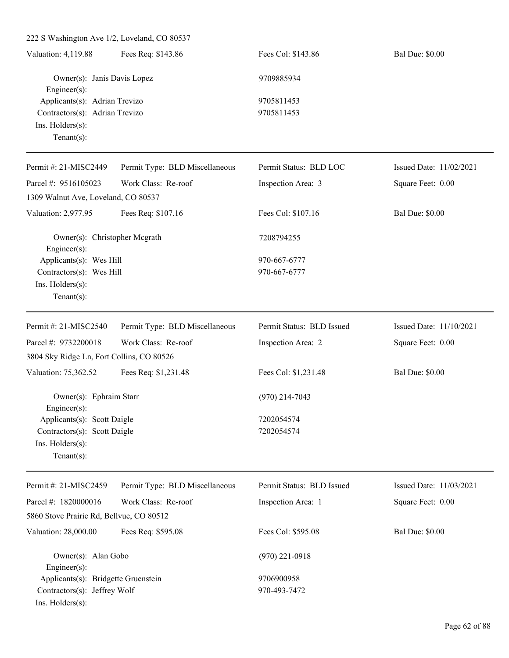222 S Washington Ave 1/2, Loveland, CO 80537 Valuation: 4,119.88 Fees Req: \$143.86 Fees Col: \$143.86 Bal Due: \$0.00 Owner(s): Janis Davis Lopez 9709885934 Engineer(s): Applicants(s): Adrian Trevizo 9705811453 Contractors(s): Adrian Trevizo 9705811453 Ins. Holders(s): Tenant(s): Permit #: 21-MISC2449 Parcel #: 9516105023 Permit Type: BLD Miscellaneous Work Class: Re-roof Permit Status: BLD LOC Inspection Area: 3 Issued Date: 11/02/2021 Square Feet: 0.00 1309 Walnut Ave, Loveland, CO 80537 Valuation: 2,977.95 Fees Req: \$107.16 Fees Col: \$107.16 Bal Due: \$0.00 Owner(s): Christopher Mcgrath 7208794255 Engineer(s): Applicants(s): Wes Hill 970-667-6777 Contractors(s): Wes Hill 970-667-6777 Ins. Holders(s): Tenant(s): Permit #: 21-MISC2540 Parcel #: 9732200018 Permit Type: BLD Miscellaneous Work Class: Re-roof Permit Status: BLD Issued Inspection Area: 2 Issued Date: 11/10/2021 Square Feet: 0.00 3804 Sky Ridge Ln, Fort Collins, CO 80526 Valuation: 75,362.52 Fees Req: \$1,231.48 Fees Col: \$1,231.48 Bal Due: \$0.00 Owner(s): Ephraim Starr (970) 214-7043 Engineer(s): Applicants(s): Scott Daigle 7202054574 Contractors(s): Scott Daigle 7202054574 Ins. Holders(s): Tenant(s): Permit #: 21-MISC2459 Parcel #: 1820000016 Permit Type: BLD Miscellaneous Work Class: Re-roof Permit Status: BLD Issued Inspection Area: 1 Issued Date: 11/03/2021 Square Feet: 0.00 5860 Stove Prairie Rd, Bellvue, CO 80512 Valuation: 28,000.00 Fees Req: \$595.08 Fees Col: \$595.08 Bal Due: \$0.00 Owner(s): Alan Gobo (970) 221-0918 Engineer(s): Applicants(s): Bridgette Gruenstein 9706900958 Contractors(s): Jeffrey Wolf 970-493-7472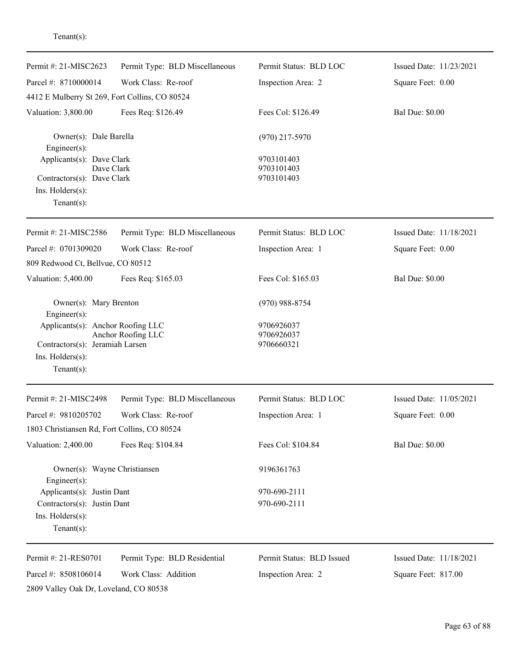| Permit #: 21-MISC2623                                   | Permit Type: BLD Miscellaneous | Permit Status: BLD LOC    | Issued Date: 11/23/2021 |
|---------------------------------------------------------|--------------------------------|---------------------------|-------------------------|
| Parcel #: 8710000014                                    | Work Class: Re-roof            | Inspection Area: 2        | Square Feet: 0.00       |
| 4412 E Mulberry St 269, Fort Collins, CO 80524          |                                |                           |                         |
| Valuation: 3,800.00                                     | Fees Req: \$126.49             | Fees Col: \$126.49        | <b>Bal Due: \$0.00</b>  |
|                                                         |                                |                           |                         |
| Owner(s): Dale Barella                                  |                                | $(970)$ 217-5970          |                         |
| Engineer(s):<br>Applicants(s): Dave Clark               |                                | 9703101403                |                         |
| Dave Clark                                              |                                | 9703101403                |                         |
| Contractors(s): Dave Clark                              |                                | 9703101403                |                         |
| Ins. Holders(s):<br>$Tenant(s)$ :                       |                                |                           |                         |
|                                                         |                                |                           |                         |
| Permit #: 21-MISC2586                                   | Permit Type: BLD Miscellaneous | Permit Status: BLD LOC    | Issued Date: 11/18/2021 |
| Parcel #: 0701309020                                    | Work Class: Re-roof            | Inspection Area: 1        | Square Feet: 0.00       |
| 809 Redwood Ct, Bellvue, CO 80512                       |                                |                           |                         |
| Valuation: 5,400.00                                     | Fees Req: \$165.03             | Fees Col: \$165.03        | <b>Bal Due: \$0.00</b>  |
| Owner(s): Mary Brenton                                  |                                | $(970)$ 988-8754          |                         |
| Engineer(s):                                            |                                |                           |                         |
| Applicants(s): Anchor Roofing LLC<br>Anchor Roofing LLC |                                | 9706926037<br>9706926037  |                         |
| Contractors(s): Jeramiah Larsen                         |                                | 9706660321                |                         |
| Ins. Holders(s):                                        |                                |                           |                         |
| $Tenant(s)$ :                                           |                                |                           |                         |
| Permit #: 21-MISC2498                                   | Permit Type: BLD Miscellaneous | Permit Status: BLD LOC    | Issued Date: 11/05/2021 |
| Parcel #: 9810205702                                    | Work Class: Re-roof            | Inspection Area: 1        | Square Feet: 0.00       |
| 1803 Christiansen Rd, Fort Collins, CO 80524            |                                |                           |                         |
| Valuation: 2,400.00                                     | Fees Req: \$104.84             | Fees Col: \$104.84        | <b>Bal Due: \$0.00</b>  |
| Owner(s): Wayne Christiansen                            |                                | 9196361763                |                         |
| Engineer(s):                                            |                                |                           |                         |
| Applicants(s): Justin Dant                              |                                | 970-690-2111              |                         |
| Contractors(s): Justin Dant<br>Ins. Holders(s):         |                                | 970-690-2111              |                         |
| Tenant $(s)$ :                                          |                                |                           |                         |
|                                                         |                                |                           |                         |
| Permit #: 21-RES0701                                    | Permit Type: BLD Residential   | Permit Status: BLD Issued | Issued Date: 11/18/2021 |
| Parcel #: 8508106014                                    | Work Class: Addition           | Inspection Area: 2        | Square Feet: 817.00     |
| 2809 Valley Oak Dr, Loveland, CO 80538                  |                                |                           |                         |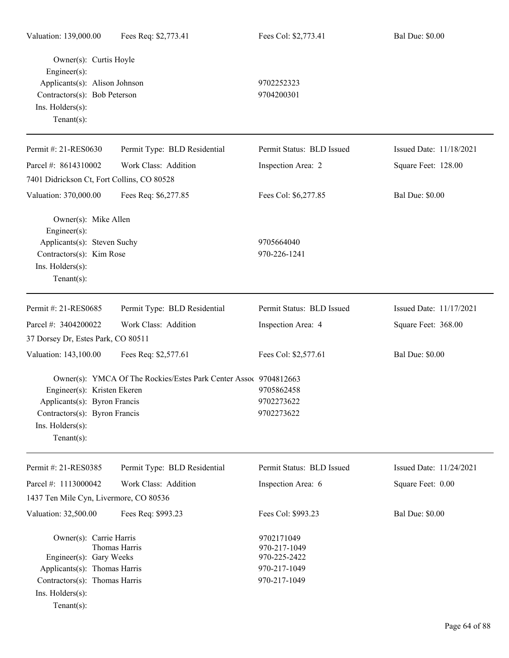| Valuation: 139,000.00                                                             | Fees Req: \$2,773.41                                             | Fees Col: \$2,773.41      | <b>Bal Due: \$0.00</b>  |
|-----------------------------------------------------------------------------------|------------------------------------------------------------------|---------------------------|-------------------------|
| Owner(s): Curtis Hoyle<br>$Engineering(s)$ :                                      |                                                                  |                           |                         |
| Applicants(s): Alison Johnson<br>Contractors(s): Bob Peterson<br>Ins. Holders(s): |                                                                  | 9702252323                |                         |
|                                                                                   |                                                                  | 9704200301                |                         |
|                                                                                   |                                                                  |                           |                         |
| Tenant $(s)$ :                                                                    |                                                                  |                           |                         |
| Permit #: 21-RES0630                                                              | Permit Type: BLD Residential                                     | Permit Status: BLD Issued | Issued Date: 11/18/2021 |
| Parcel #: 8614310002                                                              | Work Class: Addition                                             | Inspection Area: 2        | Square Feet: 128.00     |
| 7401 Didrickson Ct, Fort Collins, CO 80528                                        |                                                                  |                           |                         |
| Valuation: 370,000.00                                                             | Fees Req: \$6,277.85                                             | Fees Col: \$6,277.85      | <b>Bal Due: \$0.00</b>  |
| Owner(s): Mike Allen<br>$Engineering(s)$ :                                        |                                                                  |                           |                         |
| Applicants(s): Steven Suchy                                                       |                                                                  | 9705664040                |                         |
| Contractors(s): Kim Rose                                                          |                                                                  | 970-226-1241              |                         |
| Ins. Holders(s):                                                                  |                                                                  |                           |                         |
| Tenant $(s)$ :                                                                    |                                                                  |                           |                         |
| Permit #: 21-RES0685                                                              | Permit Type: BLD Residential                                     | Permit Status: BLD Issued | Issued Date: 11/17/2021 |
| Parcel #: 3404200022                                                              | Work Class: Addition                                             | Inspection Area: 4        | Square Feet: 368.00     |
| 37 Dorsey Dr, Estes Park, CO 80511                                                |                                                                  |                           |                         |
| Valuation: 143,100.00                                                             | Fees Req: \$2,577.61                                             | Fees Col: \$2,577.61      | <b>Bal Due: \$0.00</b>  |
|                                                                                   | Owner(s): YMCA Of The Rockies/Estes Park Center Assoc 9704812663 |                           |                         |
| Engineer(s): Kristen Ekeren                                                       |                                                                  | 9705862458                |                         |
| Applicants(s): Byron Francis                                                      |                                                                  | 9702273622                |                         |
| Contractors(s): Byron Francis                                                     |                                                                  | 9702273622                |                         |
| $Ins.$ Holders $(s)$ :<br>Tenant $(s)$ :                                          |                                                                  |                           |                         |
|                                                                                   |                                                                  | Permit Status: BLD Issued |                         |
| Permit #: 21-RES0385                                                              | Permit Type: BLD Residential                                     |                           | Issued Date: 11/24/2021 |
| Parcel #: 1113000042                                                              | Work Class: Addition                                             | Inspection Area: 6        | Square Feet: 0.00       |
| 1437 Ten Mile Cyn, Livermore, CO 80536                                            |                                                                  |                           |                         |
| Valuation: 32,500.00                                                              | Fees Req: \$993.23                                               | Fees Col: \$993.23        | <b>Bal Due: \$0.00</b>  |
| Owner(s): Carrie Harris                                                           |                                                                  | 9702171049                |                         |
|                                                                                   | Thomas Harris                                                    | 970-217-1049              |                         |
| Engineer(s): Gary Weeks                                                           |                                                                  | 970-225-2422              |                         |
| Applicants(s): Thomas Harris                                                      |                                                                  | 970-217-1049              |                         |
| Contractors(s): Thomas Harris                                                     |                                                                  | 970-217-1049              |                         |

Ins. Holders(s):

Tenant(s):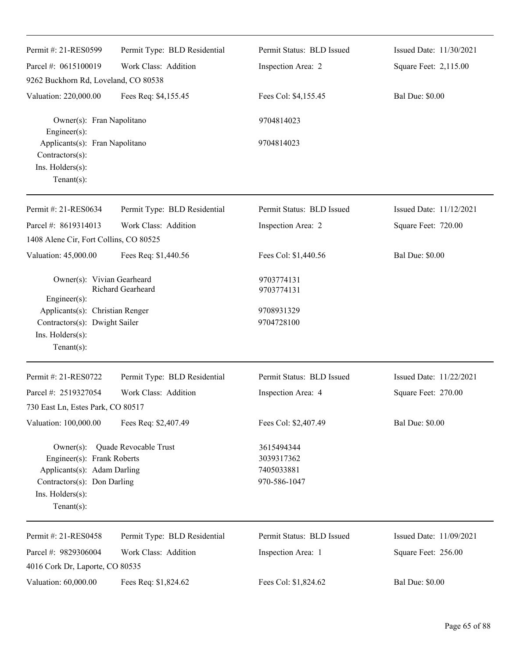| Permit #: 21-RES0599                                                                                                                          | Permit Type: BLD Residential | Permit Status: BLD Issued                              | Issued Date: 11/30/2021 |
|-----------------------------------------------------------------------------------------------------------------------------------------------|------------------------------|--------------------------------------------------------|-------------------------|
| Parcel #: 0615100019                                                                                                                          | Work Class: Addition         | Inspection Area: 2                                     | Square Feet: 2,115.00   |
| 9262 Buckhorn Rd, Loveland, CO 80538                                                                                                          |                              |                                                        |                         |
| Valuation: 220,000.00                                                                                                                         | Fees Req: \$4,155.45         | Fees Col: \$4,155.45                                   | <b>Bal Due: \$0.00</b>  |
| Owner(s): Fran Napolitano<br>Engineer(s):                                                                                                     |                              | 9704814023                                             |                         |
| Applicants(s): Fran Napolitano<br>Contractors(s):                                                                                             |                              | 9704814023                                             |                         |
| Ins. Holders(s):<br>$Tenant(s)$ :                                                                                                             |                              |                                                        |                         |
| Permit #: 21-RES0634                                                                                                                          | Permit Type: BLD Residential | Permit Status: BLD Issued                              | Issued Date: 11/12/2021 |
| Parcel #: 8619314013                                                                                                                          | Work Class: Addition         | Inspection Area: 2                                     | Square Feet: 720.00     |
| 1408 Alene Cir, Fort Collins, CO 80525                                                                                                        |                              |                                                        |                         |
| Valuation: 45,000.00                                                                                                                          | Fees Req: \$1,440.56         | Fees Col: \$1,440.56                                   | <b>Bal Due: \$0.00</b>  |
| Owner(s): Vivian Gearheard<br>Engineer(s):                                                                                                    | Richard Gearheard            | 9703774131<br>9703774131                               |                         |
| Applicants(s): Christian Renger<br>Contractors(s): Dwight Sailer<br>Ins. $H$ olders $(s)$ :<br>Tenant $(s)$ :                                 |                              | 9708931329<br>9704728100                               |                         |
| Permit #: 21-RES0722                                                                                                                          | Permit Type: BLD Residential | Permit Status: BLD Issued                              | Issued Date: 11/22/2021 |
| Parcel #: 2519327054<br>730 East Ln, Estes Park, CO 80517                                                                                     | Work Class: Addition         | Inspection Area: 4                                     | Square Feet: 270.00     |
| Valuation: 100,000.00                                                                                                                         | Fees Req: \$2,407.49         | Fees Col: \$2,407.49                                   | <b>Bal Due: \$0.00</b>  |
| $Owner(s)$ :<br>Engineer(s): Frank Roberts<br>Applicants(s): Adam Darling<br>Contractors(s): Don Darling<br>Ins. Holders(s):<br>$Tenant(s)$ : | Quade Revocable Trust        | 3615494344<br>3039317362<br>7405033881<br>970-586-1047 |                         |
| Permit #: 21-RES0458                                                                                                                          | Permit Type: BLD Residential | Permit Status: BLD Issued                              | Issued Date: 11/09/2021 |
| Parcel #: 9829306004                                                                                                                          | Work Class: Addition         | Inspection Area: 1                                     | Square Feet: 256.00     |
| 4016 Cork Dr, Laporte, CO 80535                                                                                                               |                              |                                                        |                         |
| Valuation: 60,000.00                                                                                                                          | Fees Req: \$1,824.62         | Fees Col: \$1,824.62                                   | <b>Bal Due: \$0.00</b>  |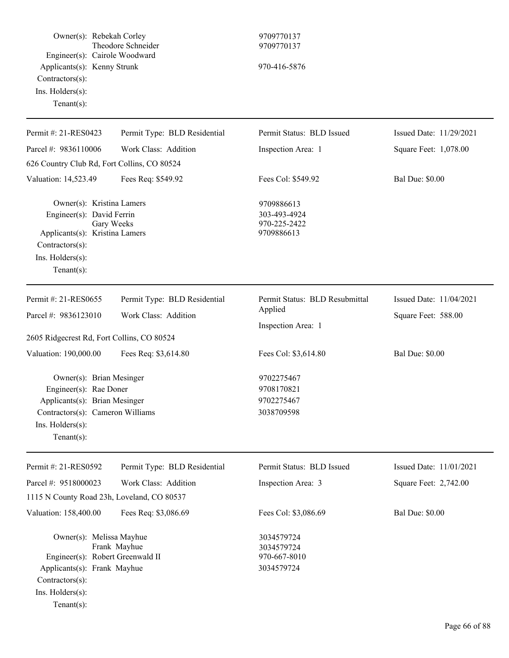| Owner(s): Rebekah Corley<br>Engineer(s): Cairole Woodward<br>Applicants(s): Kenny Strunk<br>Contractors(s):<br>Ins. Holders(s):<br>$Tenant(s)$ :              | Theodore Schneider                                   | 9709770137<br>9709770137<br>970-416-5876                        |                                                |
|---------------------------------------------------------------------------------------------------------------------------------------------------------------|------------------------------------------------------|-----------------------------------------------------------------|------------------------------------------------|
| Permit #: 21-RES0423                                                                                                                                          | Permit Type: BLD Residential                         | Permit Status: BLD Issued                                       | Issued Date: 11/29/2021                        |
| Parcel #: 9836110006                                                                                                                                          | Work Class: Addition                                 | Inspection Area: 1                                              | Square Feet: 1,078.00                          |
| 626 Country Club Rd, Fort Collins, CO 80524                                                                                                                   |                                                      |                                                                 |                                                |
| Valuation: 14,523.49                                                                                                                                          | Fees Req: \$549.92                                   | Fees Col: \$549.92                                              | <b>Bal Due: \$0.00</b>                         |
| Owner(s): Kristina Lamers<br>Engineer(s): David Ferrin<br>Applicants(s): Kristina Lamers<br>Contractors(s):<br>Ins. Holders(s):<br>Tenant $(s)$ :             | Gary Weeks                                           | 9709886613<br>303-493-4924<br>970-225-2422<br>9709886613        |                                                |
| Permit #: 21-RES0655<br>Parcel #: 9836123010                                                                                                                  | Permit Type: BLD Residential<br>Work Class: Addition | Permit Status: BLD Resubmittal<br>Applied<br>Inspection Area: 1 | Issued Date: 11/04/2021<br>Square Feet: 588.00 |
| 2605 Ridgecrest Rd, Fort Collins, CO 80524                                                                                                                    |                                                      |                                                                 |                                                |
| Valuation: 190,000.00                                                                                                                                         | Fees Req: \$3,614.80                                 | Fees Col: \$3,614.80                                            | <b>Bal Due: \$0.00</b>                         |
| Owner(s): Brian Mesinger<br>Engineer(s): Rae Doner<br>Applicants(s): Brian Mesinger<br>Contractors(s): Cameron Williams<br>Ins. Holders(s):<br>Tenant $(s)$ : |                                                      | 9702275467<br>9708170821<br>9702275467<br>3038709598            |                                                |
| Permit #: 21-RES0592                                                                                                                                          | Permit Type: BLD Residential                         | Permit Status: BLD Issued                                       | Issued Date: 11/01/2021                        |
| Parcel #: 9518000023                                                                                                                                          | Work Class: Addition                                 | Inspection Area: 3                                              | Square Feet: 2,742.00                          |
| 1115 N County Road 23h, Loveland, CO 80537                                                                                                                    |                                                      |                                                                 |                                                |
| Valuation: 158,400.00                                                                                                                                         | Fees Req: \$3,086.69                                 | Fees Col: \$3,086.69                                            | <b>Bal Due: \$0.00</b>                         |
| Owner(s): Melissa Mayhue<br>Engineer(s): Robert Greenwald II<br>Applicants(s): Frank Mayhue<br>Contractors(s):<br>Ins. Holders(s):<br>Tenant $(s)$ :          | Frank Mayhue                                         | 3034579724<br>3034579724<br>970-667-8010<br>3034579724          |                                                |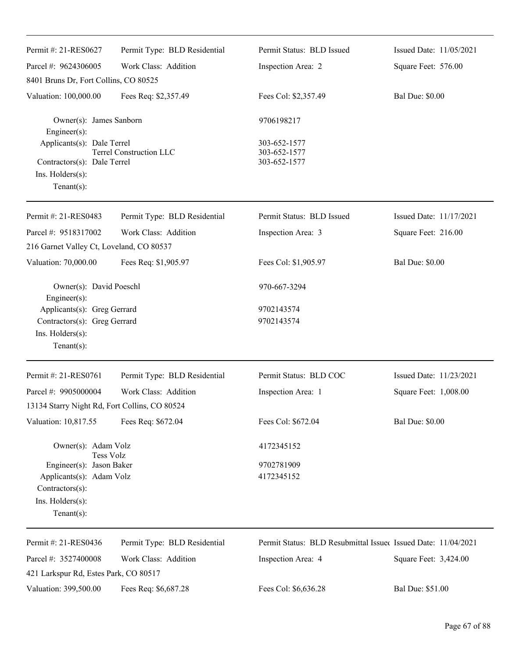| Permit #: 21-RES0627                            | Permit Type: BLD Residential   | Permit Status: BLD Issued                                     | Issued Date: 11/05/2021 |  |
|-------------------------------------------------|--------------------------------|---------------------------------------------------------------|-------------------------|--|
| Parcel #: 9624306005                            | Work Class: Addition           | Inspection Area: 2                                            | Square Feet: 576.00     |  |
| 8401 Bruns Dr, Fort Collins, CO 80525           |                                |                                                               |                         |  |
| Valuation: 100,000.00                           | Fees Req: \$2,357.49           | Fees Col: \$2,357.49                                          | <b>Bal Due: \$0.00</b>  |  |
| Owner(s): James Sanborn<br>Engineer(s):         |                                | 9706198217                                                    |                         |  |
| Applicants(s): Dale Terrel                      | <b>Terrel Construction LLC</b> | 303-652-1577<br>303-652-1577                                  |                         |  |
| Contractors(s): Dale Terrel<br>Ins. Holders(s): |                                | 303-652-1577                                                  |                         |  |
| $Tenant(s)$ :                                   |                                |                                                               |                         |  |
| Permit #: 21-RES0483                            | Permit Type: BLD Residential   | Permit Status: BLD Issued                                     | Issued Date: 11/17/2021 |  |
| Parcel #: 9518317002                            | Work Class: Addition           | Inspection Area: 3                                            | Square Feet: 216.00     |  |
| 216 Garnet Valley Ct, Loveland, CO 80537        |                                |                                                               |                         |  |
| Valuation: 70,000.00                            | Fees Req: \$1,905.97           | Fees Col: \$1,905.97                                          | <b>Bal Due: \$0.00</b>  |  |
| Owner(s): David Poeschl<br>Engineer(s):         |                                | 970-667-3294                                                  |                         |  |
| Applicants(s): Greg Gerrard                     |                                | 9702143574                                                    |                         |  |
| Contractors(s): Greg Gerrard                    |                                | 9702143574                                                    |                         |  |
| Ins. Holders(s):                                |                                |                                                               |                         |  |
| $Tenant(s)$ :                                   |                                |                                                               |                         |  |
| Permit #: 21-RES0761                            | Permit Type: BLD Residential   | Permit Status: BLD COC                                        | Issued Date: 11/23/2021 |  |
| Parcel #: 9905000004                            | Work Class: Addition           | Inspection Area: 1                                            | Square Feet: 1,008.00   |  |
| 13134 Starry Night Rd, Fort Collins, CO 80524   |                                |                                                               |                         |  |
| Valuation: 10,817.55                            | Fees Req: \$672.04             | Fees Col: \$672.04                                            | <b>Bal Due: \$0.00</b>  |  |
| Owner(s): Adam Volz                             |                                | 4172345152                                                    |                         |  |
| Tess Volz<br>Engineer(s): Jason Baker           |                                | 9702781909                                                    |                         |  |
| Applicants(s): Adam Volz                        |                                | 4172345152                                                    |                         |  |
| Contractors(s):                                 |                                |                                                               |                         |  |
| Ins. Holders(s):                                |                                |                                                               |                         |  |
| $Tenant(s)$ :                                   |                                |                                                               |                         |  |
| Permit #: 21-RES0436                            | Permit Type: BLD Residential   | Permit Status: BLD Resubmittal Issued Issued Date: 11/04/2021 |                         |  |
| Parcel #: 3527400008                            | Work Class: Addition           | Inspection Area: 4                                            | Square Feet: 3,424.00   |  |
| 421 Larkspur Rd, Estes Park, CO 80517           |                                |                                                               |                         |  |
| Valuation: 399,500.00                           | Fees Req: \$6,687.28           | Fees Col: \$6,636.28                                          | Bal Due: \$51.00        |  |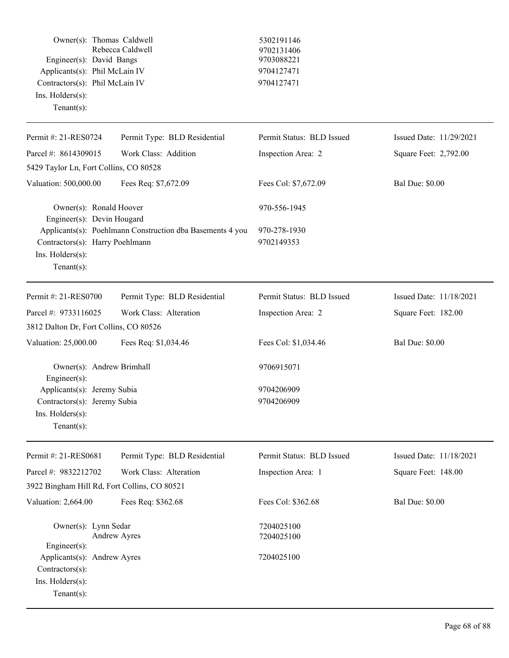| Owner(s): Thomas Caldwell<br>Engineer(s): David Bangs<br>Applicants(s): Phil McLain IV<br>Contractors(s): Phil McLain IV<br>Ins. Holders(s):<br>$Tenant(s)$ : | Rebecca Caldwell                                          | 5302191146<br>9702131406<br>9703088221<br>9704127471<br>9704127471 |                         |
|---------------------------------------------------------------------------------------------------------------------------------------------------------------|-----------------------------------------------------------|--------------------------------------------------------------------|-------------------------|
| Permit #: 21-RES0724                                                                                                                                          | Permit Type: BLD Residential                              | Permit Status: BLD Issued                                          | Issued Date: 11/29/2021 |
| Parcel #: 8614309015                                                                                                                                          | Work Class: Addition                                      | Inspection Area: 2                                                 | Square Feet: 2,792.00   |
| 5429 Taylor Ln, Fort Collins, CO 80528                                                                                                                        |                                                           |                                                                    |                         |
| Valuation: 500,000.00                                                                                                                                         | Fees Req: \$7,672.09                                      | Fees Col: \$7,672.09                                               | <b>Bal Due: \$0.00</b>  |
| Owner(s): Ronald Hoover<br>Engineer(s): Devin Hougard<br>Contractors(s): Harry Poehlmann<br>Ins. Holders(s):<br>Tenant $(s)$ :                                | Applicants(s): Poehlmann Construction dba Basements 4 you | 970-556-1945<br>970-278-1930<br>9702149353                         |                         |
| Permit #: 21-RES0700                                                                                                                                          | Permit Type: BLD Residential                              | Permit Status: BLD Issued                                          | Issued Date: 11/18/2021 |
| Parcel #: 9733116025                                                                                                                                          | Work Class: Alteration                                    | Inspection Area: 2                                                 | Square Feet: 182.00     |
| 3812 Dalton Dr, Fort Collins, CO 80526                                                                                                                        |                                                           |                                                                    |                         |
| Valuation: 25,000.00                                                                                                                                          | Fees Req: \$1,034.46                                      | Fees Col: \$1,034.46                                               | <b>Bal Due: \$0.00</b>  |
| Owner(s): Andrew Brimhall<br>Engineer(s):<br>Applicants(s): Jeremy Subia<br>Contractors(s): Jeremy Subia<br>Ins. Holders(s):<br>$Tenant(s)$ :                 |                                                           | 9706915071<br>9704206909<br>9704206909                             |                         |
| Permit #: 21-RES0681                                                                                                                                          | Permit Type: BLD Residential                              | Permit Status: BLD Issued                                          | Issued Date: 11/18/2021 |
| Parcel #: 9832212702                                                                                                                                          | Work Class: Alteration                                    | Inspection Area: 1                                                 | Square Feet: 148.00     |
| 3922 Bingham Hill Rd, Fort Collins, CO 80521                                                                                                                  |                                                           |                                                                    |                         |
| Valuation: 2,664.00                                                                                                                                           | Fees Req: \$362.68                                        | Fees Col: \$362.68                                                 | <b>Bal Due: \$0.00</b>  |
| Owner(s): Lynn Sedar<br>Engineer(s):<br>Applicants(s): Andrew Ayres<br>Contractors(s):<br>Ins. Holders(s):<br>$Tenant(s)$ :                                   | <b>Andrew Ayres</b>                                       | 7204025100<br>7204025100<br>7204025100                             |                         |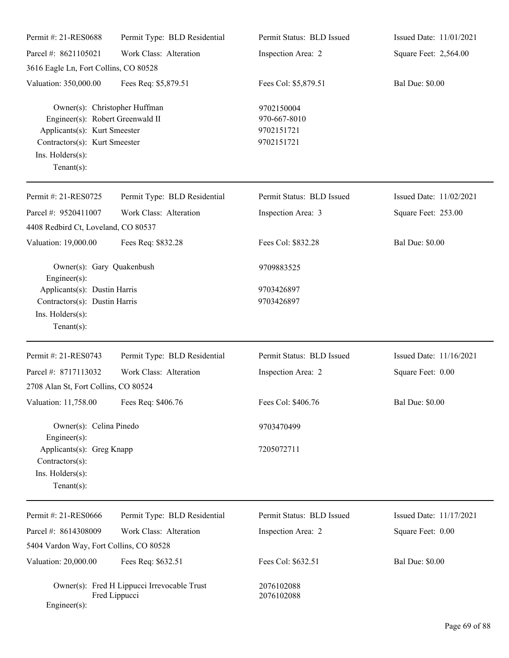| Permit #: 21-RES0688                                                                                                                                                     | Permit Type: BLD Residential                                 | Permit Status: BLD Issued                              | Issued Date: 11/01/2021 |
|--------------------------------------------------------------------------------------------------------------------------------------------------------------------------|--------------------------------------------------------------|--------------------------------------------------------|-------------------------|
| Parcel #: 8621105021                                                                                                                                                     | Work Class: Alteration                                       | Inspection Area: 2                                     | Square Feet: 2,564.00   |
| 3616 Eagle Ln, Fort Collins, CO 80528                                                                                                                                    |                                                              |                                                        |                         |
| Valuation: 350,000.00                                                                                                                                                    | Fees Req: \$5,879.51                                         | Fees Col: \$5,879.51                                   | <b>Bal Due: \$0.00</b>  |
| Owner(s): Christopher Huffman<br>Engineer(s): Robert Greenwald II<br>Applicants(s): Kurt Smeester<br>Contractors(s): Kurt Smeester<br>Ins. Holders(s):<br>Tenant $(s)$ : |                                                              | 9702150004<br>970-667-8010<br>9702151721<br>9702151721 |                         |
| Permit #: 21-RES0725                                                                                                                                                     | Permit Type: BLD Residential                                 | Permit Status: BLD Issued                              | Issued Date: 11/02/2021 |
| Parcel #: 9520411007                                                                                                                                                     | Work Class: Alteration                                       | Inspection Area: 3                                     | Square Feet: 253.00     |
| 4408 Redbird Ct, Loveland, CO 80537                                                                                                                                      |                                                              |                                                        |                         |
| Valuation: 19,000.00                                                                                                                                                     | Fees Req: \$832.28                                           | Fees Col: \$832.28                                     | <b>Bal Due: \$0.00</b>  |
| Owner(s): Gary Quakenbush<br>$Engineering(s)$ :                                                                                                                          |                                                              | 9709883525                                             |                         |
| Applicants(s): Dustin Harris                                                                                                                                             |                                                              | 9703426897                                             |                         |
| Contractors(s): Dustin Harris                                                                                                                                            |                                                              | 9703426897                                             |                         |
| Ins. Holders(s):<br>Tenant $(s)$ :                                                                                                                                       |                                                              |                                                        |                         |
| Permit #: 21-RES0743                                                                                                                                                     | Permit Type: BLD Residential                                 | Permit Status: BLD Issued                              | Issued Date: 11/16/2021 |
| Parcel #: 8717113032                                                                                                                                                     | Work Class: Alteration                                       | Inspection Area: 2                                     | Square Feet: 0.00       |
| 2708 Alan St, Fort Collins, CO 80524                                                                                                                                     |                                                              |                                                        |                         |
| Valuation: 11,758.00 Fees Req: \$406.76                                                                                                                                  |                                                              | Fees Col: \$406.76                                     | <b>Bal Due: \$0.00</b>  |
| Owner(s): Celina Pinedo                                                                                                                                                  |                                                              | 9703470499                                             |                         |
| $Engineering(s)$ :<br>Applicants(s): Greg Knapp<br>Contractors(s):<br>Ins. Holders(s):<br>Tenant $(s)$ :                                                                 |                                                              | 7205072711                                             |                         |
| Permit #: 21-RES0666                                                                                                                                                     | Permit Type: BLD Residential                                 | Permit Status: BLD Issued                              | Issued Date: 11/17/2021 |
| Parcel #: 8614308009                                                                                                                                                     | Work Class: Alteration                                       | Inspection Area: 2                                     | Square Feet: 0.00       |
| 5404 Vardon Way, Fort Collins, CO 80528                                                                                                                                  |                                                              |                                                        |                         |
| Valuation: 20,000.00                                                                                                                                                     | Fees Req: \$632.51                                           | Fees Col: \$632.51                                     | <b>Bal Due: \$0.00</b>  |
| Engineer(s):                                                                                                                                                             | Owner(s): Fred H Lippucci Irrevocable Trust<br>Fred Lippucci | 2076102088<br>2076102088                               |                         |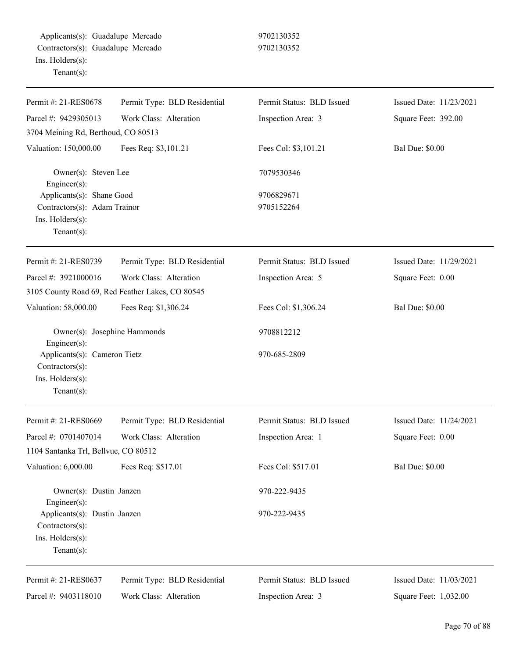Applicants(s): Guadalupe Mercado 9702130352 Contractors(s): Guadalupe Mercado 9702130352 Ins. Holders(s): Tenant(s):

| Permit #: 21-RES0678                               | Permit Type: BLD Residential                     | Permit Status: BLD Issued | Issued Date: 11/23/2021 |
|----------------------------------------------------|--------------------------------------------------|---------------------------|-------------------------|
| Parcel #: 9429305013                               | Work Class: Alteration                           | Inspection Area: 3        | Square Feet: 392.00     |
| 3704 Meining Rd, Berthoud, CO 80513                |                                                  |                           |                         |
| Valuation: 150,000.00                              | Fees Req: \$3,101.21                             | Fees Col: \$3,101.21      | <b>Bal Due: \$0.00</b>  |
| Owner(s): Steven Lee<br>$Engineering(s)$ :         |                                                  | 7079530346                |                         |
| Applicants(s): Shane Good                          |                                                  | 9706829671                |                         |
| Contractors(s): Adam Trainor                       |                                                  | 9705152264                |                         |
| Ins. Holders(s):                                   |                                                  |                           |                         |
| Tenant(s):                                         |                                                  |                           |                         |
| Permit #: 21-RES0739                               | Permit Type: BLD Residential                     | Permit Status: BLD Issued | Issued Date: 11/29/2021 |
| Parcel #: 3921000016                               | Work Class: Alteration                           | Inspection Area: 5        | Square Feet: 0.00       |
|                                                    | 3105 County Road 69, Red Feather Lakes, CO 80545 |                           |                         |
| Valuation: 58,000.00                               | Fees Req: \$1,306.24                             | Fees Col: \$1,306.24      | <b>Bal Due: \$0.00</b>  |
| Owner(s): Josephine Hammonds<br>Engineer(s):       |                                                  | 9708812212                |                         |
| Applicants(s): Cameron Tietz<br>Contractors(s):    |                                                  | 970-685-2809              |                         |
| Ins. Holders(s):<br>Tenant $(s)$ :                 |                                                  |                           |                         |
| Permit #: 21-RES0669                               | Permit Type: BLD Residential                     | Permit Status: BLD Issued | Issued Date: 11/24/2021 |
| Parcel #: 0701407014                               | Work Class: Alteration                           | Inspection Area: 1        | Square Feet: 0.00       |
| 1104 Santanka Trl, Bellvue, CO 80512               |                                                  |                           |                         |
| Valuation: 6,000.00                                | Fees Req: \$517.01                               | Fees Col: \$517.01        | <b>Bal Due: \$0.00</b>  |
| Owner(s): Dustin Janzen                            |                                                  | 970-222-9435              |                         |
| $Engineering(s)$ :<br>Applicants(s): Dustin Janzen |                                                  | 970-222-9435              |                         |
| Contractors(s):                                    |                                                  |                           |                         |
| Ins. Holders(s):                                   |                                                  |                           |                         |
| Tenant $(s)$ :                                     |                                                  |                           |                         |
| Permit #: 21-RES0637                               | Permit Type: BLD Residential                     | Permit Status: BLD Issued | Issued Date: 11/03/2021 |
| Parcel #: 9403118010                               | Work Class: Alteration                           | Inspection Area: 3        | Square Feet: 1,032.00   |
|                                                    |                                                  |                           |                         |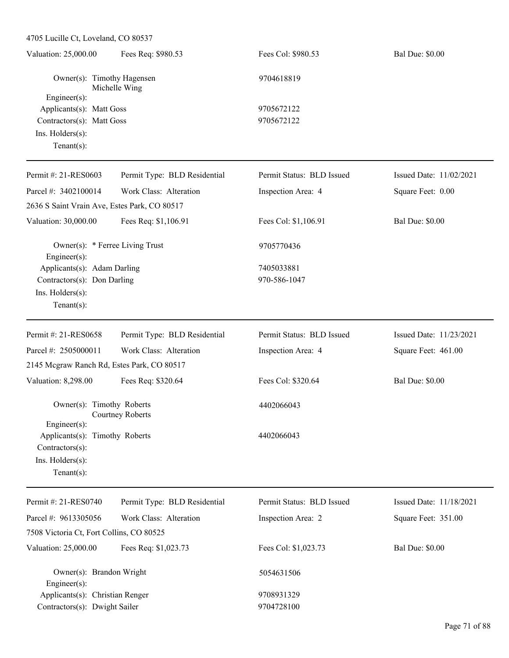| 4705 Lucille Ct, Loveland, CO 80537             |                              |                           |                         |
|-------------------------------------------------|------------------------------|---------------------------|-------------------------|
| Valuation: 25,000.00                            | Fees Req: \$980.53           | Fees Col: \$980.53        | <b>Bal Due: \$0.00</b>  |
| Owner(s): Timothy Hagensen<br>Engineer(s):      | Michelle Wing                | 9704618819                |                         |
| Applicants(s): Matt Goss                        |                              | 9705672122                |                         |
| Contractors(s): Matt Goss                       |                              | 9705672122                |                         |
| Ins. Holders(s):                                |                              |                           |                         |
| $Tenant(s)$ :                                   |                              |                           |                         |
| Permit #: 21-RES0603                            | Permit Type: BLD Residential | Permit Status: BLD Issued | Issued Date: 11/02/2021 |
| Parcel #: 3402100014                            | Work Class: Alteration       | Inspection Area: 4        | Square Feet: 0.00       |
| 2636 S Saint Vrain Ave, Estes Park, CO 80517    |                              |                           |                         |
| Valuation: 30,000.00                            | Fees Req: \$1,106.91         | Fees Col: \$1,106.91      | <b>Bal Due: \$0.00</b>  |
| Owner(s): * Ferree Living Trust<br>Engineer(s): |                              | 9705770436                |                         |
| Applicants(s): Adam Darling                     |                              | 7405033881                |                         |
| Contractors(s): Don Darling                     |                              | 970-586-1047              |                         |
| Ins. Holders(s):                                |                              |                           |                         |
| $Tenant(s)$ :                                   |                              |                           |                         |
|                                                 |                              |                           |                         |
| Permit #: 21-RES0658                            | Permit Type: BLD Residential | Permit Status: BLD Issued | Issued Date: 11/23/2021 |
| Parcel #: 2505000011                            | Work Class: Alteration       | Inspection Area: 4        | Square Feet: 461.00     |
| 2145 Mcgraw Ranch Rd, Estes Park, CO 80517      |                              |                           |                         |
| Valuation: 8,298.00                             | Fees Req: \$320.64           | Fees Col: \$320.64        | <b>Bal Due: \$0.00</b>  |
| Owner(s): Timothy Roberts                       | <b>Courtney Roberts</b>      | 4402066043                |                         |
| $Engineering(s)$ :                              |                              |                           |                         |
| Applicants(s): Timothy Roberts                  |                              | 4402066043                |                         |
| Contractors(s):                                 |                              |                           |                         |
| Ins. Holders(s):                                |                              |                           |                         |
| $Tenant(s)$ :                                   |                              |                           |                         |
| Permit #: 21-RES0740                            | Permit Type: BLD Residential | Permit Status: BLD Issued | Issued Date: 11/18/2021 |
| Parcel #: 9613305056                            | Work Class: Alteration       | Inspection Area: 2        | Square Feet: 351.00     |
| 7508 Victoria Ct, Fort Collins, CO 80525        |                              |                           |                         |
| Valuation: 25,000.00                            | Fees Req: \$1,023.73         | Fees Col: \$1,023.73      | <b>Bal Due: \$0.00</b>  |
| Owner(s): Brandon Wright<br>Engineer(s):        |                              | 5054631506                |                         |
| Applicants(s): Christian Renger                 |                              | 9708931329                |                         |

Contractors(s): Dwight Sailer 9704728100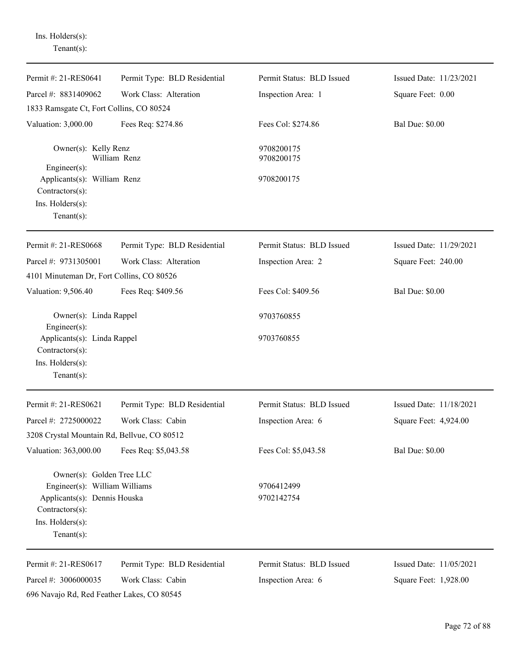Ins. Holders(s): Tenant(s):

| Permit #: 21-RES0641                                               | Permit Type: BLD Residential | Permit Status: BLD Issued | Issued Date: 11/23/2021 |
|--------------------------------------------------------------------|------------------------------|---------------------------|-------------------------|
| Parcel #: 8831409062                                               | Work Class: Alteration       | Inspection Area: 1        | Square Feet: 0.00       |
| 1833 Ramsgate Ct, Fort Collins, CO 80524                           |                              |                           |                         |
| Valuation: 3,000.00                                                | Fees Req: \$274.86           | Fees Col: \$274.86        | <b>Bal Due: \$0.00</b>  |
| Owner(s): Kelly Renz                                               | William Renz                 | 9708200175<br>9708200175  |                         |
| $Engineering(s)$ :                                                 |                              |                           |                         |
| Applicants(s): William Renz                                        |                              | 9708200175                |                         |
| Contractors(s):                                                    |                              |                           |                         |
| Ins. Holders(s):<br>Tenant $(s)$ :                                 |                              |                           |                         |
| Permit #: 21-RES0668                                               | Permit Type: BLD Residential | Permit Status: BLD Issued | Issued Date: 11/29/2021 |
| Parcel #: 9731305001                                               | Work Class: Alteration       | Inspection Area: 2        | Square Feet: 240.00     |
| 4101 Minuteman Dr, Fort Collins, CO 80526                          |                              |                           |                         |
| Valuation: 9,506.40                                                | Fees Req: \$409.56           | Fees Col: \$409.56        | <b>Bal Due: \$0.00</b>  |
| Owner(s): Linda Rappel<br>Engineer(s):                             |                              | 9703760855                |                         |
| Applicants(s): Linda Rappel<br>Contractors(s):<br>Ins. Holders(s): |                              | 9703760855                |                         |
| $Tenant(s)$ :                                                      |                              |                           |                         |
| Permit #: 21-RES0621                                               | Permit Type: BLD Residential | Permit Status: BLD Issued | Issued Date: 11/18/2021 |
| Parcel #: 2725000022                                               | Work Class: Cabin            | Inspection Area: 6        | Square Feet: 4,924.00   |
| 3208 Crystal Mountain Rd, Bellvue, CO 80512                        |                              |                           |                         |
| Valuation: 363,000.00                                              | Fees Req: \$5,043.58         | Fees Col: \$5,043.58      | <b>Bal Due: \$0.00</b>  |
| Owner(s): Golden Tree LLC                                          |                              |                           |                         |
| Engineer(s): William Williams                                      |                              | 9706412499                |                         |
| Applicants(s): Dennis Houska<br>Contractors(s):                    |                              | 9702142754                |                         |
| Ins. Holders(s):                                                   |                              |                           |                         |
| Tenant $(s)$ :                                                     |                              |                           |                         |
| Permit #: 21-RES0617                                               | Permit Type: BLD Residential | Permit Status: BLD Issued | Issued Date: 11/05/2021 |
| Parcel #: 3006000035                                               | Work Class: Cabin            | Inspection Area: 6        | Square Feet: 1,928.00   |
| 696 Navajo Rd, Red Feather Lakes, CO 80545                         |                              |                           |                         |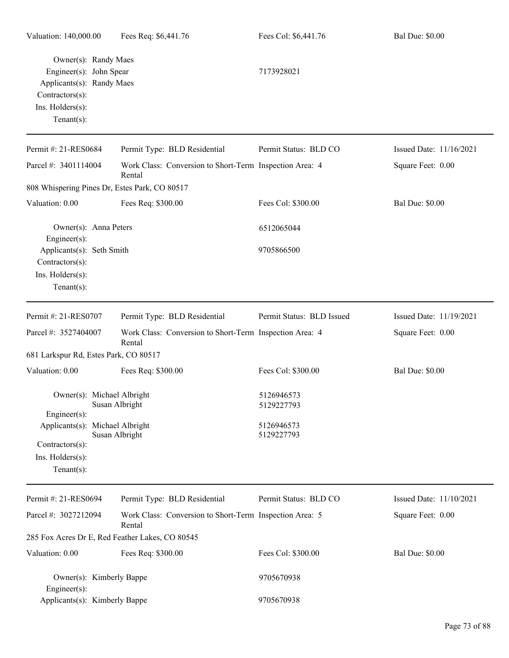| Owner(s): Randy Maes<br>Engineer(s): John Spear<br>Applicants(s): Randy Maes<br>$Contractors(s)$ :<br>Ins. Holders(s):<br>Tenant $(s)$ : |                                                                   | 7173928021                |                         |
|------------------------------------------------------------------------------------------------------------------------------------------|-------------------------------------------------------------------|---------------------------|-------------------------|
| Permit #: 21-RES0684                                                                                                                     | Permit Type: BLD Residential                                      | Permit Status: BLD CO     | Issued Date: 11/16/2021 |
| Parcel #: 3401114004                                                                                                                     | Work Class: Conversion to Short-Term Inspection Area: 4<br>Rental |                           | Square Feet: 0.00       |
| 808 Whispering Pines Dr, Estes Park, CO 80517                                                                                            |                                                                   |                           |                         |
| Valuation: 0.00                                                                                                                          | Fees Req: \$300.00                                                | Fees Col: \$300.00        | <b>Bal Due: \$0.00</b>  |
| Owner(s): Anna Peters<br>Engineer $(s)$ :                                                                                                |                                                                   | 6512065044                |                         |
| Applicants(s): Seth Smith<br>Contractors(s):<br>Ins. Holders(s):<br>Tenant $(s)$ :                                                       |                                                                   | 9705866500                |                         |
| Permit #: 21-RES0707                                                                                                                     | Permit Type: BLD Residential                                      | Permit Status: BLD Issued | Issued Date: 11/19/2021 |
| Parcel #: 3527404007                                                                                                                     | Work Class: Conversion to Short-Term Inspection Area: 4<br>Rental |                           | Square Feet: 0.00       |
| 681 Larkspur Rd, Estes Park, CO 80517                                                                                                    |                                                                   |                           |                         |
| Valuation: 0.00                                                                                                                          | Fees Req: \$300.00                                                | Fees Col: \$300.00        | <b>Bal Due: \$0.00</b>  |
| Owner(s): Michael Albright<br>Engineer(s):                                                                                               | Susan Albright                                                    | 5126946573<br>5129227793  |                         |
| Applicants(s): Michael Albright<br>$Contractors(s)$ :<br>Ins. Holders(s):<br>Tenant $(s)$ :                                              | Susan Albright                                                    | 5126946573<br>5129227793  |                         |
| Permit #: 21-RES0694                                                                                                                     | Permit Type: BLD Residential                                      | Permit Status: BLD CO     | Issued Date: 11/10/2021 |
| Parcel #: 3027212094                                                                                                                     | Work Class: Conversion to Short-Term Inspection Area: 5<br>Rental |                           | Square Feet: 0.00       |
|                                                                                                                                          | 285 Fox Acres Dr E, Red Feather Lakes, CO 80545                   |                           |                         |
| Valuation: 0.00                                                                                                                          | Fees Req: \$300.00                                                | Fees Col: \$300.00        | <b>Bal Due: \$0.00</b>  |
| Owner(s): Kimberly Bappe<br>$Engineering(s)$ :                                                                                           |                                                                   | 9705670938                |                         |
| Applicants(s): Kimberly Bappe                                                                                                            |                                                                   | 9705670938                |                         |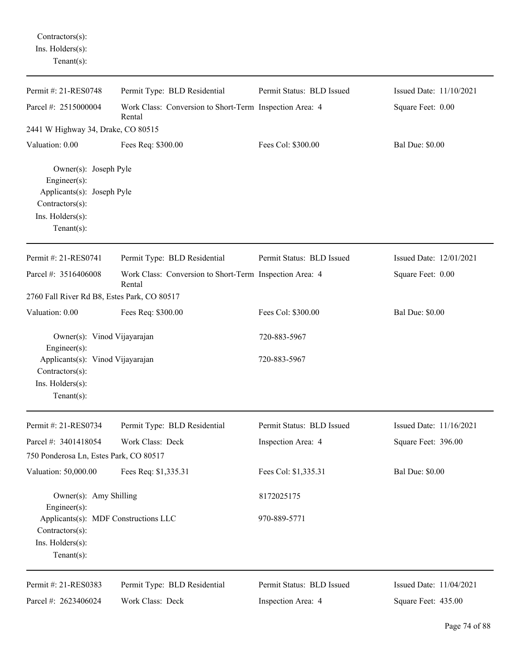| Contractors(s):        |
|------------------------|
| $Ins.$ Holders $(s)$ : |
| $Tenant(s)$ :          |

| Permit #: 21-RES0748                                                                                                             | Permit Type: BLD Residential                                      | Permit Status: BLD Issued | Issued Date: 11/10/2021 |
|----------------------------------------------------------------------------------------------------------------------------------|-------------------------------------------------------------------|---------------------------|-------------------------|
| Parcel #: 2515000004                                                                                                             | Work Class: Conversion to Short-Term Inspection Area: 4<br>Rental |                           | Square Feet: 0.00       |
| 2441 W Highway 34, Drake, CO 80515                                                                                               |                                                                   |                           |                         |
| Valuation: 0.00                                                                                                                  | Fees Req: \$300.00                                                | Fees Col: \$300.00        | <b>Bal Due: \$0.00</b>  |
| Owner(s): Joseph Pyle<br>Engineer $(s)$ :<br>Applicants(s): Joseph Pyle<br>Contractors(s):<br>Ins. Holders(s):<br>Tenant $(s)$ : |                                                                   |                           |                         |
| Permit #: 21-RES0741                                                                                                             | Permit Type: BLD Residential                                      | Permit Status: BLD Issued | Issued Date: 12/01/2021 |
| Parcel #: 3516406008                                                                                                             | Work Class: Conversion to Short-Term Inspection Area: 4<br>Rental |                           | Square Feet: 0.00       |
| 2760 Fall River Rd B8, Estes Park, CO 80517                                                                                      |                                                                   |                           |                         |
| Valuation: 0.00                                                                                                                  | Fees Req: \$300.00                                                | Fees Col: \$300.00        | <b>Bal Due: \$0.00</b>  |
| Owner(s): Vinod Vijayarajan<br>Engineer(s):                                                                                      |                                                                   | 720-883-5967              |                         |
| Applicants(s): Vinod Vijayarajan<br>Contractors(s):                                                                              |                                                                   | 720-883-5967              |                         |
| Ins. Holders(s):<br>$Tenant(s)$ :                                                                                                |                                                                   |                           |                         |
| Permit #: 21-RES0734                                                                                                             | Permit Type: BLD Residential                                      | Permit Status: BLD Issued | Issued Date: 11/16/2021 |
| Parcel #: 3401418054                                                                                                             | Work Class: Deck                                                  | Inspection Area: 4        | Square Feet: 396.00     |
| 750 Ponderosa Ln, Estes Park, CO 80517                                                                                           |                                                                   |                           |                         |
| Valuation: 50,000.00                                                                                                             | Fees Req: \$1,335.31                                              | Fees Col: \$1,335.31      | <b>Bal Due: \$0.00</b>  |
| Owner(s): Amy Shilling<br>Engineer(s):                                                                                           |                                                                   | 8172025175                |                         |
| Applicants(s): MDF Constructions LLC<br>Contractors(s):<br>Ins. $H$ olders $(s)$ :<br>Tenant $(s)$ :                             |                                                                   | 970-889-5771              |                         |
| Permit #: 21-RES0383                                                                                                             | Permit Type: BLD Residential                                      | Permit Status: BLD Issued | Issued Date: 11/04/2021 |
| Parcel #: 2623406024                                                                                                             | Work Class: Deck                                                  | Inspection Area: 4        | Square Feet: 435.00     |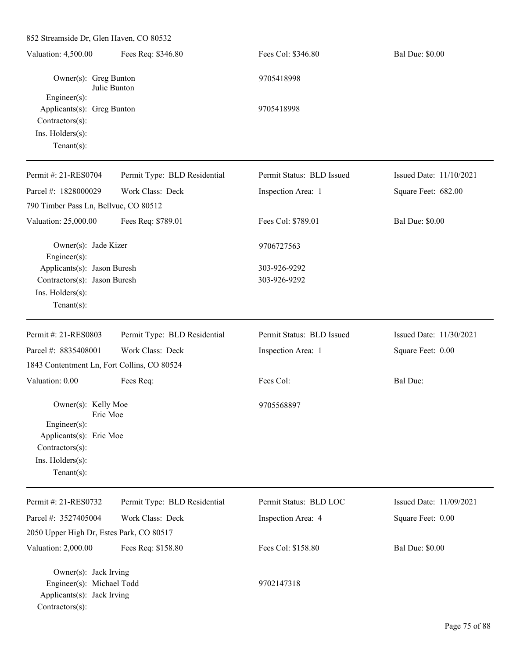852 Streamside Dr, Glen Haven, CO 80532 Valuation: 4,500.00 Fees Req: \$346.80 Fees Col: \$346.80 Bal Due: \$0.00 Owner(s): Greg Bunton 9705418998 Julie Bunton Engineer(s): Applicants(s): Greg Bunton 9705418998 Contractors(s): Ins. Holders(s): Tenant(s): Permit #: 21-RES0704 Parcel #: 1828000029 Permit Type: BLD Residential Work Class: Deck Permit Status: BLD Issued Inspection Area: 1 Issued Date: 11/10/2021 Square Feet: 682.00 790 Timber Pass Ln, Bellvue, CO 80512 Valuation: 25,000.00 Fees Req: \$789.01 Fees Col: \$789.01 Bal Due: \$0.00 Owner(s): Jade Kizer 9706727563 Engineer(s): Applicants(s): Jason Buresh 303-926-9292 Contractors(s): Jason Buresh 303-926-9292 Ins. Holders(s): Tenant(s): Permit #: 21-RES0803 Parcel #: 8835408001 Permit Type: BLD Residential Work Class: Deck Permit Status: BLD Issued Inspection Area: 1 Issued Date: 11/30/2021 Square Feet: 0.00 1843 Contentment Ln, Fort Collins, CO 80524 Valuation: 0.00 Fees Req: Fees Text Fees Col: Bal Due: Owner(s): Kelly Moe 9705568897 Eric Moe Engineer(s): Applicants(s): Eric Moe Contractors(s): Ins. Holders(s): Tenant(s): Permit #: 21-RES0732 Parcel #: 3527405004 Permit Type: BLD Residential Work Class: Deck Permit Status: BLD LOC Inspection Area: 4 Issued Date: 11/09/2021 Square Feet: 0.00 2050 Upper High Dr, Estes Park, CO 80517 Valuation: 2,000.00 Fees Req: \$158.80 Fees Col: \$158.80 Bal Due: \$0.00 Owner(s): Jack Irving Engineer(s): Michael Todd 9702147318 Applicants(s): Jack Irving Contractors(s):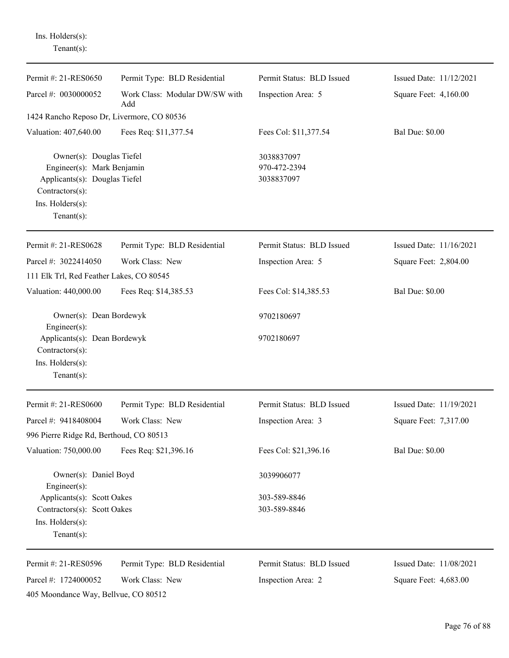| $Tenant(s)$ :                                                                                                                                           |                                       |                                          |                         |
|---------------------------------------------------------------------------------------------------------------------------------------------------------|---------------------------------------|------------------------------------------|-------------------------|
| Permit #: 21-RES0650                                                                                                                                    | Permit Type: BLD Residential          | Permit Status: BLD Issued                | Issued Date: 11/12/2021 |
| Parcel #: 0030000052                                                                                                                                    | Work Class: Modular DW/SW with<br>Add | Inspection Area: 5                       | Square Feet: 4,160.00   |
| 1424 Rancho Reposo Dr, Livermore, CO 80536                                                                                                              |                                       |                                          |                         |
| Valuation: 407,640.00                                                                                                                                   | Fees Req: \$11,377.54                 | Fees Col: \$11,377.54                    | <b>Bal Due: \$0.00</b>  |
| Owner(s): Douglas Tiefel<br>Engineer(s): Mark Benjamin<br>Applicants(s): Douglas Tiefel<br>Contractors(s):<br>Ins. $H$ olders $(s)$ :<br>Tenant $(s)$ : |                                       | 3038837097<br>970-472-2394<br>3038837097 |                         |
| Permit #: 21-RES0628                                                                                                                                    | Permit Type: BLD Residential          | Permit Status: BLD Issued                | Issued Date: 11/16/2021 |
| Parcel #: 3022414050                                                                                                                                    | Work Class: New                       | Inspection Area: 5                       | Square Feet: 2,804.00   |
| 111 Elk Trl, Red Feather Lakes, CO 80545                                                                                                                |                                       |                                          |                         |
| Valuation: 440,000.00                                                                                                                                   | Fees Req: \$14,385.53                 | Fees Col: \$14,385.53                    | <b>Bal Due: \$0.00</b>  |
| Owner(s): Dean Bordewyk<br>Engineer $(s)$ :                                                                                                             |                                       | 9702180697                               |                         |
| Applicants(s): Dean Bordewyk<br>Contractors(s):<br>Ins. Holders(s):<br>Tenant $(s)$ :                                                                   |                                       | 9702180697                               |                         |
| Permit #: 21-RES0600                                                                                                                                    | Permit Type: BLD Residential          | Permit Status: BLD Issued                | Issued Date: 11/19/2021 |
| Parcel #: 9418408004                                                                                                                                    | Work Class: New                       | Inspection Area: 3                       | Square Feet: 7,317.00   |
| 996 Pierre Ridge Rd, Berthoud, CO 80513                                                                                                                 |                                       |                                          |                         |
| Valuation: 750,000.00                                                                                                                                   | Fees Req: \$21,396.16                 | Fees Col: \$21,396.16                    | <b>Bal Due: \$0.00</b>  |
| Owner(s): Daniel Boyd<br>$Engineering(s)$ :                                                                                                             |                                       | 3039906077                               |                         |
| Applicants(s): Scott Oakes                                                                                                                              |                                       | 303-589-8846                             |                         |
| Contractors(s): Scott Oakes                                                                                                                             |                                       | 303-589-8846                             |                         |
| Ins. Holders(s):<br>Tenant $(s)$ :                                                                                                                      |                                       |                                          |                         |
| Permit #: 21-RES0596                                                                                                                                    | Permit Type: BLD Residential          | Permit Status: BLD Issued                | Issued Date: 11/08/2021 |
| Parcel #: 1724000052                                                                                                                                    | Work Class: New                       | Inspection Area: 2                       | Square Feet: 4,683.00   |
| 405 Moondance Way, Bellvue, CO 80512                                                                                                                    |                                       |                                          |                         |

Ins. Holders(s):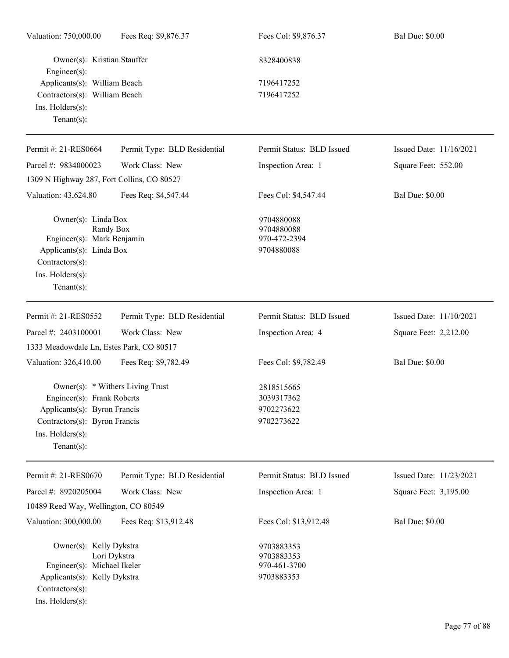| Fees Req: \$9,876.37                                                                                   | Fees Col: \$9,876.37                                   | <b>Bal Due: \$0.00</b>  |
|--------------------------------------------------------------------------------------------------------|--------------------------------------------------------|-------------------------|
| Owner(s): Kristian Stauffer                                                                            | 8328400838                                             |                         |
| Applicants(s): William Beach                                                                           | 7196417252                                             |                         |
| Contractors(s): William Beach                                                                          | 7196417252                                             |                         |
|                                                                                                        |                                                        |                         |
| Permit Type: BLD Residential                                                                           | Permit Status: BLD Issued                              | Issued Date: 11/16/2021 |
| Work Class: New                                                                                        | Inspection Area: 1                                     | Square Feet: 552.00     |
| 1309 N Highway 287, Fort Collins, CO 80527                                                             |                                                        |                         |
| Fees Req: \$4,547.44                                                                                   | Fees Col: \$4,547.44                                   | <b>Bal Due: \$0.00</b>  |
| Owner(s): Linda Box<br>Randy Box<br>Engineer(s): Mark Benjamin<br>Applicants(s): Linda Box             | 9704880088<br>9704880088<br>970-472-2394<br>9704880088 |                         |
| Permit Type: BLD Residential                                                                           | Permit Status: BLD Issued                              | Issued Date: 11/10/2021 |
| Work Class: New                                                                                        | Inspection Area: 4                                     | Square Feet: 2,212.00   |
| 1333 Meadowdale Ln, Estes Park, CO 80517                                                               |                                                        |                         |
| Fees Req: \$9,782.49                                                                                   | Fees Col: \$9,782.49                                   | <b>Bal Due: \$0.00</b>  |
| Owner(s): * Withers Living Trust<br>Engineer(s): Frank Roberts                                         | 2818515665<br>3039317362                               |                         |
| Applicants(s): Byron Francis                                                                           | 9702273622                                             |                         |
|                                                                                                        |                                                        |                         |
|                                                                                                        |                                                        |                         |
| Permit Type: BLD Residential                                                                           | Permit Status: BLD Issued                              | Issued Date: 11/23/2021 |
| Work Class: New                                                                                        | Inspection Area: 1                                     | Square Feet: 3,195.00   |
| 10489 Reed Way, Wellington, CO 80549                                                                   |                                                        |                         |
| Fees Req: \$13,912.48                                                                                  | Fees Col: \$13,912.48                                  | <b>Bal Due: \$0.00</b>  |
| Owner(s): Kelly Dykstra<br>Lori Dykstra<br>Engineer(s): Michael Ikeler<br>Applicants(s): Kelly Dykstra | 9703883353<br>9703883353<br>970-461-3700<br>9703883353 |                         |
|                                                                                                        | Contractors(s): Byron Francis                          | 9702273622              |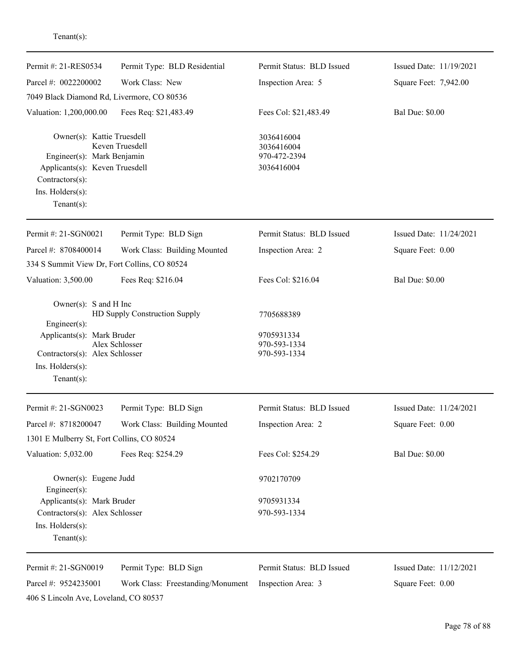| enant s |  |  |
|---------|--|--|
|         |  |  |
|         |  |  |

| Permit #: 21-RES0534                                                                                                                                | Permit Type: BLD Residential                    | Permit Status: BLD Issued                                | Issued Date: 11/19/2021 |
|-----------------------------------------------------------------------------------------------------------------------------------------------------|-------------------------------------------------|----------------------------------------------------------|-------------------------|
| Parcel #: 0022200002                                                                                                                                | Work Class: New                                 | Inspection Area: 5                                       | Square Feet: 7,942.00   |
| 7049 Black Diamond Rd, Livermore, CO 80536                                                                                                          |                                                 |                                                          |                         |
| Valuation: 1,200,000.00                                                                                                                             | Fees Req: \$21,483.49                           | Fees Col: \$21,483.49                                    | <b>Bal Due: \$0.00</b>  |
| Owner(s): Kattie Truesdell<br>Engineer(s): Mark Benjamin<br>Applicants(s): Keven Truesdell<br>Contractors(s):<br>Ins. Holders(s):<br>Tenant $(s)$ : | Keven Truesdell                                 | 3036416004<br>3036416004<br>970-472-2394<br>3036416004   |                         |
| Permit #: 21-SGN0021                                                                                                                                | Permit Type: BLD Sign                           | Permit Status: BLD Issued                                | Issued Date: 11/24/2021 |
| Parcel #: 8708400014                                                                                                                                | Work Class: Building Mounted                    | Inspection Area: 2                                       | Square Feet: 0.00       |
| 334 S Summit View Dr, Fort Collins, CO 80524                                                                                                        |                                                 |                                                          |                         |
| Valuation: 3,500.00                                                                                                                                 | Fees Req: \$216.04                              | Fees Col: \$216.04                                       | <b>Bal Due: \$0.00</b>  |
| Owner(s): $S$ and $H$ Inc<br>Engineer(s):<br>Applicants(s): Mark Bruder<br>Contractors(s): Alex Schlosser<br>Ins. Holders(s):<br>$Tenant(s)$ :      | HD Supply Construction Supply<br>Alex Schlosser | 7705688389<br>9705931334<br>970-593-1334<br>970-593-1334 |                         |
| Permit #: 21-SGN0023                                                                                                                                | Permit Type: BLD Sign                           | Permit Status: BLD Issued                                | Issued Date: 11/24/2021 |
| Parcel #: 8718200047                                                                                                                                | Work Class: Building Mounted                    | Inspection Area: 2                                       | Square Feet: 0.00       |
| 1301 E Mulberry St, Fort Collins, CO 80524                                                                                                          |                                                 |                                                          |                         |
| Valuation: 5,032.00                                                                                                                                 | Fees Req: \$254.29                              | Fees Col: \$254.29                                       | <b>Bal Due: \$0.00</b>  |
| Owner(s): Eugene Judd<br>Engineer(s):                                                                                                               |                                                 | 9702170709                                               |                         |
| Applicants(s): Mark Bruder                                                                                                                          |                                                 | 9705931334                                               |                         |
| Contractors(s): Alex Schlosser<br>Ins. Holders(s):<br>Tenant $(s)$ :                                                                                |                                                 | 970-593-1334                                             |                         |
| Permit #: 21-SGN0019                                                                                                                                | Permit Type: BLD Sign                           | Permit Status: BLD Issued                                | Issued Date: 11/12/2021 |
| Parcel #: 9524235001                                                                                                                                | Work Class: Freestanding/Monument               | Inspection Area: 3                                       | Square Feet: 0.00       |
| 406 S Lincoln Ave, Loveland, CO 80537                                                                                                               |                                                 |                                                          |                         |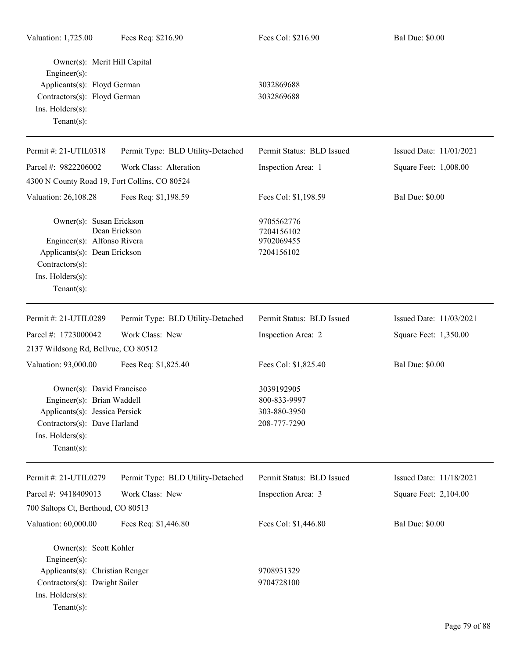| Owner(s): Merit Hill Capital<br>Engineer(s):<br>Applicants(s): Floyd German<br>Contractors(s): Floyd German<br>Ins. Holders(s):<br>Tenant $(s)$ :                     |                                   | 3032869688<br>3032869688                                   |                         |
|-----------------------------------------------------------------------------------------------------------------------------------------------------------------------|-----------------------------------|------------------------------------------------------------|-------------------------|
| Permit #: 21-UTIL0318                                                                                                                                                 | Permit Type: BLD Utility-Detached | Permit Status: BLD Issued                                  | Issued Date: 11/01/2021 |
| Parcel #: 9822206002                                                                                                                                                  | Work Class: Alteration            | Inspection Area: 1                                         | Square Feet: 1,008.00   |
| 4300 N County Road 19, Fort Collins, CO 80524                                                                                                                         |                                   |                                                            |                         |
| Valuation: 26,108.28                                                                                                                                                  | Fees Req: \$1,198.59              | Fees Col: \$1,198.59                                       | <b>Bal Due: \$0.00</b>  |
| Owner(s): Susan Erickson<br>Engineer(s): Alfonso Rivera<br>Applicants(s): Dean Erickson<br>Contractors(s):<br>Ins. Holders(s):<br>Tenant $(s)$ :                      | Dean Erickson                     | 9705562776<br>7204156102<br>9702069455<br>7204156102       |                         |
| Permit #: 21-UTIL0289                                                                                                                                                 | Permit Type: BLD Utility-Detached | Permit Status: BLD Issued                                  | Issued Date: 11/03/2021 |
| Parcel #: 1723000042                                                                                                                                                  | Work Class: New                   | Inspection Area: 2                                         | Square Feet: 1,350.00   |
| 2137 Wildsong Rd, Bellvue, CO 80512                                                                                                                                   |                                   |                                                            |                         |
| Valuation: 93,000.00                                                                                                                                                  | Fees Req: \$1,825.40              | Fees Col: \$1,825.40                                       | <b>Bal Due: \$0.00</b>  |
| Owner(s): David Francisco<br>Engineer(s): Brian Waddell<br>Applicants(s): Jessica Persick<br>Contractors(s): Dave Harland<br>$Ins.$ Holders $(s)$ :<br>Tenant $(s)$ : |                                   | 3039192905<br>800-833-9997<br>303-880-3950<br>208-777-7290 |                         |
| Permit #: 21-UTIL0279                                                                                                                                                 | Permit Type: BLD Utility-Detached | Permit Status: BLD Issued                                  | Issued Date: 11/18/2021 |
| Parcel #: 9418409013                                                                                                                                                  | Work Class: New                   | Inspection Area: 3                                         | Square Feet: 2,104.00   |
| 700 Saltops Ct, Berthoud, CO 80513                                                                                                                                    |                                   |                                                            |                         |
| Valuation: 60,000.00                                                                                                                                                  | Fees Req: \$1,446.80              | Fees Col: \$1,446.80                                       | <b>Bal Due: \$0.00</b>  |
| Owner(s): Scott Kohler<br>Engineer(s):<br>Applicants(s): Christian Renger<br>Contractors(s): Dwight Sailer<br>Ins. Holders(s):<br>$Tenant(s)$ :                       |                                   | 9708931329<br>9704728100                                   |                         |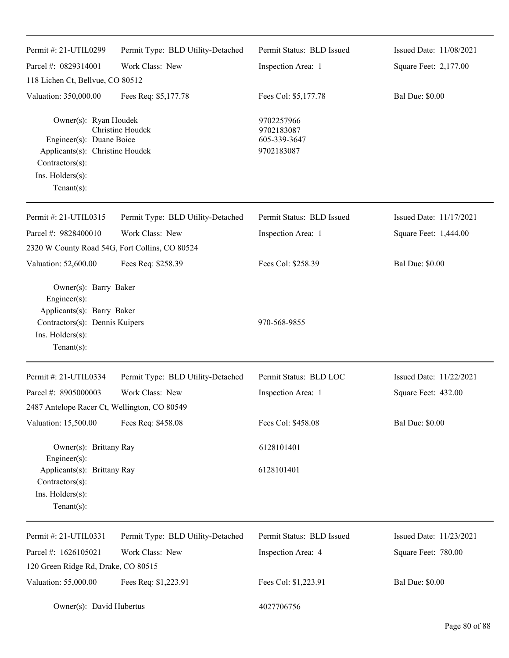| Permit #: 21-UTIL0299                                                                                                                         | Permit Type: BLD Utility-Detached | Permit Status: BLD Issued                              | Issued Date: 11/08/2021 |
|-----------------------------------------------------------------------------------------------------------------------------------------------|-----------------------------------|--------------------------------------------------------|-------------------------|
| Parcel #: 0829314001                                                                                                                          | Work Class: New                   | Inspection Area: 1                                     | Square Feet: 2,177.00   |
| 118 Lichen Ct, Bellvue, CO 80512                                                                                                              |                                   |                                                        |                         |
| Valuation: 350,000.00                                                                                                                         | Fees Req: \$5,177.78              | Fees Col: \$5,177.78                                   | <b>Bal Due: \$0.00</b>  |
| Owner(s): Ryan Houdek<br>Engineer(s): Duane Boice<br>Applicants(s): Christine Houdek<br>Contractors(s):<br>Ins. Holders(s):<br>Tenant $(s)$ : | Christine Houdek                  | 9702257966<br>9702183087<br>605-339-3647<br>9702183087 |                         |
| Permit #: 21-UTIL0315                                                                                                                         | Permit Type: BLD Utility-Detached | Permit Status: BLD Issued                              | Issued Date: 11/17/2021 |
| Parcel #: 9828400010                                                                                                                          | Work Class: New                   | Inspection Area: 1                                     | Square Feet: 1,444.00   |
| 2320 W County Road 54G, Fort Collins, CO 80524                                                                                                |                                   |                                                        |                         |
| Valuation: 52,600.00                                                                                                                          | Fees Req: \$258.39                | Fees Col: \$258.39                                     | <b>Bal Due: \$0.00</b>  |
| Owner(s): Barry Baker<br>Engineer(s):<br>Applicants(s): Barry Baker<br>Contractors(s): Dennis Kuipers<br>Ins. Holders(s):<br>Tenant $(s)$ :   |                                   | 970-568-9855                                           |                         |
| Permit #: 21-UTIL0334                                                                                                                         | Permit Type: BLD Utility-Detached | Permit Status: BLD LOC                                 | Issued Date: 11/22/2021 |
| Parcel #: 8905000003                                                                                                                          | Work Class: New                   | Inspection Area: 1                                     | Square Feet: 432.00     |
| 2487 Antelope Racer Ct, Wellington, CO 80549                                                                                                  |                                   |                                                        |                         |
| Valuation: 15,500.00                                                                                                                          | Fees Req: \$458.08                | Fees Col: \$458.08                                     | <b>Bal Due: \$0.00</b>  |
| Owner(s): Brittany Ray<br>Engineer(s):                                                                                                        |                                   | 6128101401                                             |                         |
| Applicants(s): Brittany Ray<br>Contractors(s):<br>Ins. Holders(s):<br>$Tenant(s)$ :                                                           |                                   | 6128101401                                             |                         |
| Permit #: 21-UTIL0331                                                                                                                         | Permit Type: BLD Utility-Detached | Permit Status: BLD Issued                              | Issued Date: 11/23/2021 |
| Parcel #: 1626105021                                                                                                                          | Work Class: New                   | Inspection Area: 4                                     | Square Feet: 780.00     |
| 120 Green Ridge Rd, Drake, CO 80515                                                                                                           |                                   |                                                        |                         |
| Valuation: 55,000.00                                                                                                                          | Fees Req: \$1,223.91              | Fees Col: \$1,223.91                                   | <b>Bal Due: \$0.00</b>  |
| Owner(s): David Hubertus                                                                                                                      |                                   | 4027706756                                             |                         |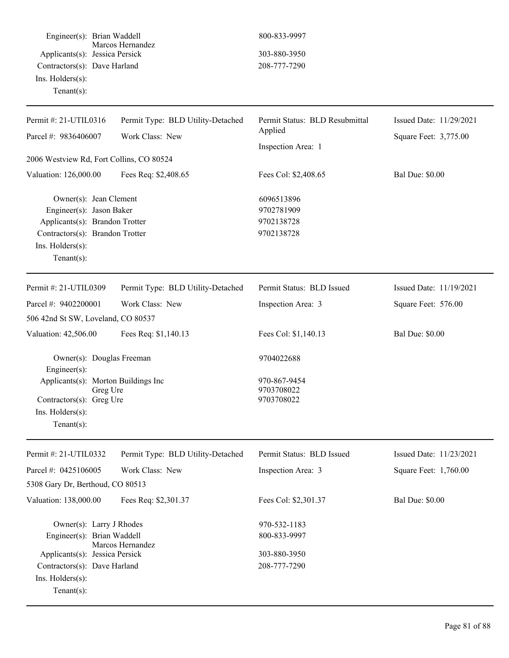Engineer(s): Brian Waddell 800-833-9997 Marcos Hernandez Applicants(s): Jessica Persick 303-880-3950 Contractors(s): Dave Harland 208-777-7290 Ins. Holders(s): Tenant(s):

| Permit #: 21-UTIL0316<br>Parcel #: 9836406007                                                                                                                | Permit Type: BLD Utility-Detached<br>Work Class: New | Permit Status: BLD Resubmittal<br>Applied                    | Issued Date: 11/29/2021<br>Square Feet: 3,775.00 |
|--------------------------------------------------------------------------------------------------------------------------------------------------------------|------------------------------------------------------|--------------------------------------------------------------|--------------------------------------------------|
|                                                                                                                                                              |                                                      |                                                              |                                                  |
| Valuation: 126,000.00                                                                                                                                        | Fees Req: \$2,408.65                                 | Fees Col: \$2,408.65                                         | <b>Bal Due: \$0.00</b>                           |
| Owner(s): Jean Clement<br>Engineer(s): Jason Baker<br>Applicants(s): Brandon Trotter<br>Contractors(s): Brandon Trotter<br>Ins. Holders(s):<br>$Tenant(s)$ : |                                                      | 6096513896<br>9702781909<br>9702138728<br>9702138728         |                                                  |
| Permit #: 21-UTIL0309                                                                                                                                        | Permit Type: BLD Utility-Detached                    | Permit Status: BLD Issued                                    | Issued Date: 11/19/2021                          |
| Parcel #: 9402200001                                                                                                                                         | Work Class: New                                      | Inspection Area: 3                                           | Square Feet: 576.00                              |
| 506 42nd St SW, Loveland, CO 80537                                                                                                                           |                                                      |                                                              |                                                  |
| Valuation: 42,506.00                                                                                                                                         | Fees Req: \$1,140.13                                 | Fees Col: \$1,140.13                                         | <b>Bal Due: \$0.00</b>                           |
| Owner(s): Douglas Freeman<br>Engineer(s):<br>Applicants(s): Morton Buildings Inc<br>Greg Ure<br>Contractors(s): Greg Ure                                     |                                                      | 9704022688<br>970-867-9454<br>9703708022<br>9703708022       |                                                  |
| Ins. Holders(s):<br>Tenant $(s)$ :                                                                                                                           |                                                      |                                                              |                                                  |
| Permit #: 21-UTIL0332                                                                                                                                        | Permit Type: BLD Utility-Detached                    | Permit Status: BLD Issued                                    | Issued Date: 11/23/2021                          |
| Parcel #: 0425106005                                                                                                                                         | Work Class: New                                      | Inspection Area: 3                                           | Square Feet: 1,760.00                            |
| 5308 Gary Dr, Berthoud, CO 80513                                                                                                                             |                                                      |                                                              |                                                  |
| Valuation: 138,000.00                                                                                                                                        | Fees Req: \$2,301.37                                 | Fees Col: \$2,301.37                                         | <b>Bal Due: \$0.00</b>                           |
| Owner(s): Larry J Rhodes<br>Engineer(s): Brian Waddell<br>Applicants(s): Jessica Persick<br>Contractors(s): Dave Harland                                     | Marcos Hernandez                                     | 970-532-1183<br>800-833-9997<br>303-880-3950<br>208-777-7290 |                                                  |
| Ins. Holders(s):<br>Tenant $(s)$ :                                                                                                                           |                                                      |                                                              |                                                  |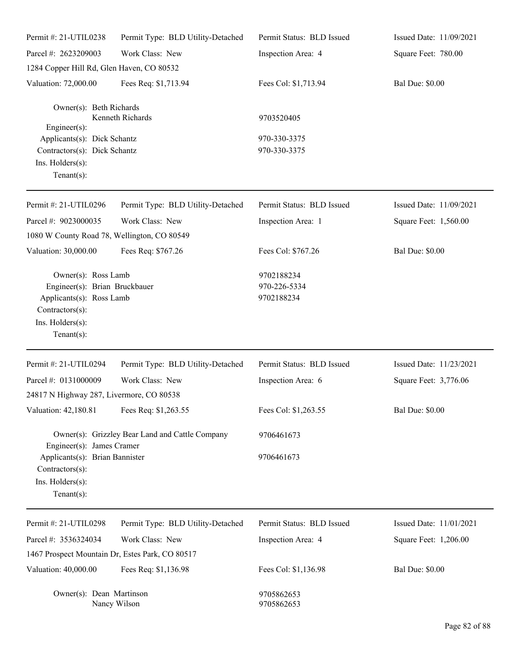| Permit #: 21-UTIL0238                                                                                                                     | Permit Type: BLD Utility-Detached               | Permit Status: BLD Issued                | Issued Date: 11/09/2021 |
|-------------------------------------------------------------------------------------------------------------------------------------------|-------------------------------------------------|------------------------------------------|-------------------------|
| Parcel #: 2623209003                                                                                                                      | Work Class: New                                 | Inspection Area: 4                       | Square Feet: 780.00     |
| 1284 Copper Hill Rd, Glen Haven, CO 80532                                                                                                 |                                                 |                                          |                         |
| Valuation: 72,000.00                                                                                                                      | Fees Req: \$1,713.94                            | Fees Col: \$1,713.94                     | <b>Bal Due: \$0.00</b>  |
| Owner(s): Beth Richards<br>Engineer(s):                                                                                                   | Kenneth Richards                                | 9703520405                               |                         |
| Applicants(s): Dick Schantz<br>Contractors(s): Dick Schantz<br>Ins. Holders(s):<br>Tenant $(s)$ :                                         |                                                 | 970-330-3375<br>970-330-3375             |                         |
| Permit #: 21-UTIL0296                                                                                                                     | Permit Type: BLD Utility-Detached               | Permit Status: BLD Issued                | Issued Date: 11/09/2021 |
| Parcel #: 9023000035<br>1080 W County Road 78, Wellington, CO 80549                                                                       | Work Class: New                                 | Inspection Area: 1                       | Square Feet: 1,560.00   |
| Valuation: 30,000.00                                                                                                                      | Fees Req: \$767.26                              | Fees Col: \$767.26                       | <b>Bal Due: \$0.00</b>  |
| Owner(s): Ross Lamb<br>Engineer(s): Brian Bruckbauer<br>Applicants(s): Ross Lamb<br>Contractors(s):<br>Ins. Holders(s):<br>Tenant $(s)$ : |                                                 | 9702188234<br>970-226-5334<br>9702188234 |                         |
| Permit #: 21-UTIL0294                                                                                                                     | Permit Type: BLD Utility-Detached               | Permit Status: BLD Issued                | Issued Date: 11/23/2021 |
| Parcel #: 0131000009<br>24817 N Highway 287, Livermore, CO 80538                                                                          | Work Class: New                                 | Inspection Area: 6                       | Square Feet: 3,776.06   |
| Valuation: 42,180.81                                                                                                                      | Fees Req: \$1,263.55                            | Fees Col: \$1,263.55                     | <b>Bal Due: \$0.00</b>  |
| Engineer(s): James Cramer                                                                                                                 | Owner(s): Grizzley Bear Land and Cattle Company | 9706461673                               |                         |
| Applicants(s): Brian Bannister<br>Contractors(s):<br>Ins. Holders(s):<br>Tenant $(s)$ :                                                   |                                                 | 9706461673                               |                         |
| Permit #: 21-UTIL0298                                                                                                                     | Permit Type: BLD Utility-Detached               | Permit Status: BLD Issued                | Issued Date: 11/01/2021 |
| Parcel #: 3536324034                                                                                                                      | Work Class: New                                 | Inspection Area: 4                       | Square Feet: 1,206.00   |
| 1467 Prospect Mountain Dr, Estes Park, CO 80517                                                                                           |                                                 |                                          |                         |
| Valuation: 40,000.00                                                                                                                      | Fees Req: \$1,136.98                            | Fees Col: \$1,136.98                     | <b>Bal Due: \$0.00</b>  |
| Owner(s): Dean Martinson                                                                                                                  | Nancy Wilson                                    | 9705862653<br>9705862653                 |                         |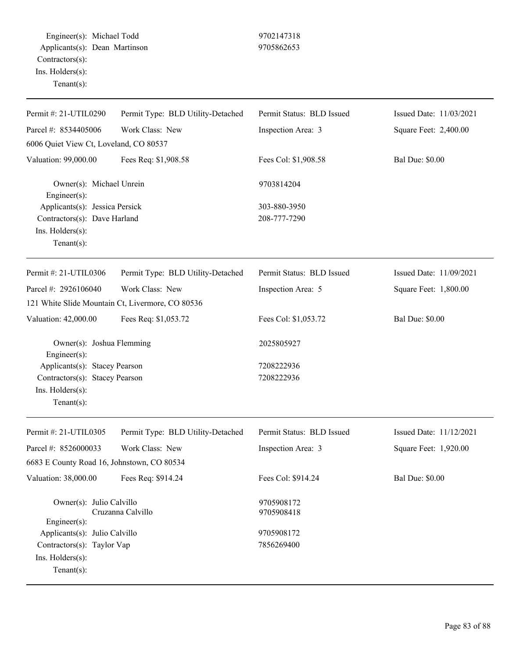Engineer(s): Michael Todd 9702147318 Applicants(s): Dean Martinson 9705862653 Contractors(s): Ins. Holders(s): Tenant(s):

| Permit #: 21-UTIL0290                            | Permit Type: BLD Utility-Detached | Permit Status: BLD Issued | Issued Date: 11/03/2021 |
|--------------------------------------------------|-----------------------------------|---------------------------|-------------------------|
| Parcel #: 8534405006                             | Work Class: New                   | Inspection Area: 3        | Square Feet: 2,400.00   |
| 6006 Quiet View Ct, Loveland, CO 80537           |                                   |                           |                         |
| Valuation: 99,000.00                             | Fees Req: \$1,908.58              | Fees Col: \$1,908.58      | <b>Bal Due: \$0.00</b>  |
| Owner(s): Michael Unrein<br>Engineer(s):         |                                   | 9703814204                |                         |
| Applicants(s): Jessica Persick                   |                                   | 303-880-3950              |                         |
| Contractors(s): Dave Harland                     |                                   | 208-777-7290              |                         |
| Ins. Holders(s):<br>Tenant $(s)$ :               |                                   |                           |                         |
| Permit #: 21-UTIL0306                            | Permit Type: BLD Utility-Detached | Permit Status: BLD Issued | Issued Date: 11/09/2021 |
| Parcel #: 2926106040                             | Work Class: New                   | Inspection Area: 5        | Square Feet: 1,800.00   |
| 121 White Slide Mountain Ct, Livermore, CO 80536 |                                   |                           |                         |
| Valuation: 42,000.00                             | Fees Req: \$1,053.72              | Fees Col: \$1,053.72      | <b>Bal Due: \$0.00</b>  |
| Owner(s): Joshua Flemming<br>Engineer(s):        |                                   | 2025805927                |                         |
| Applicants(s): Stacey Pearson                    |                                   | 7208222936                |                         |
| Contractors(s): Stacey Pearson                   |                                   | 7208222936                |                         |
| Ins. Holders(s):<br>Tenant $(s)$ :               |                                   |                           |                         |
| Permit #: 21-UTIL0305                            | Permit Type: BLD Utility-Detached | Permit Status: BLD Issued | Issued Date: 11/12/2021 |
| Parcel #: 8526000033                             | Work Class: New                   | Inspection Area: 3        | Square Feet: 1,920.00   |
| 6683 E County Road 16, Johnstown, CO 80534       |                                   |                           |                         |
| Valuation: 38,000.00                             | Fees Req: \$914.24                | Fees Col: \$914.24        | <b>Bal Due: \$0.00</b>  |
| Owner(s): Julio Calvillo<br>Engineer(s):         | Cruzanna Calvillo                 | 9705908172<br>9705908418  |                         |
| Applicants(s): Julio Calvillo                    |                                   | 9705908172                |                         |
| Contractors(s): Taylor Vap                       |                                   | 7856269400                |                         |
| Ins. Holders(s):<br>Tenant $(s)$ :               |                                   |                           |                         |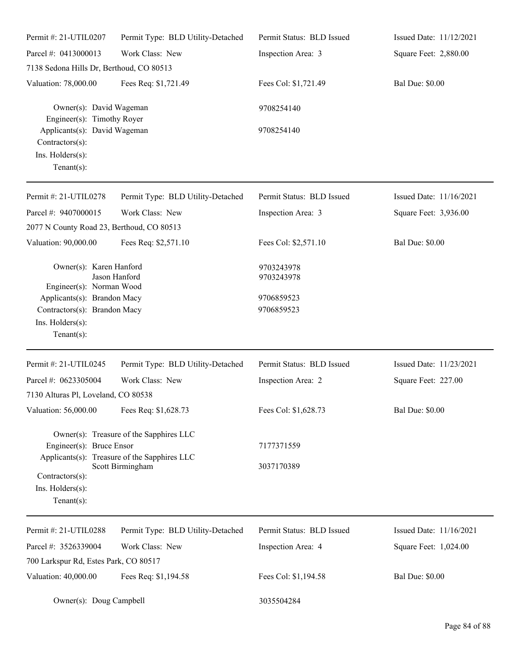| Permit #: 21-UTIL0207                                                                                                                                                                            | Permit Type: BLD Utility-Detached | Permit Status: BLD Issued                            | Issued Date: 11/12/2021 |
|--------------------------------------------------------------------------------------------------------------------------------------------------------------------------------------------------|-----------------------------------|------------------------------------------------------|-------------------------|
| Parcel #: 0413000013                                                                                                                                                                             | Work Class: New                   | Inspection Area: 3                                   | Square Feet: 2,880.00   |
| 7138 Sedona Hills Dr, Berthoud, CO 80513                                                                                                                                                         |                                   |                                                      |                         |
| Valuation: 78,000.00                                                                                                                                                                             | Fees Req: \$1,721.49              | Fees Col: \$1,721.49                                 | <b>Bal Due: \$0.00</b>  |
| Owner(s): David Wageman<br>Engineer(s): Timothy Royer                                                                                                                                            |                                   | 9708254140                                           |                         |
| Applicants(s): David Wageman<br>Contractors(s):<br>Ins. Holders(s):<br>Tenant $(s)$ :                                                                                                            |                                   | 9708254140                                           |                         |
| Permit #: 21-UTIL0278                                                                                                                                                                            | Permit Type: BLD Utility-Detached | Permit Status: BLD Issued                            | Issued Date: 11/16/2021 |
| Parcel #: 9407000015                                                                                                                                                                             | Work Class: New                   | Inspection Area: 3                                   | Square Feet: 3,936.00   |
| 2077 N County Road 23, Berthoud, CO 80513                                                                                                                                                        |                                   |                                                      |                         |
| Valuation: 90,000.00                                                                                                                                                                             | Fees Req: \$2,571.10              | Fees Col: \$2,571.10                                 | <b>Bal Due: \$0.00</b>  |
| Owner(s): Karen Hanford<br>Jason Hanford<br>Engineer(s): Norman Wood<br>Applicants(s): Brandon Macy<br>Contractors(s): Brandon Macy<br>Ins. Holders(s):                                          |                                   | 9703243978<br>9703243978<br>9706859523<br>9706859523 |                         |
| Tenant $(s)$ :                                                                                                                                                                                   |                                   |                                                      |                         |
| Permit #: 21-UTIL0245                                                                                                                                                                            | Permit Type: BLD Utility-Detached | Permit Status: BLD Issued                            | Issued Date: 11/23/2021 |
| Parcel #: 0623305004<br>7130 Alturas Pl, Loveland, CO 80538                                                                                                                                      | Work Class: New                   | Inspection Area: 2                                   | Square Feet: 227.00     |
| Valuation: 56,000.00                                                                                                                                                                             | Fees Req: \$1,628.73              | Fees Col: \$1,628.73                                 | <b>Bal Due: \$0.00</b>  |
| Owner(s): Treasure of the Sapphires LLC<br>Engineer(s): Bruce Ensor<br>Applicants(s): Treasure of the Sapphires LLC<br>Scott Birmingham<br>Contractors(s):<br>Ins. Holders(s):<br>Tenant $(s)$ : |                                   | 7177371559                                           |                         |
|                                                                                                                                                                                                  |                                   | 3037170389                                           |                         |
| Permit #: 21-UTIL0288                                                                                                                                                                            | Permit Type: BLD Utility-Detached | Permit Status: BLD Issued                            | Issued Date: 11/16/2021 |
| Parcel #: 3526339004                                                                                                                                                                             | Work Class: New                   | Inspection Area: 4                                   | Square Feet: 1,024.00   |
| 700 Larkspur Rd, Estes Park, CO 80517                                                                                                                                                            |                                   |                                                      |                         |
| Valuation: 40,000.00                                                                                                                                                                             | Fees Req: \$1,194.58              | Fees Col: \$1,194.58                                 | <b>Bal Due: \$0.00</b>  |
| Owner(s): Doug Campbell                                                                                                                                                                          |                                   | 3035504284                                           |                         |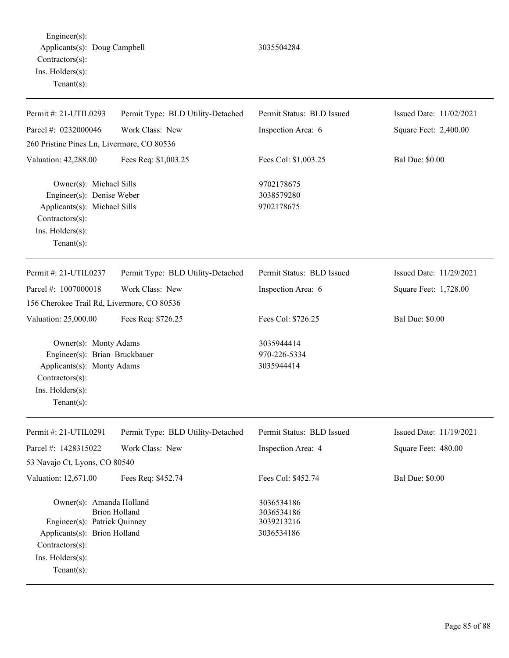Engineer(s): Applicants(s): Doug Campbell 3035504284 Contractors(s): Ins. Holders(s): Tenant(s):

| Permit #: 21-UTIL0293                                                                                                                             | Permit Type: BLD Utility-Detached | Permit Status: BLD Issued                            | Issued Date: 11/02/2021 |
|---------------------------------------------------------------------------------------------------------------------------------------------------|-----------------------------------|------------------------------------------------------|-------------------------|
| Parcel #: 0232000046                                                                                                                              | Work Class: New                   | Inspection Area: 6                                   | Square Feet: 2,400.00   |
| 260 Pristine Pines Ln, Livermore, CO 80536                                                                                                        |                                   |                                                      |                         |
| Valuation: 42,288.00                                                                                                                              | Fees Req: \$1,003.25              | Fees Col: \$1,003.25                                 | <b>Bal Due: \$0.00</b>  |
| Owner(s): Michael Sills<br>Engineer(s): Denise Weber<br>Applicants(s): Michael Sills<br>Contractors(s):<br>Ins. Holders(s):<br>Tenant $(s)$ :     |                                   | 9702178675<br>3038579280<br>9702178675               |                         |
| Permit #: 21-UTIL0237                                                                                                                             | Permit Type: BLD Utility-Detached | Permit Status: BLD Issued                            | Issued Date: 11/29/2021 |
| Parcel #: 1007000018                                                                                                                              | Work Class: New                   | Inspection Area: 6                                   | Square Feet: 1,728.00   |
| 156 Cherokee Trail Rd, Livermore, CO 80536                                                                                                        |                                   |                                                      |                         |
| Valuation: 25,000.00                                                                                                                              | Fees Req: \$726.25                | Fees Col: \$726.25                                   | <b>Bal Due: \$0.00</b>  |
| Owner(s): Monty Adams<br>Engineer(s): Brian Bruckbauer<br>Applicants(s): Monty Adams<br>Contractors(s):<br>Ins. Holders(s):<br>Tenant $(s)$ :     |                                   | 3035944414<br>970-226-5334<br>3035944414             |                         |
| Permit #: 21-UTIL0291                                                                                                                             | Permit Type: BLD Utility-Detached | Permit Status: BLD Issued                            | Issued Date: 11/19/2021 |
| Parcel #: 1428315022                                                                                                                              | Work Class: New                   | Inspection Area: 4                                   | Square Feet: 480.00     |
| 53 Navajo Ct, Lyons, CO 80540                                                                                                                     |                                   |                                                      |                         |
| Valuation: 12,671.00                                                                                                                              | Fees Req: \$452.74                | Fees Col: \$452.74                                   | <b>Bal Due: \$0.00</b>  |
| Owner(s): Amanda Holland<br>Engineer(s): Patrick Quinney<br>Applicants(s): Brion Holland<br>Contractors(s):<br>Ins. Holders(s):<br>Tenant $(s)$ : | <b>Brion Holland</b>              | 3036534186<br>3036534186<br>3039213216<br>3036534186 |                         |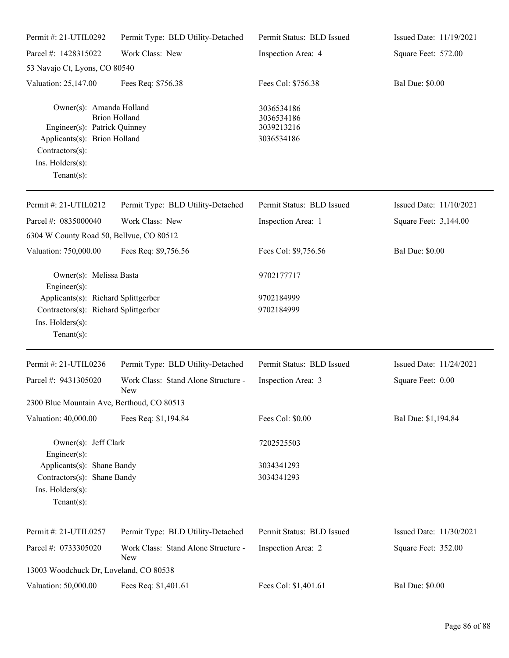| Permit #: 21-UTIL0292                                                                                                                            | Permit Type: BLD Utility-Detached                 | Permit Status: BLD Issued                            | Issued Date: 11/19/2021 |
|--------------------------------------------------------------------------------------------------------------------------------------------------|---------------------------------------------------|------------------------------------------------------|-------------------------|
| Parcel #: 1428315022                                                                                                                             | Work Class: New                                   | Inspection Area: 4                                   | Square Feet: 572.00     |
| 53 Navajo Ct, Lyons, CO 80540                                                                                                                    |                                                   |                                                      |                         |
| Valuation: 25,147.00                                                                                                                             | Fees Req: \$756.38                                | Fees Col: \$756.38                                   | <b>Bal Due: \$0.00</b>  |
| Owner(s): Amanda Holland<br>Engineer(s): Patrick Quinney<br>Applicants(s): Brion Holland<br>Contractors(s):<br>Ins. Holders(s):<br>$Tenant(s)$ : | <b>Brion Holland</b>                              | 3036534186<br>3036534186<br>3039213216<br>3036534186 |                         |
| Permit #: 21-UTIL0212                                                                                                                            | Permit Type: BLD Utility-Detached                 | Permit Status: BLD Issued                            | Issued Date: 11/10/2021 |
| Parcel #: 0835000040                                                                                                                             | Work Class: New                                   | Inspection Area: 1                                   | Square Feet: 3,144.00   |
| 6304 W County Road 50, Bellvue, CO 80512                                                                                                         |                                                   |                                                      |                         |
| Valuation: 750,000.00                                                                                                                            | Fees Req: \$9,756.56                              | Fees Col: \$9,756.56                                 | <b>Bal Due: \$0.00</b>  |
| Owner(s): Melissa Basta<br>Engineer(s):                                                                                                          |                                                   | 9702177717                                           |                         |
| Applicants(s): Richard Splittgerber<br>Contractors(s): Richard Splittgerber<br>Ins. Holders(s):<br>$Tenant(s)$ :                                 |                                                   | 9702184999<br>9702184999                             |                         |
| Permit #: 21-UTIL0236                                                                                                                            | Permit Type: BLD Utility-Detached                 | Permit Status: BLD Issued                            | Issued Date: 11/24/2021 |
| Parcel #: 9431305020                                                                                                                             | Work Class: Stand Alone Structure -<br>New        | Inspection Area: 3                                   | Square Feet: 0.00       |
| 2300 Blue Mountain Ave, Berthoud, CO 80513                                                                                                       |                                                   |                                                      |                         |
| Valuation: 40,000.00                                                                                                                             | Fees Req: \$1,194.84                              | Fees Col: \$0.00                                     | Bal Due: \$1,194.84     |
| Owner(s): Jeff Clark<br>Engineer(s):                                                                                                             |                                                   | 7202525503                                           |                         |
| Applicants(s): Shane Bandy<br>Contractors(s): Shane Bandy<br>Ins. Holders(s):<br>$Tenant(s)$ :                                                   |                                                   | 3034341293<br>3034341293                             |                         |
| Permit #: 21-UTIL0257                                                                                                                            | Permit Type: BLD Utility-Detached                 | Permit Status: BLD Issued                            | Issued Date: 11/30/2021 |
| Parcel #: 0733305020                                                                                                                             | Work Class: Stand Alone Structure -<br><b>New</b> | Inspection Area: 2                                   | Square Feet: 352.00     |
| 13003 Woodchuck Dr, Loveland, CO 80538                                                                                                           |                                                   |                                                      |                         |
| Valuation: 50,000.00                                                                                                                             | Fees Req: \$1,401.61                              | Fees Col: \$1,401.61                                 | <b>Bal Due: \$0.00</b>  |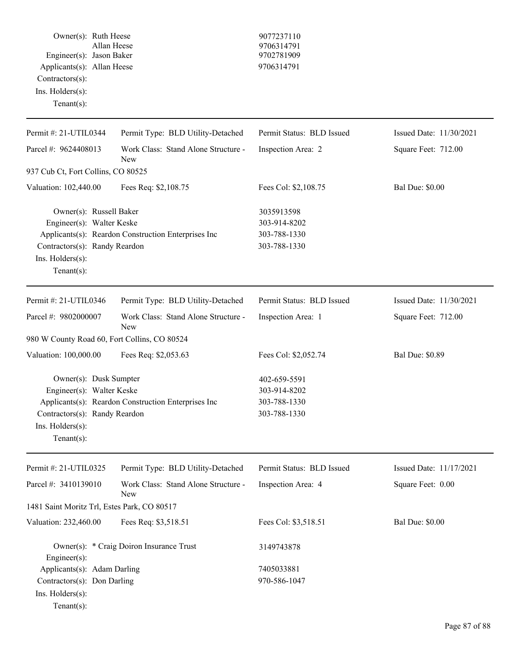|                            | Owner(s): Ruth Heese     | 9077237110 |
|----------------------------|--------------------------|------------|
|                            | Allan Heese              | 9706314791 |
|                            | Engineer(s): Jason Baker | 9702781909 |
| Applicants(s): Allan Heese |                          | 9706314791 |
| $Contractors(s)$ :         |                          |            |
| $Ins.$ Holders $(s)$ :     |                          |            |
| $Tenant(s)$ :              |                          |            |

## 9077237110 Applicants(s): Allan Heese 9706314791

| Permit #: 21-UTIL0344                                                                                                                                                             | Permit Type: BLD Utility-Detached                   | Permit Status: BLD Issued                                    | Issued Date: 11/30/2021 |
|-----------------------------------------------------------------------------------------------------------------------------------------------------------------------------------|-----------------------------------------------------|--------------------------------------------------------------|-------------------------|
| Parcel #: 9624408013                                                                                                                                                              | Work Class: Stand Alone Structure -<br><b>New</b>   | Inspection Area: 2                                           | Square Feet: 712.00     |
| 937 Cub Ct, Fort Collins, CO 80525                                                                                                                                                |                                                     |                                                              |                         |
| Valuation: 102,440.00                                                                                                                                                             | Fees Req: \$2,108.75                                | Fees Col: \$2,108.75                                         | <b>Bal Due: \$0.00</b>  |
| Owner(s): Russell Baker<br>Engineer(s): Walter Keske<br>Contractors(s): Randy Reardon<br>Ins. Holders(s):<br>Tenant $(s)$ :                                                       | Applicants(s): Reardon Construction Enterprises Inc | 3035913598<br>303-914-8202<br>303-788-1330<br>303-788-1330   |                         |
| Permit #: 21-UTIL0346                                                                                                                                                             | Permit Type: BLD Utility-Detached                   | Permit Status: BLD Issued                                    | Issued Date: 11/30/2021 |
| Parcel #: 9802000007                                                                                                                                                              | Work Class: Stand Alone Structure -<br><b>New</b>   | Inspection Area: 1                                           | Square Feet: 712.00     |
| 980 W County Road 60, Fort Collins, CO 80524                                                                                                                                      |                                                     |                                                              |                         |
| Valuation: 100,000.00                                                                                                                                                             | Fees Req: \$2,053.63                                | Fees Col: \$2,052.74                                         | <b>Bal Due: \$0.89</b>  |
| Owner(s): Dusk Sumpter<br>Engineer(s): Walter Keske<br>Applicants(s): Reardon Construction Enterprises Inc<br>Contractors(s): Randy Reardon<br>Ins. Holders(s):<br>Tenant $(s)$ : |                                                     | 402-659-5591<br>303-914-8202<br>303-788-1330<br>303-788-1330 |                         |
| Permit #: 21-UTIL0325                                                                                                                                                             | Permit Type: BLD Utility-Detached                   | Permit Status: BLD Issued                                    | Issued Date: 11/17/2021 |
| Parcel #: 3410139010                                                                                                                                                              | Work Class: Stand Alone Structure -<br>New          | Inspection Area: 4                                           | Square Feet: 0.00       |
| 1481 Saint Moritz Trl, Estes Park, CO 80517                                                                                                                                       |                                                     |                                                              |                         |
| Valuation: 232,460.00                                                                                                                                                             | Fees Req: \$3,518.51                                | Fees Col: \$3,518.51                                         | <b>Bal Due: \$0.00</b>  |
| Engineer(s):                                                                                                                                                                      | Owner(s): * Craig Doiron Insurance Trust            | 3149743878                                                   |                         |
| Applicants(s): Adam Darling<br>Contractors(s): Don Darling<br>Ins. Holders(s):<br>$Tenant(s)$ :                                                                                   |                                                     | 7405033881<br>970-586-1047                                   |                         |